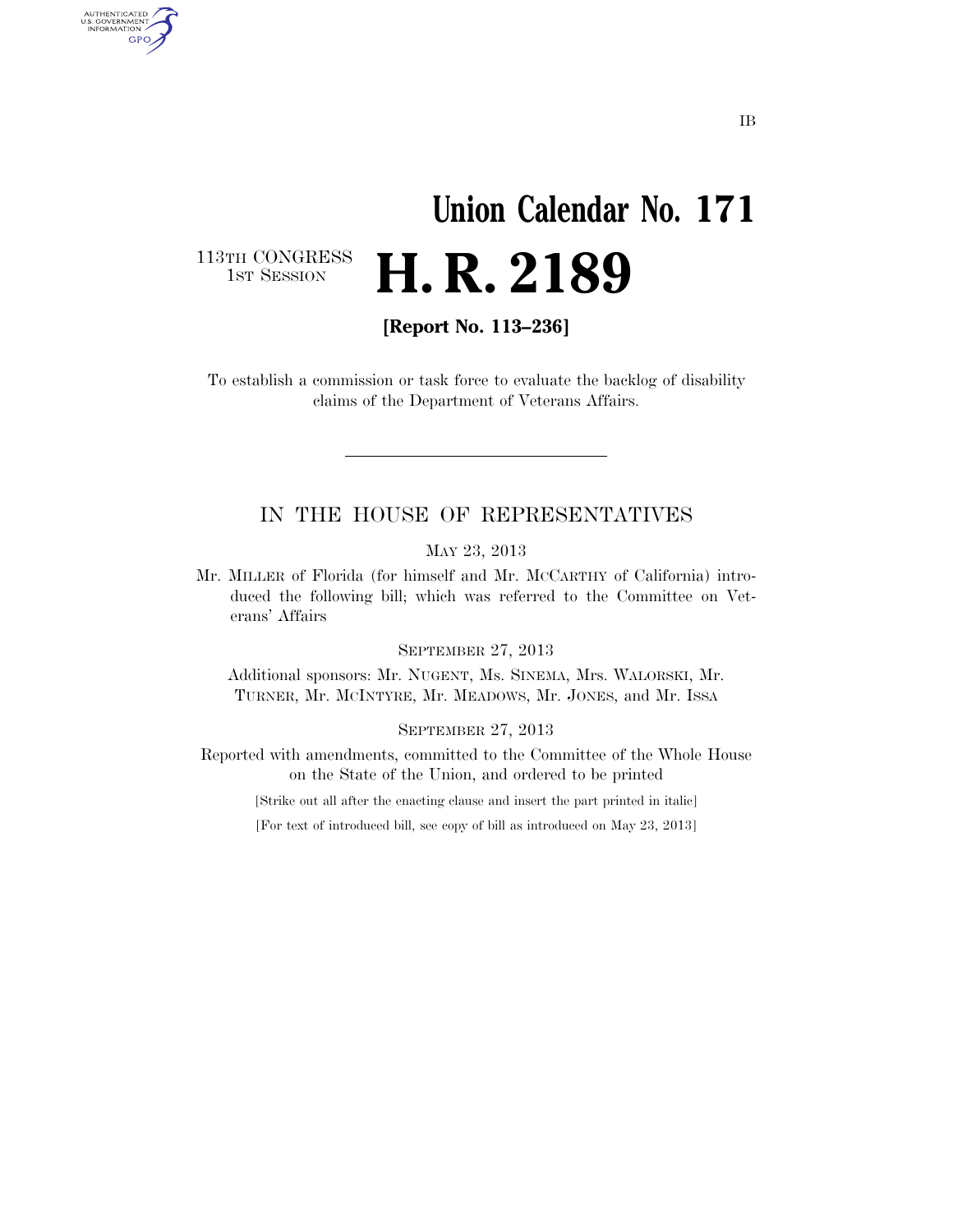# **Union Calendar No. 171**  H. R. 2189

113TH CONGRESS<br>1st Session

AUTHENTICATED<br>U.S. GOVERNMENT<br>INFORMATION GPO

**[Report No. 113–236]** 

To establish a commission or task force to evaluate the backlog of disability claims of the Department of Veterans Affairs.

## IN THE HOUSE OF REPRESENTATIVES

MAY 23, 2013

Mr. MILLER of Florida (for himself and Mr. MCCARTHY of California) introduced the following bill; which was referred to the Committee on Veterans' Affairs

SEPTEMBER 27, 2013

Additional sponsors: Mr. NUGENT, Ms. SINEMA, Mrs. WALORSKI, Mr. TURNER, Mr. MCINTYRE, Mr. MEADOWS, Mr. JONES, and Mr. ISSA

SEPTEMBER 27, 2013

Reported with amendments, committed to the Committee of the Whole House on the State of the Union, and ordered to be printed

[Strike out all after the enacting clause and insert the part printed in italic]

[For text of introduced bill, see copy of bill as introduced on May 23, 2013]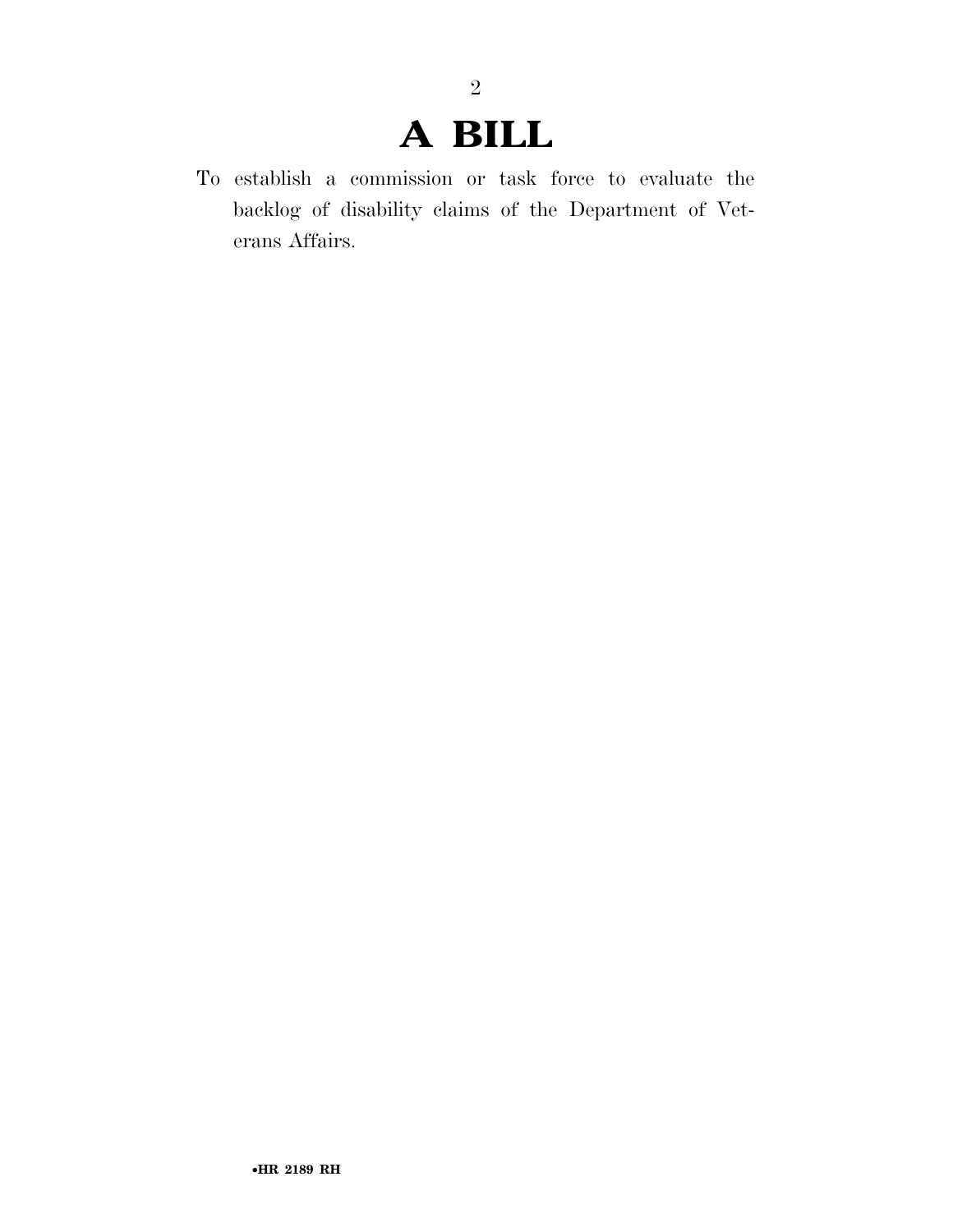# **A BILL**

2

To establish a commission or task force to evaluate the backlog of disability claims of the Department of Veterans Affairs.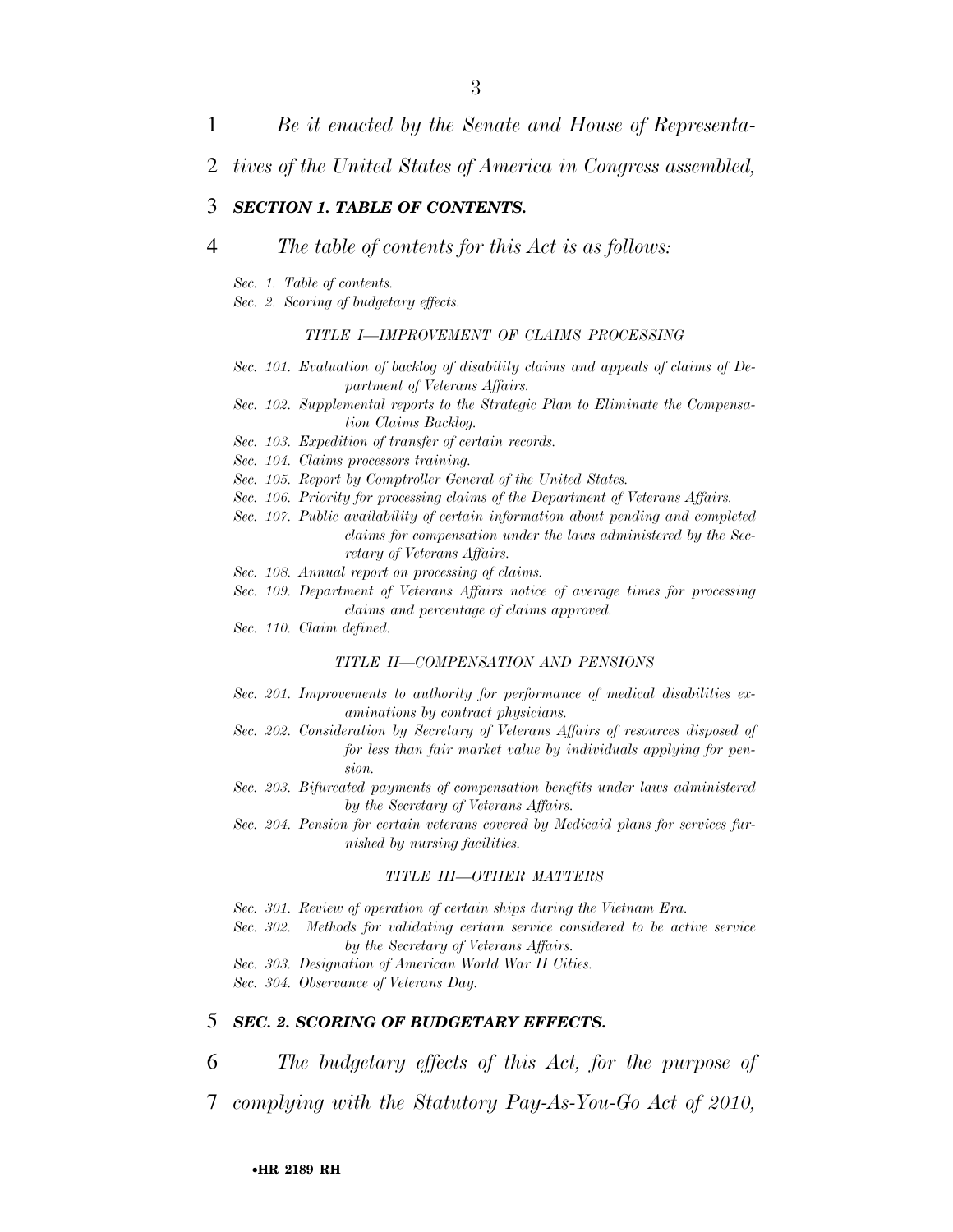- 1 *Be it enacted by the Senate and House of Representa-*
- 2 *tives of the United States of America in Congress assembled,*

#### 3 *SECTION 1. TABLE OF CONTENTS.*

#### 4 *The table of contents for this Act is as follows:*

- *Sec. 1. Table of contents.*
- *Sec. 2. Scoring of budgetary effects.*

#### *TITLE I—IMPROVEMENT OF CLAIMS PROCESSING*

- *Sec. 101. Evaluation of backlog of disability claims and appeals of claims of Department of Veterans Affairs.*
- *Sec. 102. Supplemental reports to the Strategic Plan to Eliminate the Compensation Claims Backlog.*
- *Sec. 103. Expedition of transfer of certain records.*

*Sec. 104. Claims processors training.* 

- *Sec. 105. Report by Comptroller General of the United States.*
- *Sec. 106. Priority for processing claims of the Department of Veterans Affairs.*
- *Sec. 107. Public availability of certain information about pending and completed claims for compensation under the laws administered by the Secretary of Veterans Affairs.*
- *Sec. 108. Annual report on processing of claims.*
- *Sec. 109. Department of Veterans Affairs notice of average times for processing claims and percentage of claims approved.*
- *Sec. 110. Claim defined.*

#### *TITLE II—COMPENSATION AND PENSIONS*

- *Sec. 201. Improvements to authority for performance of medical disabilities examinations by contract physicians.*
- *Sec. 202. Consideration by Secretary of Veterans Affairs of resources disposed of for less than fair market value by individuals applying for pension.*
- *Sec. 203. Bifurcated payments of compensation benefits under laws administered by the Secretary of Veterans Affairs.*
- *Sec. 204. Pension for certain veterans covered by Medicaid plans for services furnished by nursing facilities.*

#### *TITLE III—OTHER MATTERS*

- *Sec. 301. Review of operation of certain ships during the Vietnam Era.*
- *Sec. 302. Methods for validating certain service considered to be active service by the Secretary of Veterans Affairs.*
- *Sec. 303. Designation of American World War II Cities.*
- *Sec. 304. Observance of Veterans Day.*

### 5 *SEC. 2. SCORING OF BUDGETARY EFFECTS.*

- 6 *The budgetary effects of this Act, for the purpose of*
- 7 *complying with the Statutory Pay-As-You-Go Act of 2010,*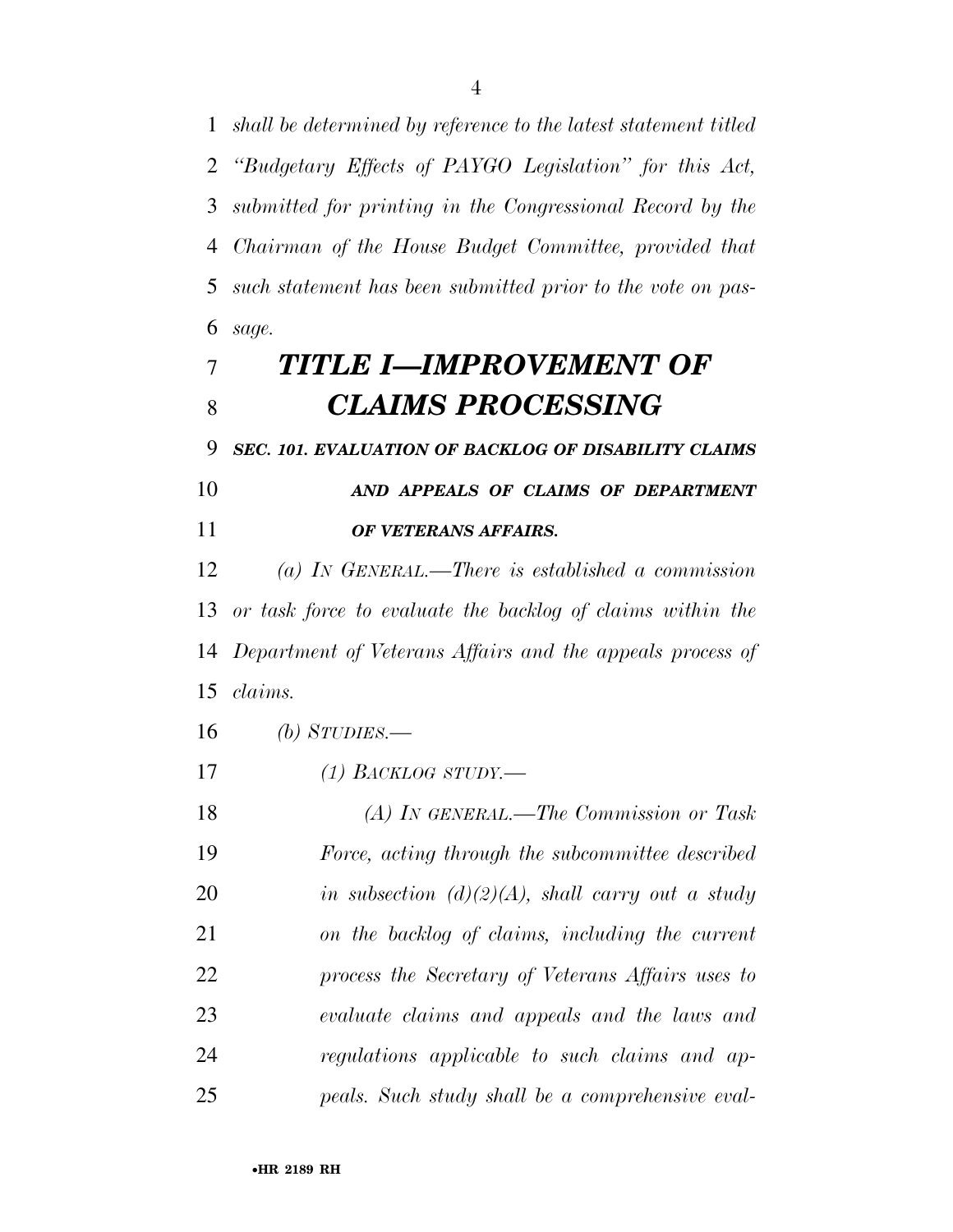*shall be determined by reference to the latest statement titled ''Budgetary Effects of PAYGO Legislation'' for this Act, submitted for printing in the Congressional Record by the Chairman of the House Budget Committee, provided that such statement has been submitted prior to the vote on pas-sage.* 

# *TITLE I—IMPROVEMENT OF CLAIMS PROCESSING*

*SEC. 101. EVALUATION OF BACKLOG OF DISABILITY CLAIMS* 

 *AND APPEALS OF CLAIMS OF DEPARTMENT OF VETERANS AFFAIRS.* 

 *(a) IN GENERAL.—There is established a commission or task force to evaluate the backlog of claims within the Department of Veterans Affairs and the appeals process of claims.* 

*(b) STUDIES.—* 

*(1) BACKLOG STUDY.—* 

 *(A) IN GENERAL.—The Commission or Task Force, acting through the subcommittee described in subsection (d)(2)(A), shall carry out a study on the backlog of claims, including the current process the Secretary of Veterans Affairs uses to evaluate claims and appeals and the laws and regulations applicable to such claims and ap-peals. Such study shall be a comprehensive eval-*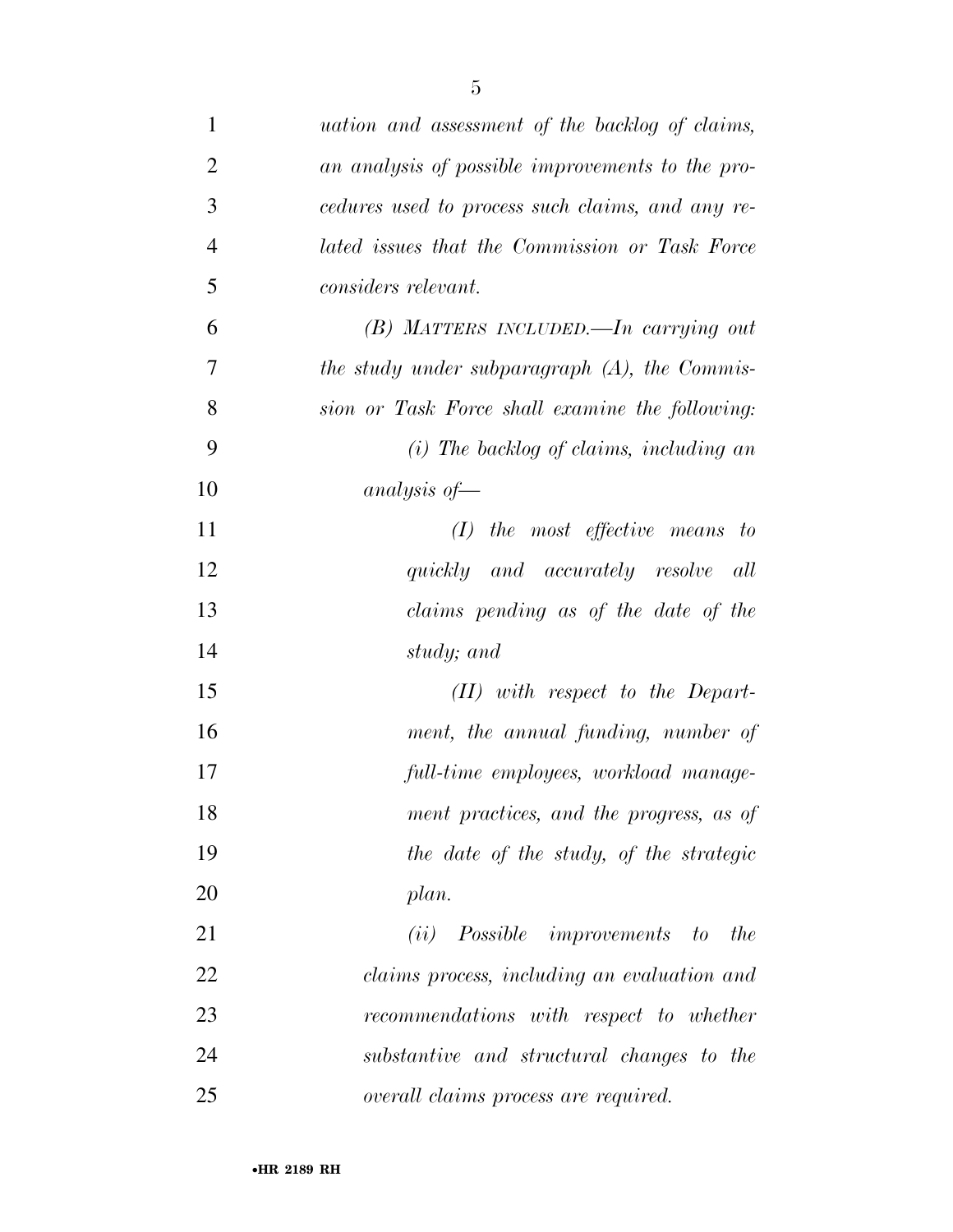| $\mathbf{1}$   | <i>uation and assessment of the backlog of claims,</i> |
|----------------|--------------------------------------------------------|
| $\overline{2}$ | an analysis of possible improvements to the pro-       |
| 3              | cedures used to process such claims, and any re-       |
| $\overline{4}$ | lated issues that the Commission or Task Force         |
| 5              | considers relevant.                                    |
| 6              | $(B)$ MATTERS INCLUDED.—In carrying out                |
| 7              | the study under subparagraph $(A)$ , the Commis-       |
| 8              | sion or Task Force shall examine the following:        |
| 9              | $(i)$ The backlog of claims, including an              |
| 10             | analysis of $-$                                        |
| 11             | $(I)$ the most effective means to                      |
| 12             | quickly and accurately resolve all                     |
| 13             | claims pending as of the date of the                   |
| 14             | study; and                                             |
| 15             | $(II)$ with respect to the Depart-                     |
| 16             | ment, the annual funding, number of                    |
| 17             | full-time employees, workload manage-                  |
| 18             | ment practices, and the progress, as of                |
| 19             | the date of the study, of the strategic                |
| 20             | plan.                                                  |
| 21             | (ii) Possible improvements to the                      |
| 22             | claims process, including an evaluation and            |
| 23             | recommendations with respect to whether                |
| 24             | substantive and structural changes to the              |
| 25             | overall claims process are required.                   |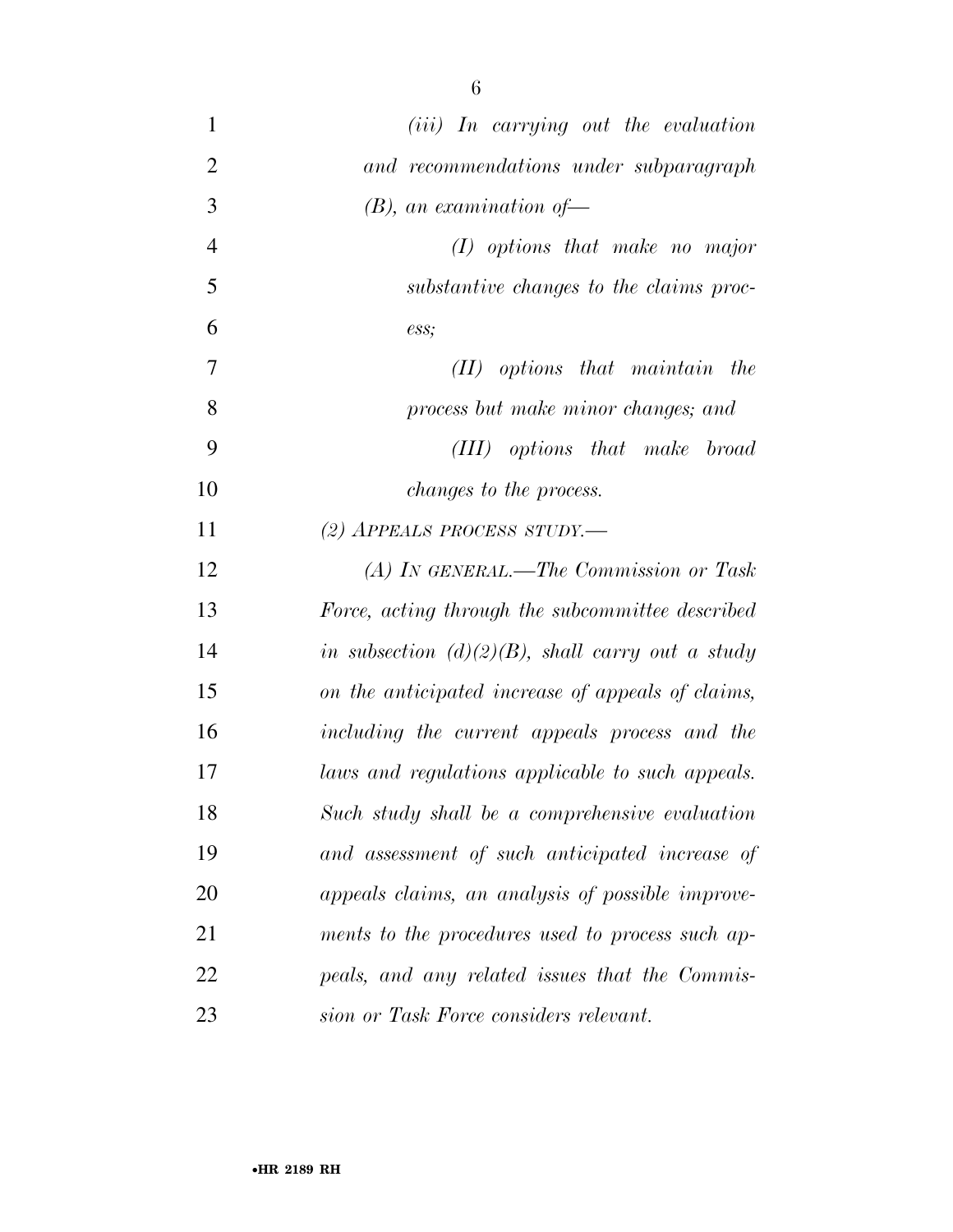| $\mathbf{1}$   | ( <i>iii</i> ) In carrying out the evaluation       |
|----------------|-----------------------------------------------------|
| $\overline{2}$ | and recommendations under subparagraph              |
| 3              | $(B)$ , an examination of                           |
| $\overline{4}$ | $(I)$ options that make no major                    |
| 5              | substantive changes to the claims proc-             |
| 6              | ess;                                                |
| 7              | $(II)$ options that maintain the                    |
| 8              | process but make minor changes; and                 |
| 9              | (III) options that make broad                       |
| 10             | <i>changes to the process.</i>                      |
| 11             | (2) APPEALS PROCESS STUDY.                          |
| 12             | (A) IN GENERAL.—The Commission or Task              |
| 13             | Force, acting through the subcommittee described    |
| 14             | in subsection $(d)(2)(B)$ , shall carry out a study |
| 15             | on the anticipated increase of appeals of claims,   |
| 16             | including the current appeals process and the       |
| 17             | laws and regulations applicable to such appeals.    |
| 18             | Such study shall be a comprehensive evaluation      |
| 19             | and assessment of such anticipated increase of      |
| 20             | appeals claims, an analysis of possible improve-    |
| 21             | ments to the procedures used to process such ap-    |
| 22             | peals, and any related issues that the Commis-      |
| 23             | sion or Task Force considers relevant.              |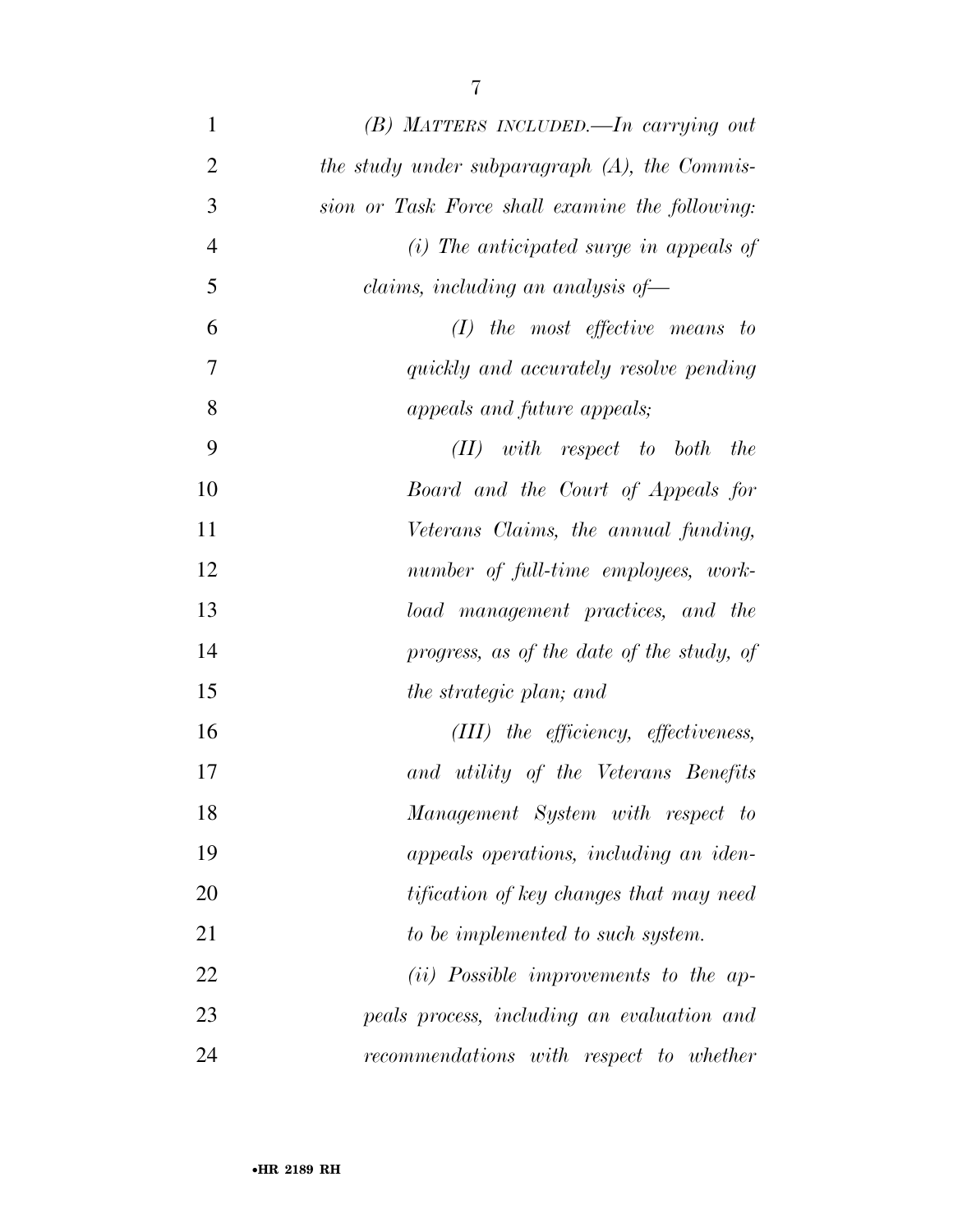| $\mathbf{1}$   | (B) MATTERS INCLUDED.—In carrying out            |
|----------------|--------------------------------------------------|
| $\overline{2}$ | the study under subparagraph $(A)$ , the Commis- |
| 3              | sion or Task Force shall examine the following:  |
| $\overline{4}$ | $(i)$ The anticipated surge in appeals of        |
| 5              | claims, including an analysis of-                |
| 6              | $(I)$ the most effective means to                |
| 7              | quickly and accurately resolve pending           |
| 8              | appeals and future appeals;                      |
| 9              | with respect to both<br>the<br>(II)              |
| 10             | Board and the Court of Appeals for               |
| 11             | Veterans Claims, the annual funding,             |
| 12             | number of full-time employees, work-             |
| 13             | load management practices, and the               |
| 14             | progress, as of the date of the study, of        |
| 15             | the strategic plan; and                          |
| 16             | (III) the efficiency, effectiveness,             |
| 17             | and utility of the Veterans Benefits             |
| 18             | Management System with respect to                |
| 19             | appeals operations, including an iden-           |
| 20             | tification of key changes that may need          |
| 21             | to be implemented to such system.                |
| 22             | (ii) Possible improvements to the ap-            |
| 23             | peals process, including an evaluation and       |
| 24             | recommendations with respect to whether          |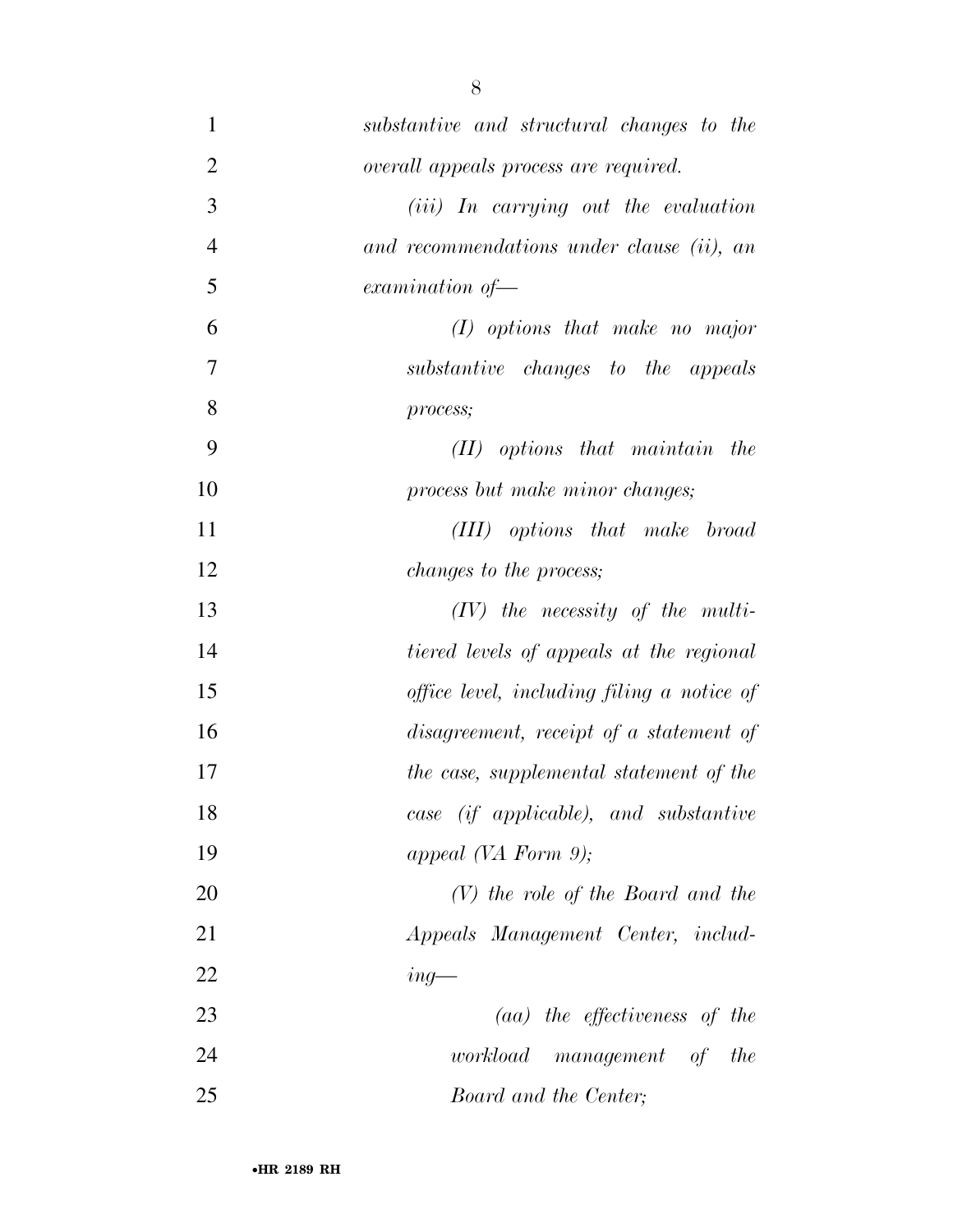| $\mathbf{1}$   | substantive and structural changes to the     |
|----------------|-----------------------------------------------|
| $\overline{2}$ | overall appeals process are required.         |
| 3              | ( <i>iii</i> ) In carrying out the evaluation |
| $\overline{4}$ | and recommendations under clause (ii), an     |
| 5              | $examination of -$                            |
| 6              | $(I)$ options that make no major              |
| 7              | substantive changes to the appeals            |
| 8              | process;                                      |
| 9              | $(II)$ options that maintain the              |
| 10             | process but make minor changes;               |
| 11             | (III) options that make broad                 |
| 12             | <i>changes to the process;</i>                |
| 13             | $(IV)$ the necessity of the multi-            |
| 14             | tiered levels of appeals at the regional      |
| 15             | office level, including filing a notice of    |
| 16             | disagreement, receipt of a statement of       |
| 17             | the case, supplemental statement of the       |
| 18             | case (if applicable), and substantive         |
| 19             | appeal (VA Form 9);                           |
| 20             | $(V)$ the role of the Board and the           |
| 21             | Appeals Management Center, includ-            |
| 22             | $ing$ —                                       |
| 23             | $(aa)$ the effectiveness of the               |
| 24             | workload management of<br>the                 |
| 25             | Board and the Center;                         |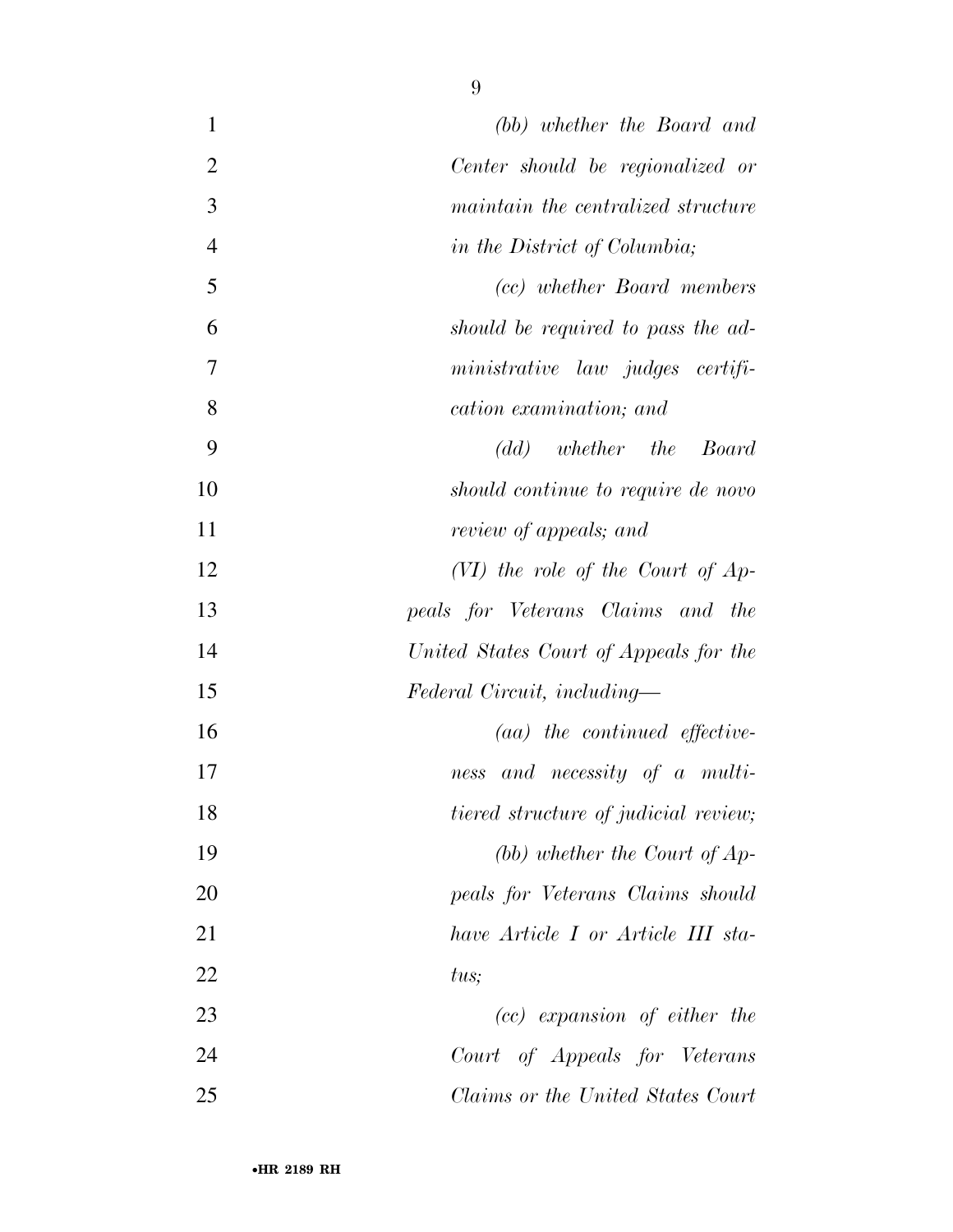| (bb) whether the Board and             | $\mathbf{1}$ |                |
|----------------------------------------|--------------|----------------|
| Center should be regionalized or       |              | $\overline{2}$ |
| maintain the centralized structure     |              | 3              |
| in the District of Columbia;           |              | $\overline{4}$ |
| (cc) whether Board members             |              | 5              |
| should be required to pass the ad-     |              | 6              |
| ministrative law judges certifi-       |              | 7              |
| cation examination; and                |              | 8              |
| (dd) whether the Board                 |              | 9              |
| should continue to require de novo     |              | 10             |
| review of appeals; and                 |              | 11             |
| $(VI)$ the role of the Court of Ap-    |              | 12             |
| peals for Veterans Claims and the      |              | 13             |
| United States Court of Appeals for the |              | 14             |
| Federal Circuit, including—            |              | 15             |
| $(aa)$ the continued effective-        |              | 16             |
| and necessity of a multi-<br>ness      |              | 17             |
| tiered structure of judicial review;   |              | 18             |
| (bb) whether the Court of $Ap-$        |              | 19             |
| peals for Veterans Claims should       |              | 20             |
| have Article I or Article III sta-     |              | 21             |
| tus;                                   |              | 22             |
| $(cc)$ expansion of either the         |              | 23             |
| Court of Appeals for Veterans          |              | 24             |
| Claims or the United States Court      |              | 25             |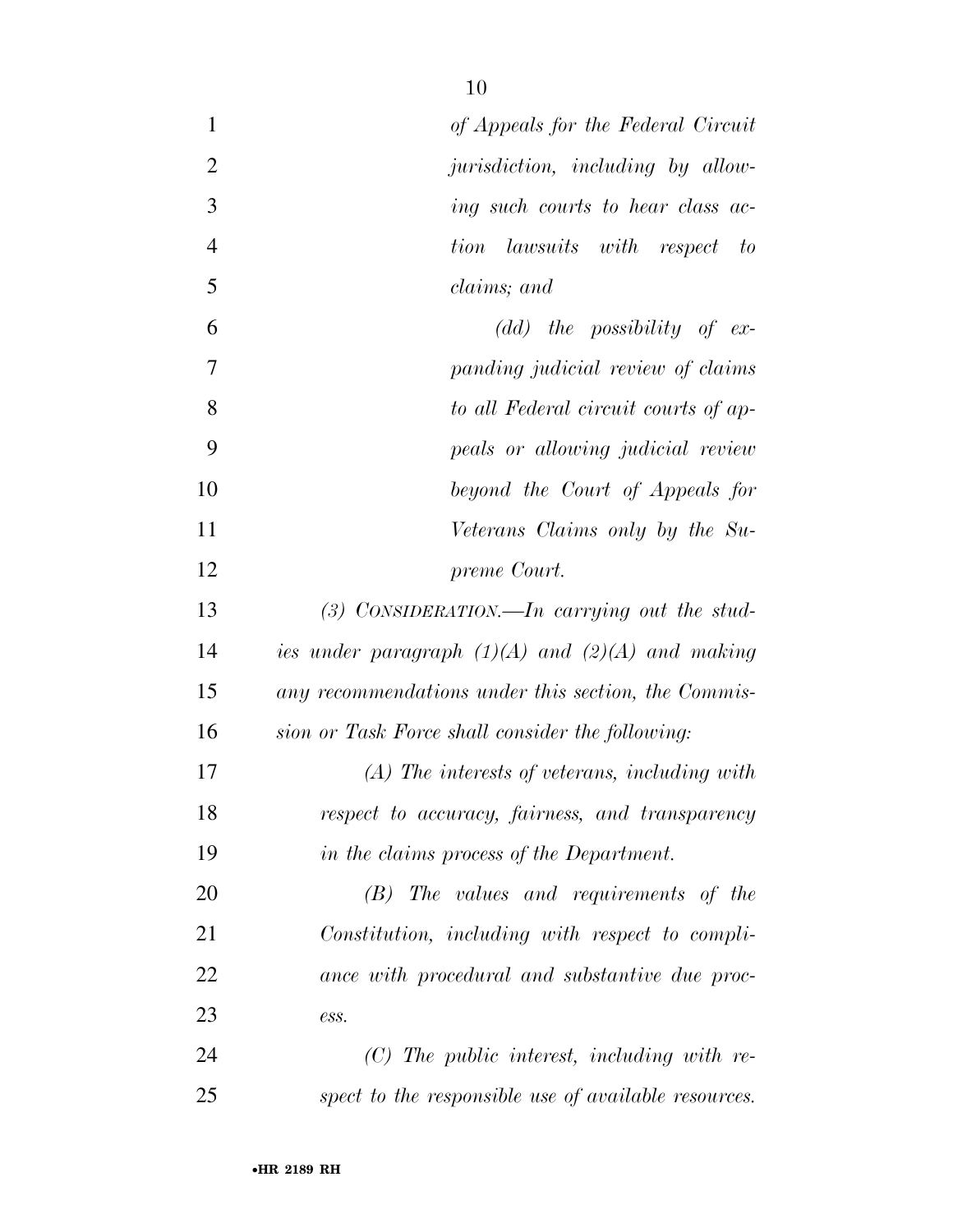| $\mathbf{1}$   | of Appeals for the Federal Circuit                   |
|----------------|------------------------------------------------------|
| $\overline{2}$ | jurisdiction, including by allow-                    |
| 3              | ing such courts to hear class ac-                    |
| $\overline{4}$ | lawsuits with respect to<br>tion                     |
| 5              | claims; and                                          |
| 6              | $(dd)$ the possibility of ex-                        |
| 7              | panding judicial review of claims                    |
| 8              | to all Federal circuit courts of ap-                 |
| 9              | peals or allowing judicial review                    |
| 10             | beyond the Court of Appeals for                      |
| 11             | Veterans Claims only by the Su-                      |
| 12             | preme Court.                                         |
| 13             | (3) CONSIDERATION.—In carrying out the stud-         |
| 14             | ies under paragraph $(1)(A)$ and $(2)(A)$ and making |
| 15             | any recommendations under this section, the Commis-  |
| 16             | sion or Task Force shall consider the following:     |
| 17             | $(A)$ The interests of veterans, including with      |
| 18             | respect to accuracy, fairness, and transparency      |
| 19             | in the claims process of the Department.             |
| 20             | $(B)$ The values and requirements of the             |
| 21             | Constitution, including with respect to compli-      |
| 22             | ance with procedural and substantive due proc-       |
| 23             | ess.                                                 |
| 24             | $(C)$ The public interest, including with re-        |
| 25             | spect to the responsible use of available resources. |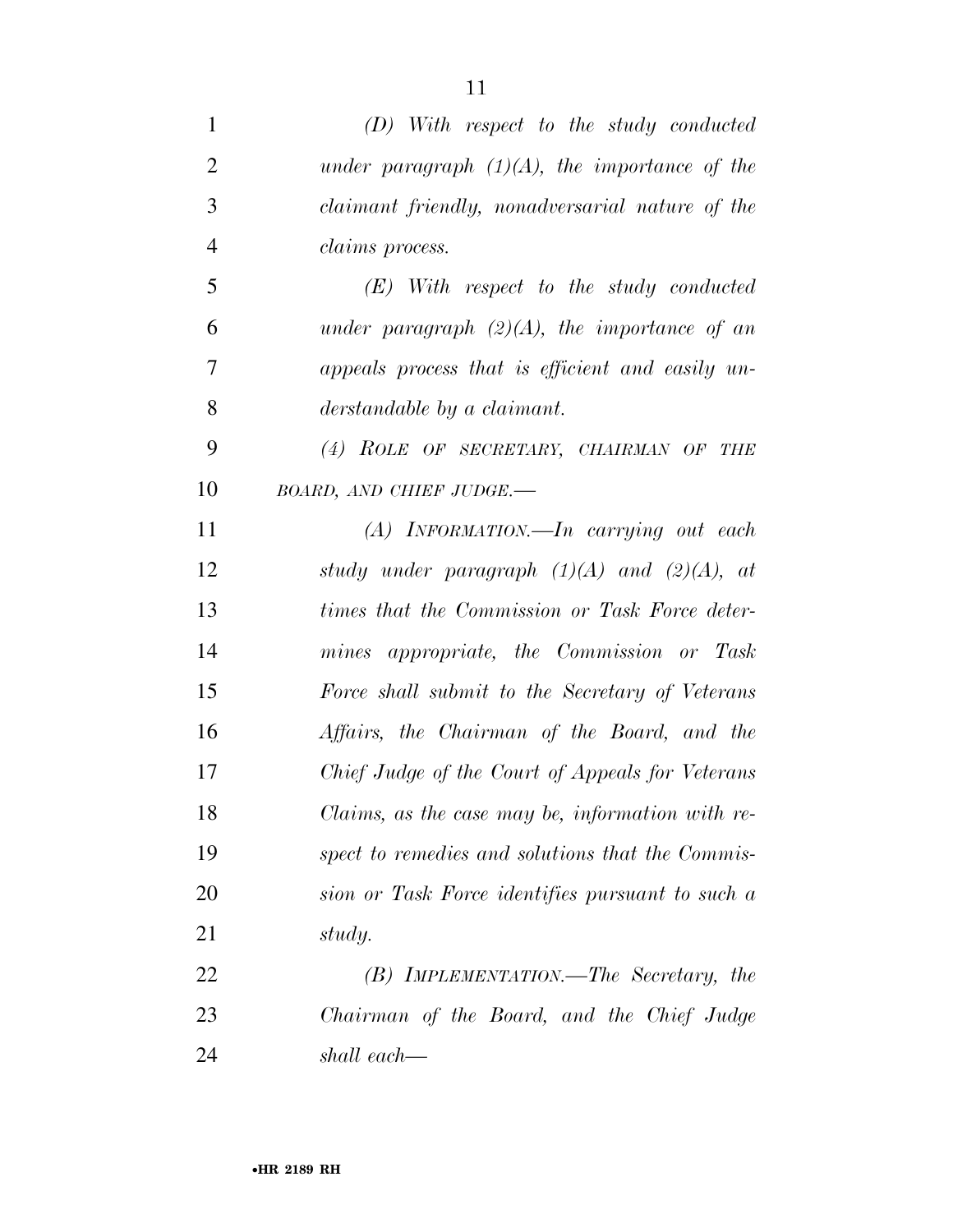| $\mathbf{1}$   | $(D)$ With respect to the study conducted        |
|----------------|--------------------------------------------------|
| $\overline{2}$ | under paragraph $(1)(A)$ , the importance of the |
| 3              | claimant friendly, nonadversarial nature of the  |
| $\overline{4}$ | <i>claims process.</i>                           |
| 5              | $(E)$ With respect to the study conducted        |
| 6              | under paragraph $(2)(A)$ , the importance of an  |
| 7              | appeals process that is efficient and easily un- |
| 8              | derstandable by a claimant.                      |
| 9              | (4) ROLE OF SECRETARY, CHAIRMAN OF THE           |
| 10             | BOARD, AND CHIEF JUDGE.-                         |
| 11             | $(A)$ INFORMATION. In carrying out each          |
| 12             | study under paragraph $(1)(A)$ and $(2)(A)$ , at |
| 13             | times that the Commission or Task Force deter-   |
| 14             | mines appropriate, the Commission or Task        |
| 15             | Force shall submit to the Secretary of Veterans  |
| 16             | Affairs, the Chairman of the Board, and the      |
| 17             | Chief Judge of the Court of Appeals for Veterans |
| 18             | Claims, as the case may be, information with re- |
| 19             | spect to remedies and solutions that the Commis- |
| 20             | sion or Task Force identifies pursuant to such a |
| 21             | study.                                           |
| 22             | $(B)$ IMPLEMENTATION.—The Secretary, the         |
| 23             | Chairman of the Board, and the Chief Judge       |
| 24             | shall each—                                      |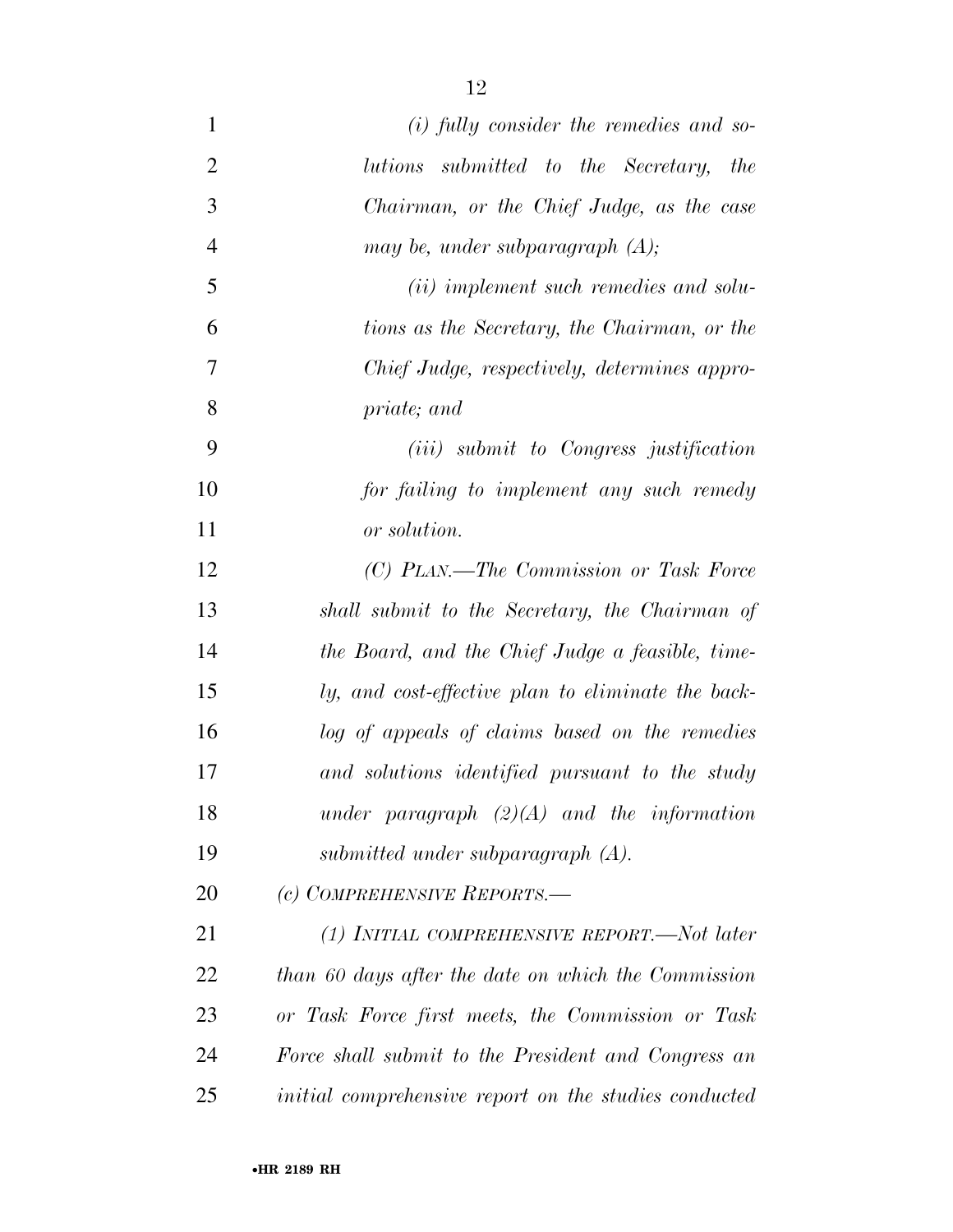| $\mathbf{1}$   | $(i)$ fully consider the remedies and so-             |
|----------------|-------------------------------------------------------|
| $\overline{2}$ | lutions submitted to the Secretary, the               |
| 3              | Chairman, or the Chief Judge, as the case             |
| $\overline{4}$ | may be, under subparagraph $(A)$ ;                    |
| 5              | ( <i>ii</i> ) implement such remedies and solu-       |
| 6              | tions as the Secretary, the Chairman, or the          |
| 7              | Chief Judge, respectively, determines appro-          |
| 8              | priate; and                                           |
| 9              | ( <i>iii</i> ) submit to Congress justification       |
| 10             | for failing to implement any such remedy              |
| 11             | or solution.                                          |
| 12             | (C) PLAN.—The Commission or Task Force                |
| 13             | shall submit to the Secretary, the Chairman of        |
| 14             | the Board, and the Chief Judge a feasible, time-      |
| 15             | ly, and cost-effective plan to eliminate the back-    |
| 16             | log of appeals of claims based on the remedies        |
| 17             | and solutions identified pursuant to the study        |
| 18             | under paragraph $(2)(A)$ and the information          |
| 19             | submitted under subparagraph $(A)$ .                  |
| 20             | (c) COMPREHENSIVE REPORTS.-                           |
| 21             | (1) INITIAL COMPREHENSIVE REPORT.—Not later           |
| 22             | than 60 days after the date on which the Commission   |
| 23             | or Task Force first meets, the Commission or Task     |
| 24             | Force shall submit to the President and Congress an   |
| 25             | initial comprehensive report on the studies conducted |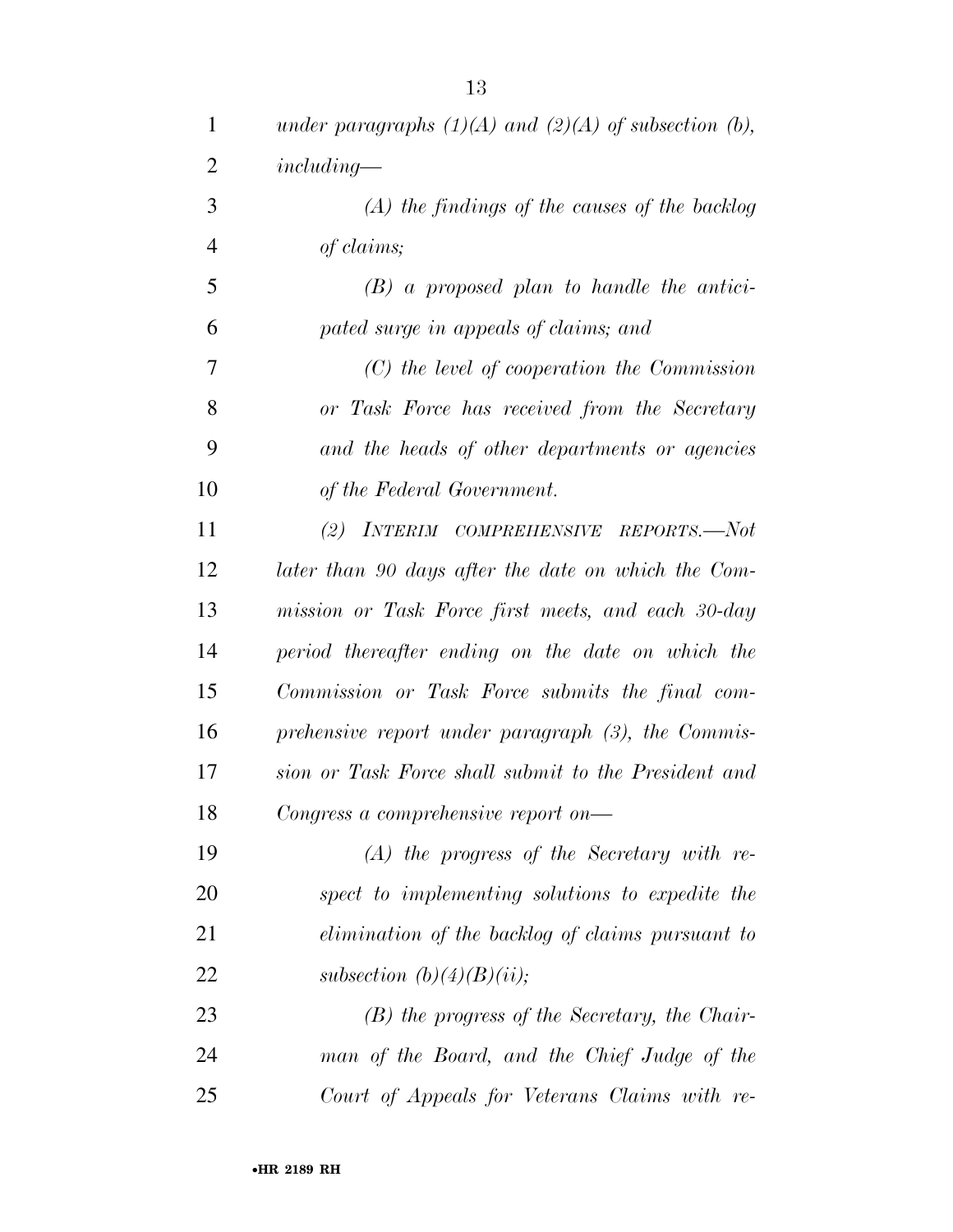| $\mathbf{1}$   | under paragraphs $(1)(A)$ and $(2)(A)$ of subsection (b), |
|----------------|-----------------------------------------------------------|
| $\overline{2}$ | $including-$                                              |
| 3              | $(A)$ the findings of the causes of the backlog           |
| $\overline{4}$ | of claims;                                                |
| 5              | $(B)$ a proposed plan to handle the antici-               |
| 6              | pated surge in appeals of claims; and                     |
| 7              | $(C)$ the level of cooperation the Commission             |
| 8              | or Task Force has received from the Secretary             |
| 9              | and the heads of other departments or agencies            |
| 10             | of the Federal Government.                                |
| 11             | (2) INTERIM COMPREHENSIVE REPORTS.—Not                    |
| 12             | later than 90 days after the date on which the Com-       |
| 13             | mission or Task Force first meets, and each 30-day        |
| 14             | period thereafter ending on the date on which the         |
| 15             | Commission or Task Force submits the final com-           |
| 16             | prehensive report under paragraph (3), the Commis-        |
| 17             | sion or Task Force shall submit to the President and      |
| 18             | Congress a comprehensive report on—                       |
| 19             | $(A)$ the progress of the Secretary with re-              |
| 20             | spect to implementing solutions to expedite the           |
| 21             | elimination of the backlog of claims pursuant to          |
| 22             | subsection $(b)(4)(B)(ii);$                               |
| 23             | $(B)$ the progress of the Secretary, the Chair-           |
| 24             | man of the Board, and the Chief Judge of the              |
| 25             | Court of Appeals for Veterans Claims with re-             |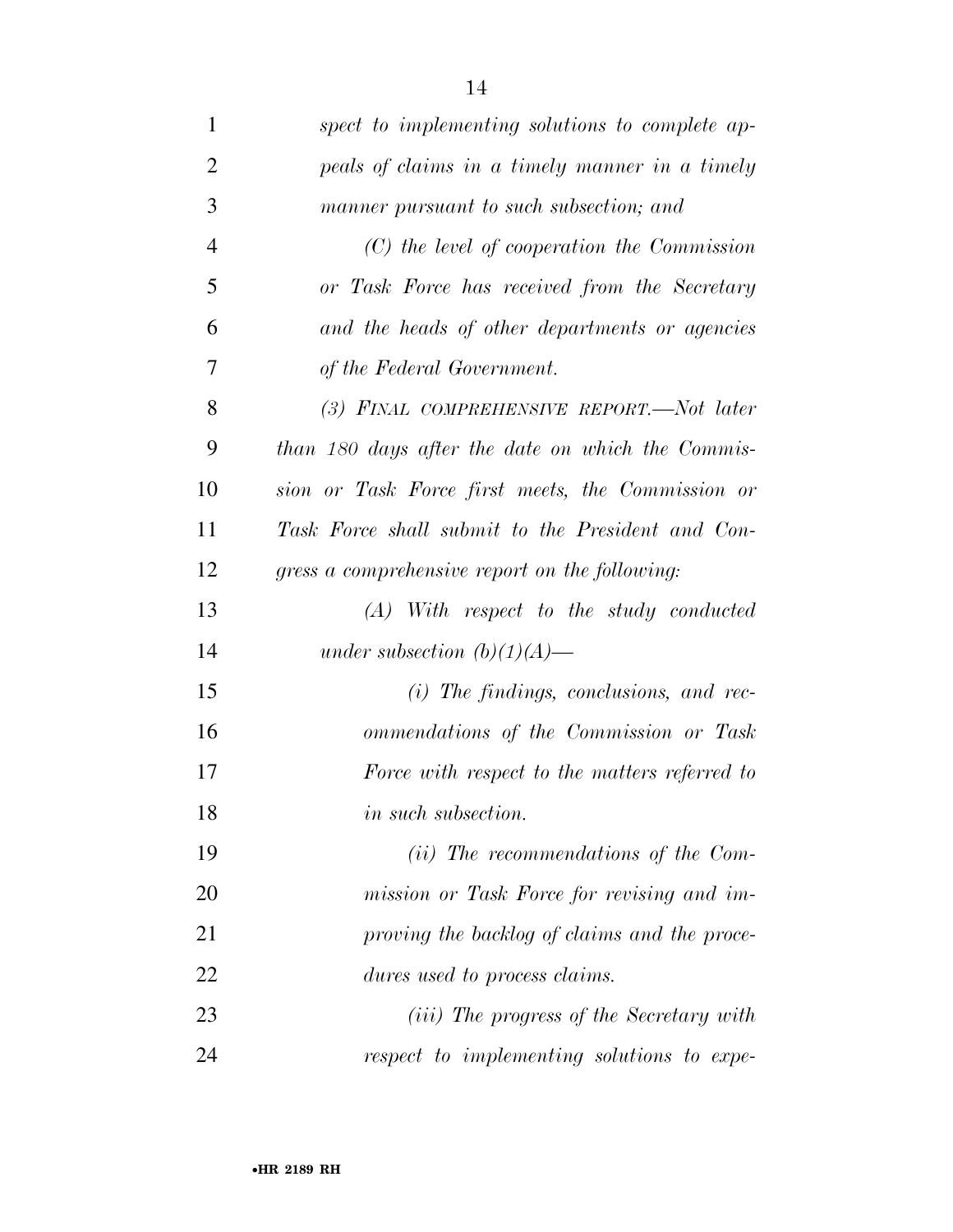| $\mathbf 1$    | spect to implementing solutions to complete ap-   |
|----------------|---------------------------------------------------|
| $\overline{2}$ | peals of claims in a timely manner in a timely    |
| 3              | manner pursuant to such subsection; and           |
| $\overline{4}$ | $(C)$ the level of cooperation the Commission     |
| 5              | or Task Force has received from the Secretary     |
| 6              | and the heads of other departments or agencies    |
| 7              | of the Federal Government.                        |
| 8              | (3) FINAL COMPREHENSIVE REPORT.—Not later         |
| 9              | than 180 days after the date on which the Commis- |
| 10             | sion or Task Force first meets, the Commission or |
| 11             | Task Force shall submit to the President and Con- |
| 12             | gress a comprehensive report on the following:    |
| 13             | $(A)$ With respect to the study conducted         |
| 14             | under subsection $(b)(1)(A)$ —                    |
| 15             | $(i)$ The findings, conclusions, and rec-         |
| 16             | ommendations of the Commission or Task            |
| 17             | Force with respect to the matters referred to     |
| 18             | <i>in such subsection.</i>                        |
| 19             | $(ii)$ The recommendations of the Com-            |
| 20             | mission or Task Force for revising and im-        |
| 21             | proving the backlog of claims and the proce-      |
| 22             | dures used to process claims.                     |
| 23             | ( <i>iii</i> ) The progress of the Secretary with |
| 24             | respect to implementing solutions to expe-        |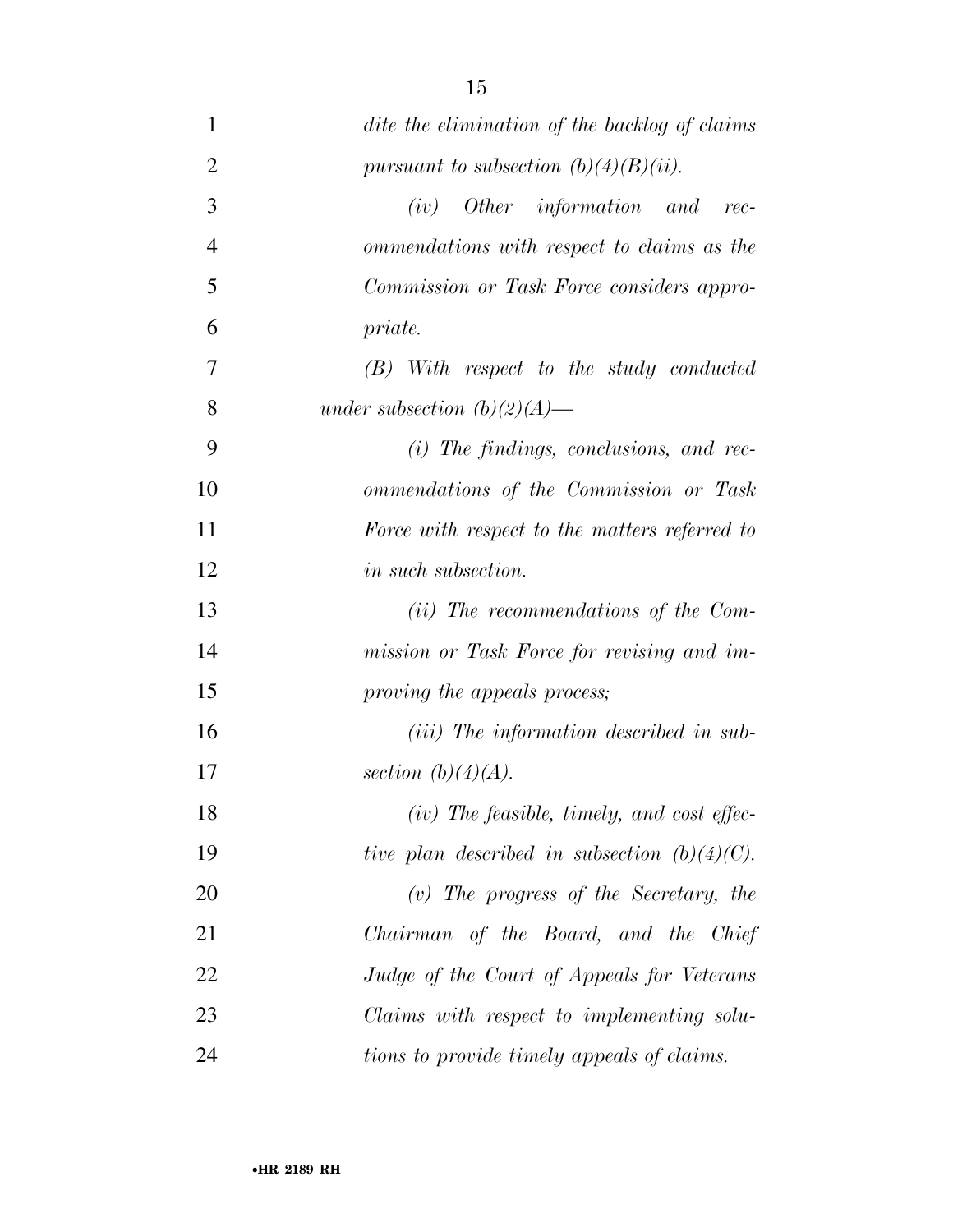| $\mathbf{1}$   | dite the elimination of the backlog of claims    |
|----------------|--------------------------------------------------|
| $\overline{2}$ | pursuant to subsection $(b)(4)(B)(ii)$ .         |
| 3              | Other information and<br>(iv)<br>$rec-$          |
| $\overline{4}$ | ommendations with respect to claims as the       |
| 5              | Commission or Task Force considers appro-        |
| 6              | priate.                                          |
| 7              | $(B)$ With respect to the study conducted        |
| 8              | under subsection $(b)(2)(A)$ —                   |
| 9              | $(i)$ The findings, conclusions, and rec-        |
| 10             | ommendations of the Commission or Task           |
| 11             | Force with respect to the matters referred to    |
| 12             | <i>in such subsection.</i>                       |
| 13             | $(ii)$ The recommendations of the Com-           |
| 14             | mission or Task Force for revising and im-       |
| 15             | proving the appeals process;                     |
| 16             | ( <i>iii</i> ) The information described in sub- |
| 17             | section $(b)(4)(A)$ .                            |
| 18             | $(iv)$ The feasible, timely, and cost effec-     |
| 19             | tive plan described in subsection $(b)(4)(C)$ .  |
| 20             | $(v)$ The progress of the Secretary, the         |
| 21             | Chairman of the Board, and the Chief             |
| 22             | Judge of the Court of Appeals for Veterans       |
| 23             | Claims with respect to implementing solu-        |
| 24             | tions to provide timely appeals of claims.       |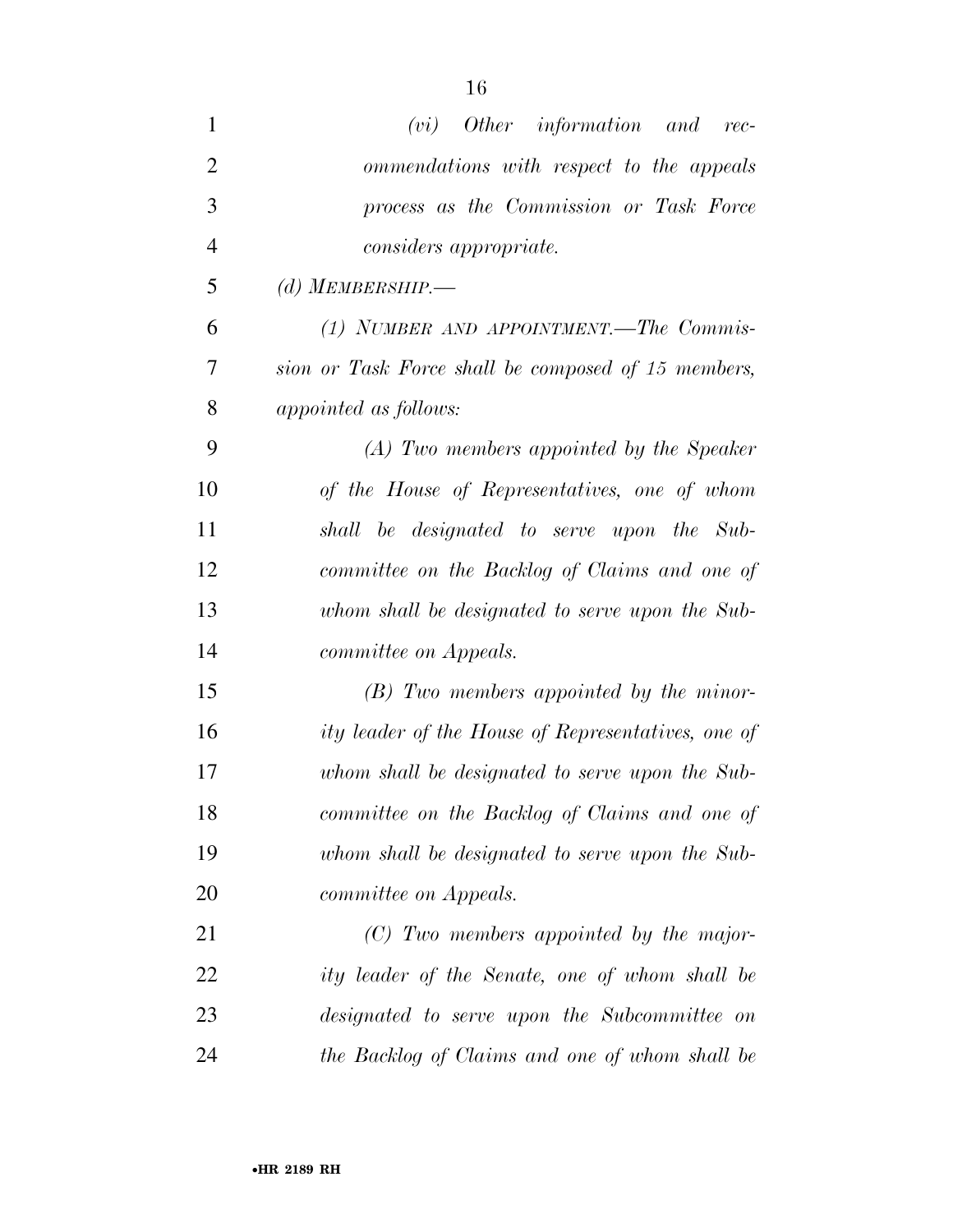| $\mathbf{1}$   | $(vi)$ Other information and rec-                   |
|----------------|-----------------------------------------------------|
| $\overline{2}$ | ommendations with respect to the appeals            |
| 3              | process as the Commission or Task Force             |
| $\overline{4}$ | <i>considers appropriate.</i>                       |
| 5              | (d) MEMBERSHIP.—                                    |
| 6              | (1) NUMBER AND APPOINTMENT.—The Commis-             |
| 7              | sion or Task Force shall be composed of 15 members, |
| 8              | appointed as follows:                               |
| 9              | (A) Two members appointed by the Speaker            |
| 10             | of the House of Representatives, one of whom        |
| 11             | shall be designated to serve upon the Sub-          |
| 12             | committee on the Backlog of Claims and one of       |
| 13             | whom shall be designated to serve upon the Sub-     |
| 14             | <i>committee on Appeals.</i>                        |
| 15             | $(B)$ Two members appointed by the minor-           |
| 16             | ity leader of the House of Representatives, one of  |
| 17             | whom shall be designated to serve upon the Sub-     |
| 18             | committee on the Backlog of Claims and one of       |
| 19             | whom shall be designated to serve upon the Sub-     |
| 20             | <i>committee on Appeals.</i>                        |
| 21             | $(C)$ Two members appointed by the major-           |
| 22             | ity leader of the Senate, one of whom shall be      |
| 23             | designated to serve upon the Subcommittee on        |
| 24             | the Backlog of Claims and one of whom shall be      |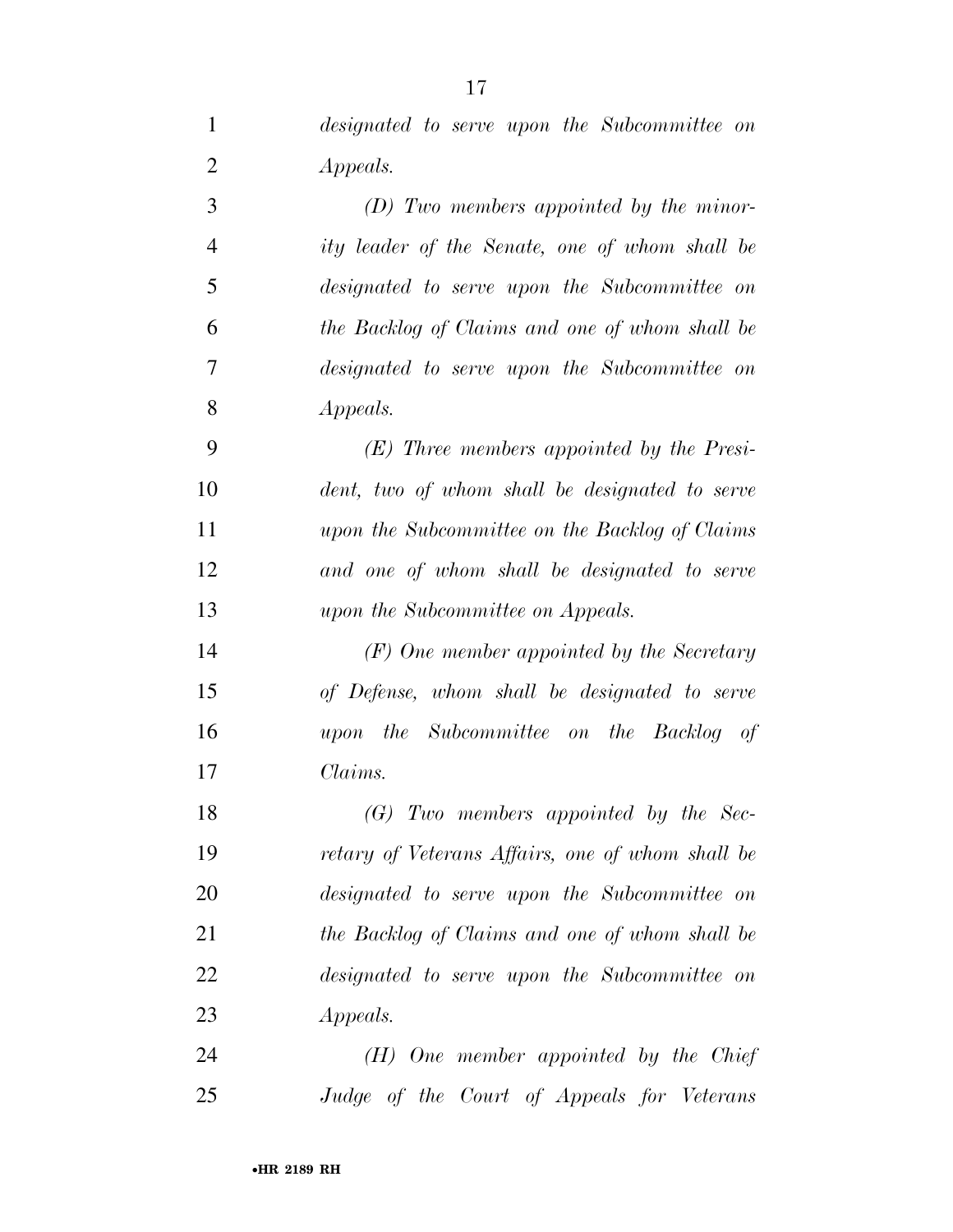| $\mathbf{1}$   | designated to serve upon the Subcommittee on     |
|----------------|--------------------------------------------------|
| $\overline{2}$ | <i>Appeals.</i>                                  |
| 3              | $(D)$ Two members appointed by the minor-        |
| $\overline{4}$ | ity leader of the Senate, one of whom shall be   |
| 5              | designated to serve upon the Subcommittee on     |
| 6              | the Backlog of Claims and one of whom shall be   |
| $\overline{7}$ | designated to serve upon the Subcommittee on     |
| 8              | <i>Appeals.</i>                                  |
| 9              | $(E)$ Three members appointed by the Presi-      |
| 10             | dent, two of whom shall be designated to serve   |
| 11             | upon the Subcommittee on the Backlog of Claims   |
| 12             | and one of whom shall be designated to serve     |
| 13             | upon the Subcommittee on Appeals.                |
| 14             | $(F)$ One member appointed by the Secretary      |
| 15             | of Defense, whom shall be designated to serve    |
| 16             | upon the Subcommittee on the Backlog of          |
| 17             | Claims.                                          |
| 18             | $(G)$ Two members appointed by the Sec-          |
| 19             | retary of Veterans Affairs, one of whom shall be |
| 20             | designated to serve upon the Subcommittee on     |
| 21             | the Backlog of Claims and one of whom shall be   |
| 22             | designated to serve upon the Subcommittee on     |
| 23             | <i>Appeals.</i>                                  |
| 24             | $(H)$ One member appointed by the Chief          |
| 25             | Judge of the Court of Appeals for Veterans       |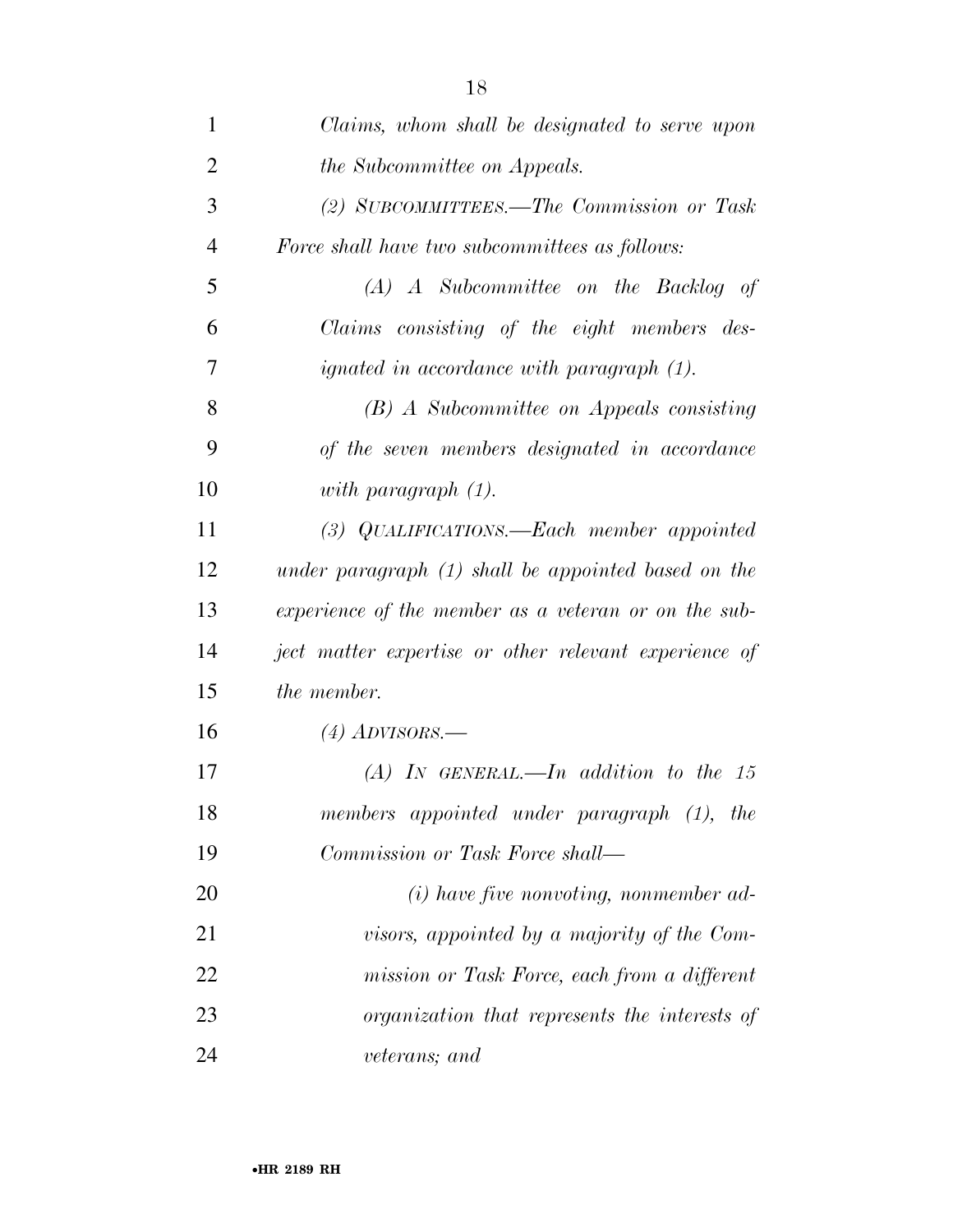| 1              | Claims, whom shall be designated to serve upon        |
|----------------|-------------------------------------------------------|
| $\overline{2}$ | <i>the Subcommittee on Appeals.</i>                   |
| 3              | (2) SUBCOMMITTEES.—The Commission or Task             |
| $\overline{4}$ | Force shall have two subcommittees as follows:        |
| 5              | $(A)$ A Subcommittee on the Backlog of                |
| 6              | Claims consisting of the eight members des-           |
| 7              | <i>ignated in accordance with paragraph (1).</i>      |
| 8              | (B) A Subcommittee on Appeals consisting              |
| 9              | of the seven members designated in accordance         |
| 10             | with paragraph $(1)$ .                                |
| 11             | (3) QUALIFICATIONS.—Each member appointed             |
| 12             | under paragraph $(1)$ shall be appointed based on the |
| 13             | experience of the member as a veteran or on the sub-  |
| 14             | ject matter expertise or other relevant experience of |
| 15             | the member.                                           |
| 16             | $(4)$ ADVISORS.—                                      |
| 17             | $(A)$ IN GENERAL.—In addition to the 15               |
| 18             | members appointed under paragraph (1), the            |
| 19             | Commission or Task Force shall—                       |
| 20             | $(i)$ have five nonvoting, nonmember ad-              |
| 21             | visors, appointed by a majority of the Com-           |
| 22             | mission or Task Force, each from a different          |
| 23             | organization that represents the interests of         |
| 24             | veterans; and                                         |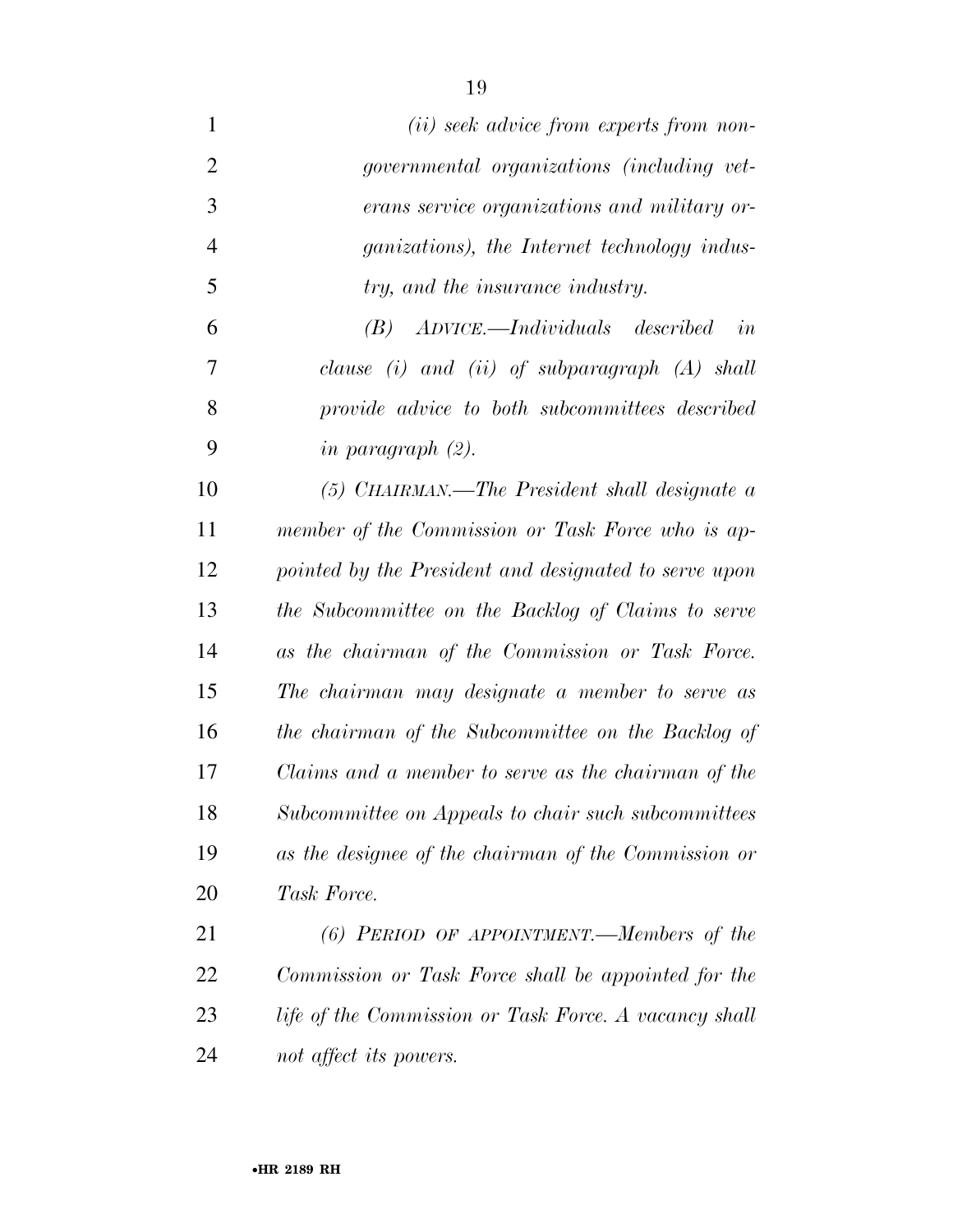| $\mathbf{1}$   | ( <i>ii</i> ) seek advice from experts from non-      |
|----------------|-------------------------------------------------------|
| $\overline{2}$ | <i>governmental organizations (including vet-</i>     |
| 3              | erans service organizations and military or-          |
| $\overline{4}$ | <i>ganizations</i> ), the Internet technology indus-  |
| 5              | try, and the insurance industry.                      |
| 6              | (B) ADVICE.—Individuals described<br>in               |
| 7              | clause (i) and (ii) of subparagraph $(A)$ shall       |
| 8              | provide advice to both subcommittees described        |
| 9              | in paragraph $(2)$ .                                  |
| 10             | $(5)$ CHAIRMAN.—The President shall designate a       |
| 11             | member of the Commission or Task Force who is ap-     |
| 12             | pointed by the President and designated to serve upon |
| 13             | the Subcommittee on the Backlog of Claims to serve    |
| 14             | as the chairman of the Commission or Task Force.      |
| 15             | The chairman may designate a member to serve as       |
| 16             | the chairman of the Subcommittee on the Backlog of    |
| 17             | Claims and a member to serve as the chairman of the   |
| 18             | Subcommittee on Appeals to chair such subcommittees   |
| 19             | as the designee of the chairman of the Commission or  |
| 20             | Task Force.                                           |
| 21             | $(6)$ PERIOD OF APPOINTMENT.—Members of the           |
| 22             | Commission or Task Force shall be appointed for the   |
| 23             | life of the Commission or Task Force. A vacancy shall |
| 24             | not affect its powers.                                |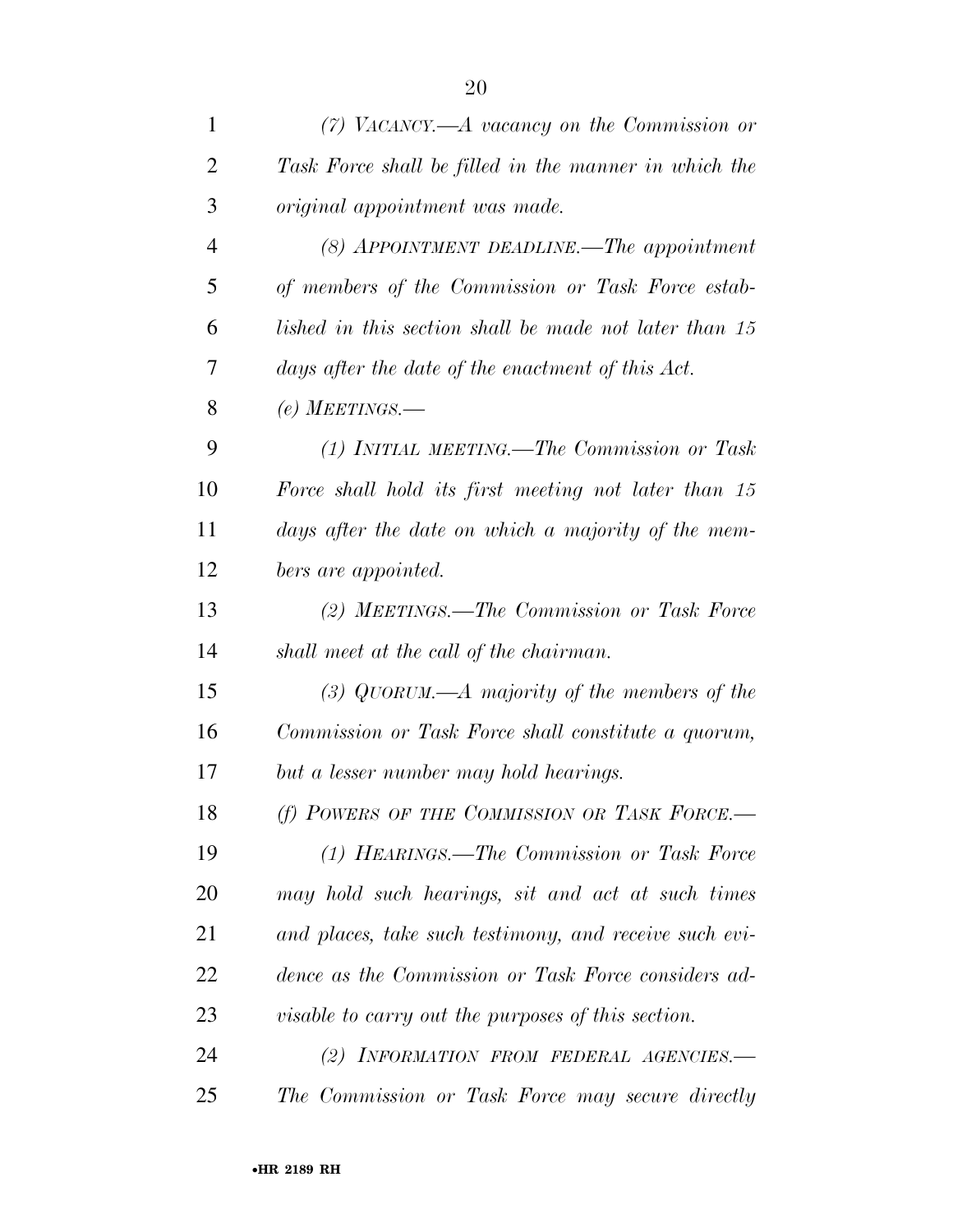| $\mathbf{1}$   | $(7)$ VACANCY.—A vacancy on the Commission or             |
|----------------|-----------------------------------------------------------|
| $\overline{2}$ | Task Force shall be filled in the manner in which the     |
| 3              | <i>original appointment was made.</i>                     |
| $\overline{4}$ | (8) APPOINTMENT DEADLINE.—The appointment                 |
| 5              | of members of the Commission or Task Force estab-         |
| 6              | lished in this section shall be made not later than 15    |
| 7              | days after the date of the enactment of this Act.         |
| 8              | (e) MEETINGS.—                                            |
| 9              | (1) INITIAL MEETING.—The Commission or Task               |
| 10             | Force shall hold its first meeting not later than 15      |
| 11             | days after the date on which a majority of the mem-       |
| 12             | bers are appointed.                                       |
| 13             | (2) MEETINGS.—The Commission or Task Force                |
| 14             | shall meet at the call of the chairman.                   |
| 15             | (3) QUORUM.—A majority of the members of the              |
| 16             | Commission or Task Force shall constitute a quorum,       |
| 17             | but a lesser number may hold hearings.                    |
| 18             | (f) POWERS OF THE COMMISSION OR TASK FORCE.-              |
| 19             | (1) HEARINGS.—The Commission or Task Force                |
| 20             | may hold such hearings, sit and act at such times         |
| 21             | and places, take such testimony, and receive such evi-    |
| 22             | dence as the Commission or Task Force considers ad-       |
| 23             | <i>visable to carry out the purposes of this section.</i> |
| 24             | (2) INFORMATION FROM FEDERAL AGENCIES.-                   |
| 25             | The Commission or Task Force may secure directly          |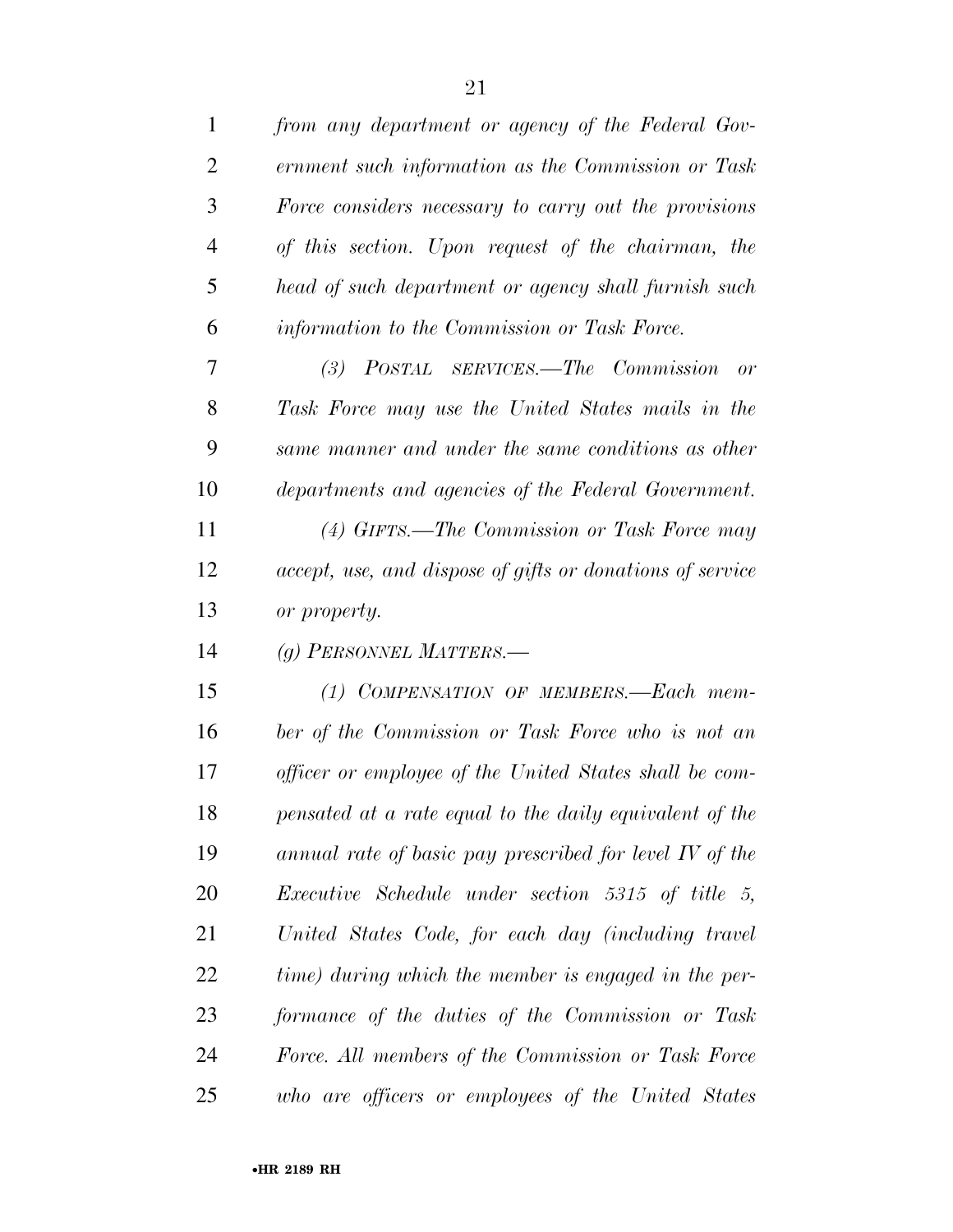| $\mathbf 1$    | from any department or agency of the Federal Gov-         |
|----------------|-----------------------------------------------------------|
| $\overline{2}$ | ernment such information as the Commission or Task        |
| 3              | Force considers necessary to carry out the provisions     |
| $\overline{4}$ | of this section. Upon request of the chairman, the        |
| 5              | head of such department or agency shall furnish such      |
| 6              | information to the Commission or Task Force.              |
| 7              | (3) POSTAL SERVICES.—The Commission<br>or                 |
| 8              | Task Force may use the United States mails in the         |
| 9              | same manner and under the same conditions as other        |
| 10             | departments and agencies of the Federal Government.       |
| 11             | (4) GIFTS.—The Commission or Task Force may               |
| 12             | accept, use, and dispose of gifts or donations of service |
| 13             | or property.                                              |
| 14             | (g) PERSONNEL MATTERS.—                                   |
| 15             | (1) COMPENSATION OF MEMBERS.—Each mem-                    |
| 16             | ber of the Commission or Task Force who is not an         |
| 17             | officer or employee of the United States shall be com-    |
| 18             | pensated at a rate equal to the daily equivalent of the   |
| 19             | annual rate of basic pay prescribed for level IV of the   |
| 20             | <i>Executive Schedule under section 5315 of title 5,</i>  |
| 21             | United States Code, for each day (including travel        |
| 22             | time) during which the member is engaged in the per-      |
| 23             | formance of the duties of the Commission or Task          |
| 24             | Force. All members of the Commission or Task Force        |
| 25             | who are officers or employees of the United States        |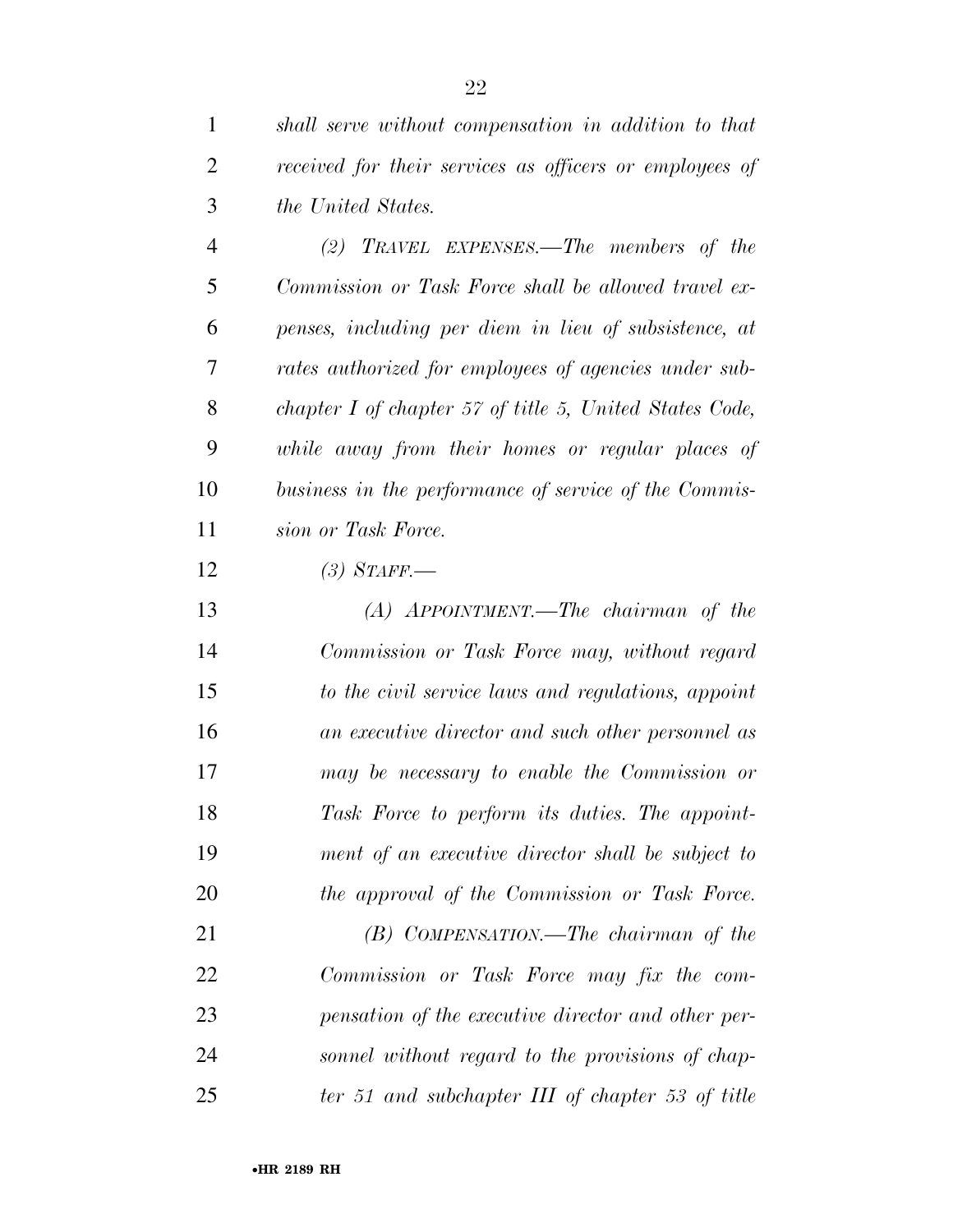*shall serve without compensation in addition to that* 

| 2 | received for their services as officers or employees of |
|---|---------------------------------------------------------|
| 3 | <i>the United States.</i>                               |
|   | TRAVEL EXPENSES.—The members of the<br>(2)              |
| 5 | Commission or Task Force shall be allowed travel ex-    |
| 6 | penses, including per diem in lieu of subsistence, at   |
|   | rates authorized for employees of agencies under sub-   |
|   |                                                         |

 *while away from their homes or regular places of business in the performance of service of the Commis-sion or Task Force.* 

*chapter I of chapter 57 of title 5, United States Code,* 

*(3) STAFF.—* 

 *(A) APPOINTMENT.—The chairman of the Commission or Task Force may, without regard to the civil service laws and regulations, appoint an executive director and such other personnel as may be necessary to enable the Commission or Task Force to perform its duties. The appoint- ment of an executive director shall be subject to the approval of the Commission or Task Force.* 

 *(B) COMPENSATION.—The chairman of the Commission or Task Force may fix the com- pensation of the executive director and other per- sonnel without regard to the provisions of chap-ter 51 and subchapter III of chapter 53 of title*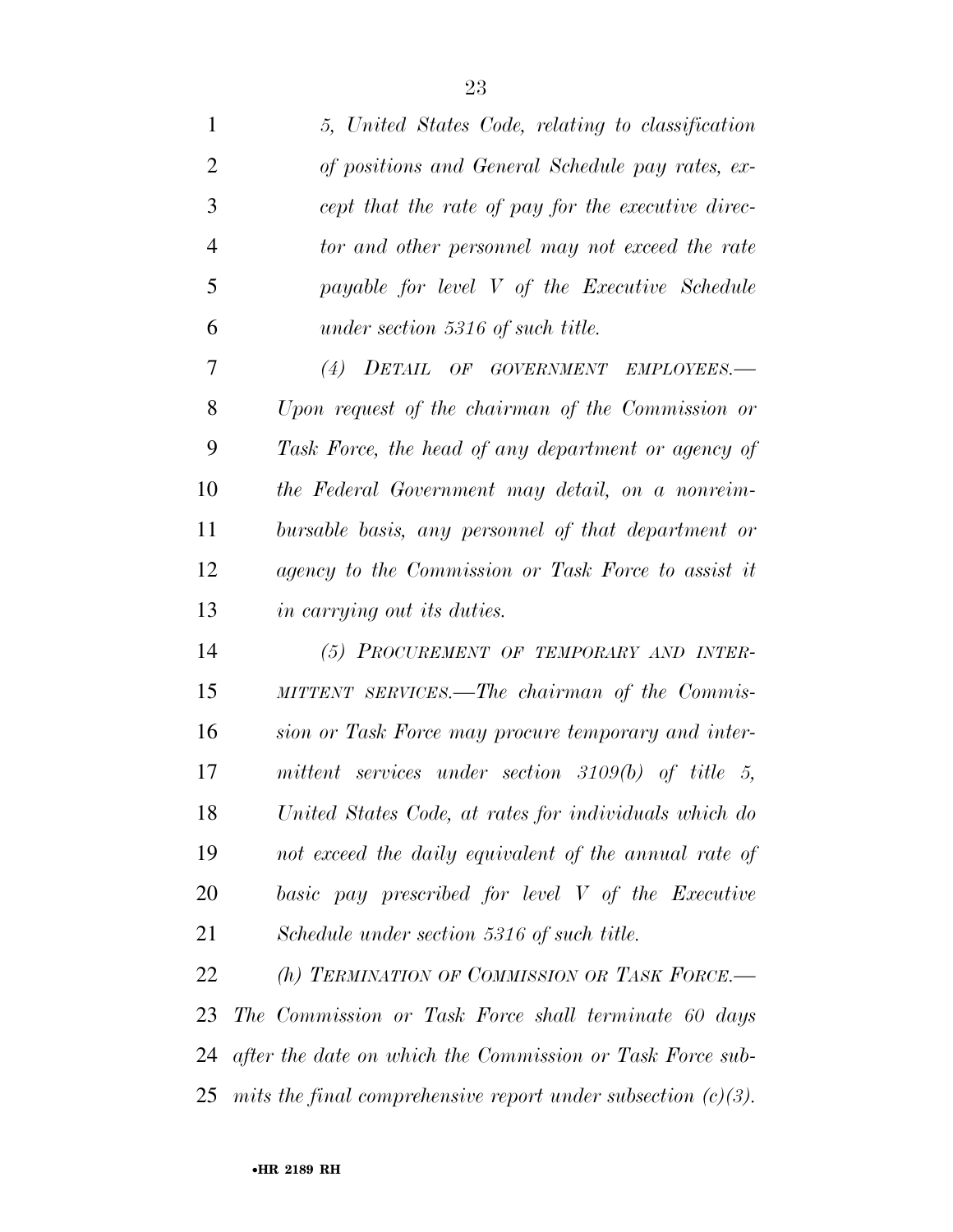| $\mathbf{1}$   | 5, United States Code, relating to classification         |
|----------------|-----------------------------------------------------------|
| $\overline{2}$ | of positions and General Schedule pay rates, ex-          |
| 3              | cept that the rate of pay for the executive direc-        |
| 4              | tor and other personnel may not exceed the rate           |
| 5              | payable for level V of the Executive Schedule             |
| 6              | under section 5316 of such title.                         |
| 7              | (4) DETAIL OF GOVERNMENT EMPLOYEES.-                      |
| 8              | Upon request of the chairman of the Commission or         |
| 9              | Task Force, the head of any department or agency of       |
| 10             | the Federal Government may detail, on a nonreim-          |
| 11             | bursable basis, any personnel of that department or       |
| 12             | agency to the Commission or Task Force to assist it       |
| 13             | in carrying out its duties.                               |
| 14             | (5) PROCUREMENT OF TEMPORARY AND INTER-                   |
| 15             | MITTENT SERVICES.—The chairman of the Commis-             |
| 16             | sion or Task Force may procure temporary and inter-       |
| 17             | mittent services under section $3109(b)$ of title 5,      |
| 18             | United States Code, at rates for individuals which do     |
| 19             | not exceed the daily equivalent of the annual rate of     |
| 20             | basic pay prescribed for level V of the Executive         |
| 21             | Schedule under section 5316 of such title.                |
| 22             | (h) TERMINATION OF COMMISSION OR TASK FORCE.-             |
| 23             | The Commission or Task Force shall terminate 60 days      |
| 24             | after the date on which the Commission or Task Force sub- |

*mits the final comprehensive report under subsection (c)(3).*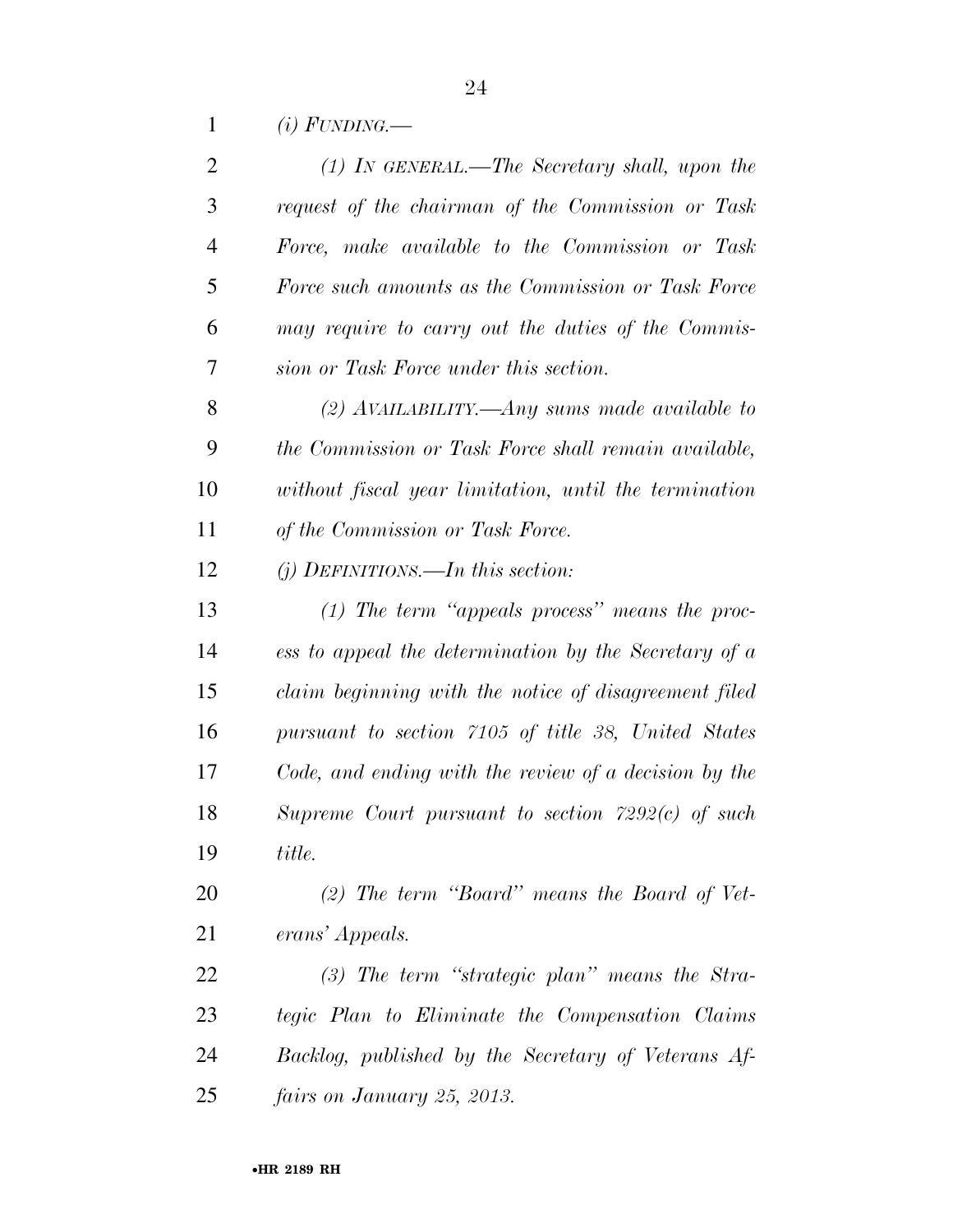*(i) FUNDING.—* 

| 2              | $(1)$ IN GENERAL.—The Secretary shall, upon the       |
|----------------|-------------------------------------------------------|
| 3              | request of the chairman of the Commission or Task     |
| $\overline{4}$ | Force, make available to the Commission or Task       |
| 5              | Force such amounts as the Commission or Task Force    |
| 6              | may require to carry out the duties of the Commis-    |
| 7              | sion or Task Force under this section.                |
| 8              | (2) AVAILABILITY.—Any sums made available to          |
| 9              | the Commission or Task Force shall remain available,  |
| 10             | without fiscal year limitation, until the termination |
| 11             | of the Commission or Task Force.                      |
| 12             | $(i)$ DEFINITIONS.—In this section:                   |
| 13             | $(1)$ The term "appeals process" means the proc-      |
| 14             | ess to appeal the determination by the Secretary of a |
| 15             | claim beginning with the notice of disagreement filed |
| 16             | pursuant to section 7105 of title 38, United States   |
| 17             | Code, and ending with the review of a decision by the |
| 18             | Supreme Court pursuant to section $7292(c)$ of such   |
| 19             | title.                                                |
| 20             | $(2)$ The term "Board" means the Board of Vet-        |
| 21             | erans' Appeals.                                       |
| <u>22</u>      | $(3)$ The term "strategic plan" means the Stra-       |
| 23             | tegic Plan to Eliminate the Compensation Claims       |
| 24             | Backlog, published by the Secretary of Veterans Af-   |
| 25             | fairs on January 25, 2013.                            |
|                |                                                       |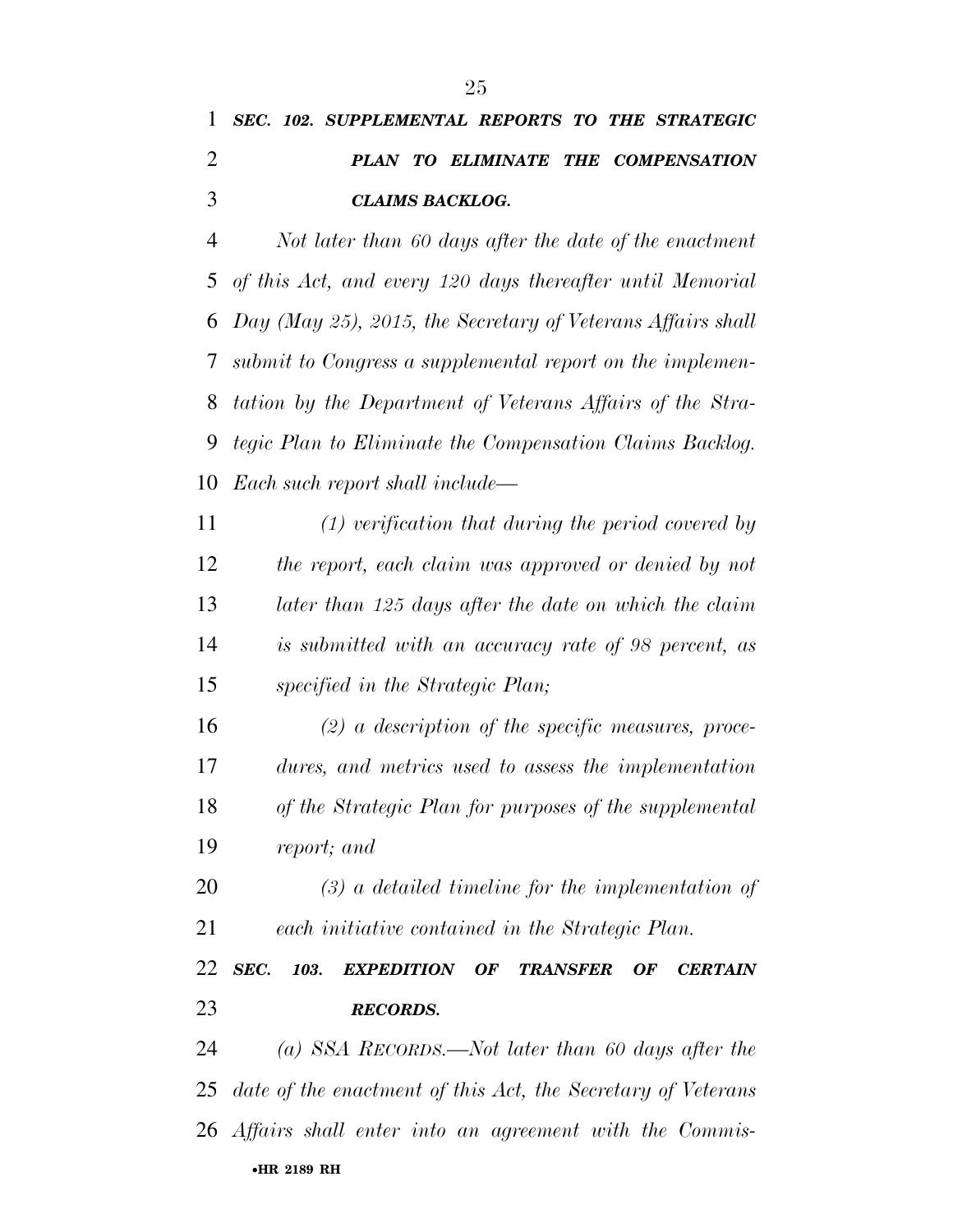|               |  | 1 SEC. 102. SUPPLEMENTAL REPORTS TO THE STRATEGIC |  |                                    |  |  |
|---------------|--|---------------------------------------------------|--|------------------------------------|--|--|
|               |  |                                                   |  | PLAN TO ELIMINATE THE COMPENSATION |  |  |
| $\mathcal{R}$ |  | <b>CLAIMS BACKLOG.</b>                            |  |                                    |  |  |

 *Not later than 60 days after the date of the enactment of this Act, and every 120 days thereafter until Memorial Day (May 25), 2015, the Secretary of Veterans Affairs shall submit to Congress a supplemental report on the implemen- tation by the Department of Veterans Affairs of the Stra- tegic Plan to Eliminate the Compensation Claims Backlog. Each such report shall include—* 

 *(1) verification that during the period covered by the report, each claim was approved or denied by not later than 125 days after the date on which the claim is submitted with an accuracy rate of 98 percent, as specified in the Strategic Plan;* 

 *(2) a description of the specific measures, proce- dures, and metrics used to assess the implementation of the Strategic Plan for purposes of the supplemental report; and* 

 *(3) a detailed timeline for the implementation of each initiative contained in the Strategic Plan.* 

 *SEC. 103. EXPEDITION OF TRANSFER OF CERTAIN RECORDS.* 

•**HR 2189 RH** *(a) SSA RECORDS.—Not later than 60 days after the date of the enactment of this Act, the Secretary of Veterans Affairs shall enter into an agreement with the Commis-*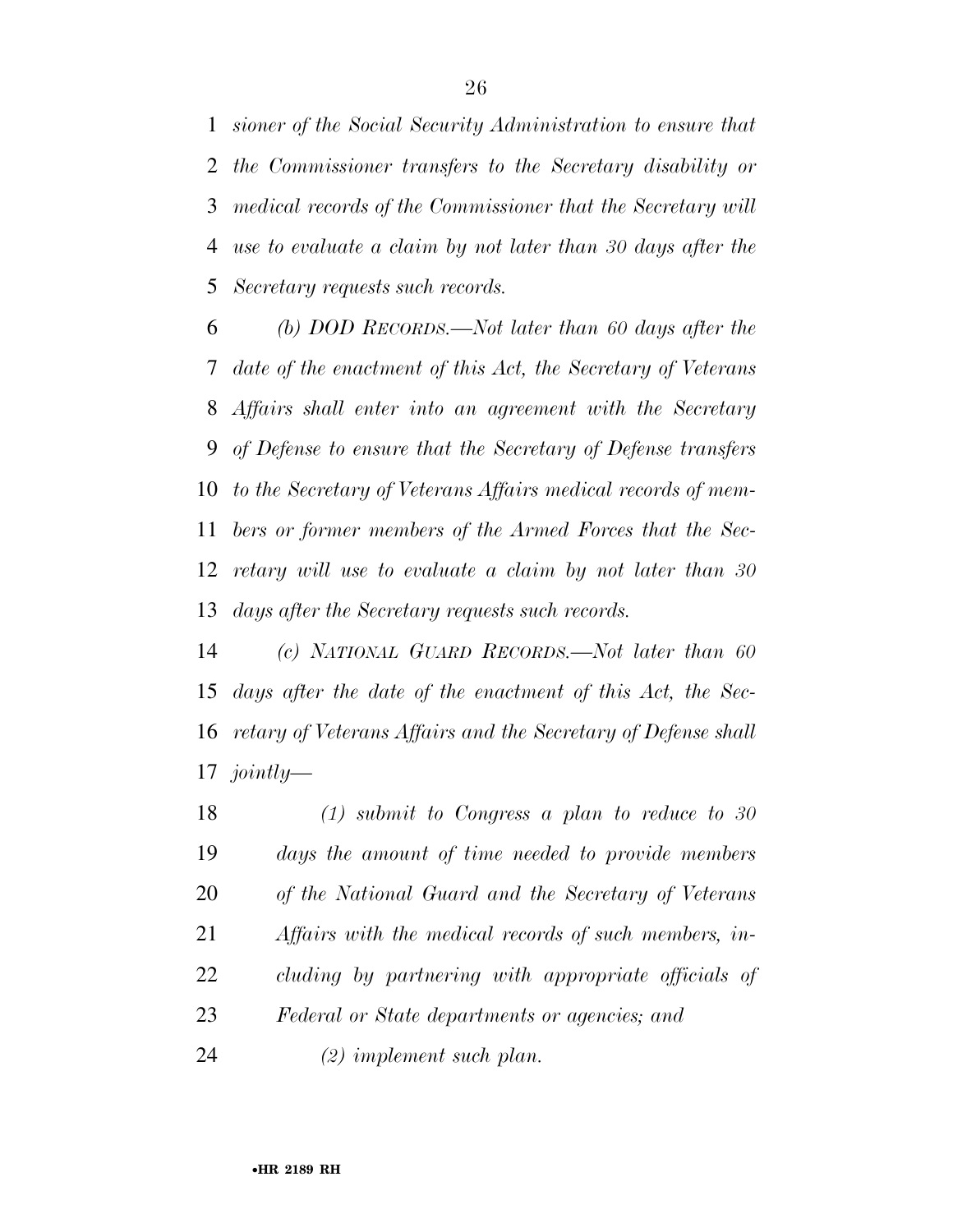*sioner of the Social Security Administration to ensure that the Commissioner transfers to the Secretary disability or medical records of the Commissioner that the Secretary will use to evaluate a claim by not later than 30 days after the Secretary requests such records.* 

 *(b) DOD RECORDS.—Not later than 60 days after the date of the enactment of this Act, the Secretary of Veterans Affairs shall enter into an agreement with the Secretary of Defense to ensure that the Secretary of Defense transfers to the Secretary of Veterans Affairs medical records of mem- bers or former members of the Armed Forces that the Sec- retary will use to evaluate a claim by not later than 30 days after the Secretary requests such records.* 

 *(c) NATIONAL GUARD RECORDS.—Not later than 60 days after the date of the enactment of this Act, the Sec- retary of Veterans Affairs and the Secretary of Defense shall jointly—* 

 *(1) submit to Congress a plan to reduce to 30 days the amount of time needed to provide members of the National Guard and the Secretary of Veterans Affairs with the medical records of such members, in- cluding by partnering with appropriate officials of Federal or State departments or agencies; and* 

*(2) implement such plan.*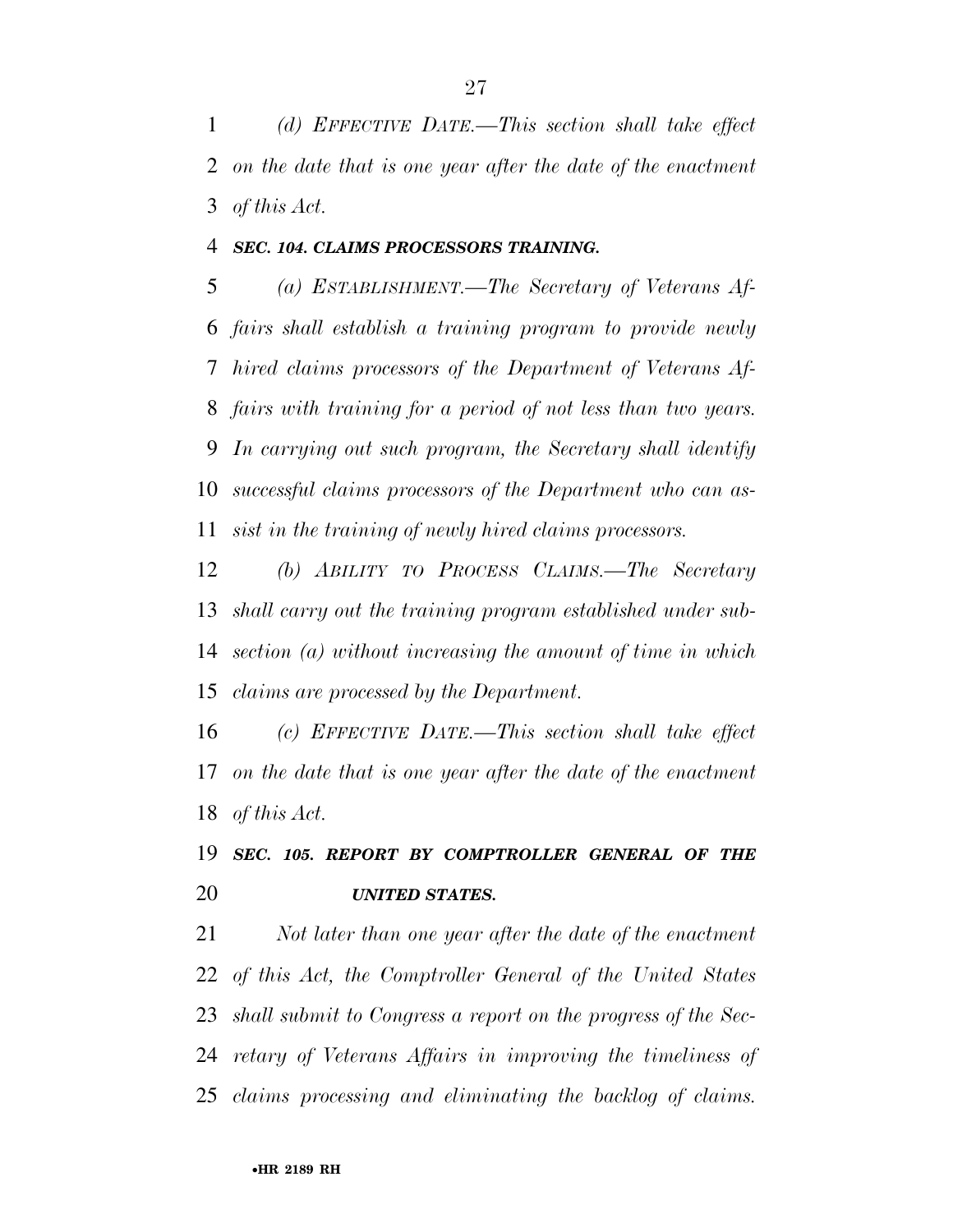*(d) EFFECTIVE DATE.—This section shall take effect on the date that is one year after the date of the enactment of this Act.* 

### *SEC. 104. CLAIMS PROCESSORS TRAINING.*

 *(a) ESTABLISHMENT.—The Secretary of Veterans Af- fairs shall establish a training program to provide newly hired claims processors of the Department of Veterans Af- fairs with training for a period of not less than two years. In carrying out such program, the Secretary shall identify successful claims processors of the Department who can as-sist in the training of newly hired claims processors.* 

 *(b) ABILITY TO PROCESS CLAIMS.—The Secretary shall carry out the training program established under sub- section (a) without increasing the amount of time in which claims are processed by the Department.* 

 *(c) EFFECTIVE DATE.—This section shall take effect on the date that is one year after the date of the enactment of this Act.* 

## *SEC. 105. REPORT BY COMPTROLLER GENERAL OF THE UNITED STATES.*

 *Not later than one year after the date of the enactment of this Act, the Comptroller General of the United States shall submit to Congress a report on the progress of the Sec- retary of Veterans Affairs in improving the timeliness of claims processing and eliminating the backlog of claims.*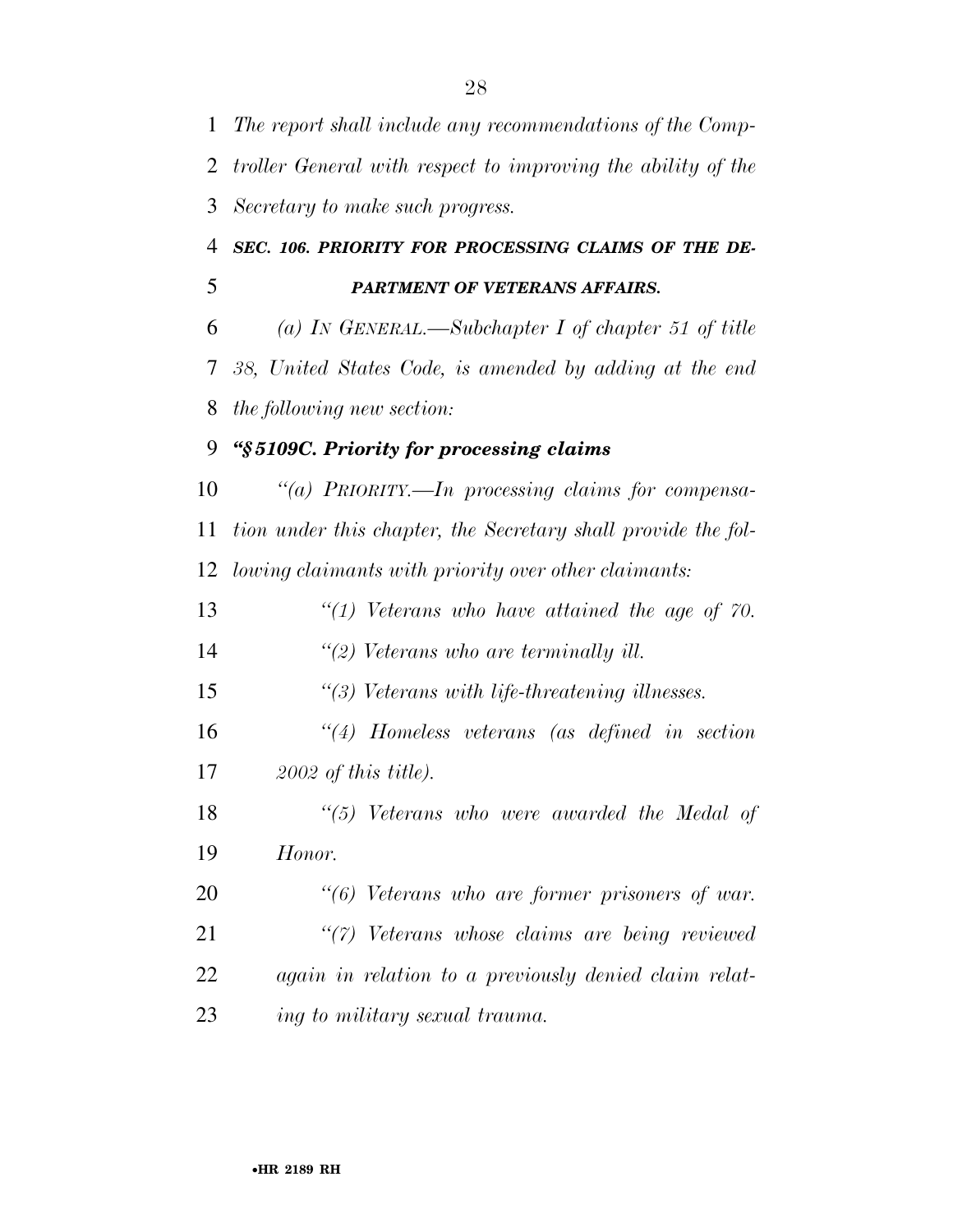| 1  | The report shall include any recommendations of the Comp-     |
|----|---------------------------------------------------------------|
| 2  | troller General with respect to improving the ability of the  |
| 3  | Secretary to make such progress.                              |
| 4  | SEC. 106. PRIORITY FOR PROCESSING CLAIMS OF THE DE-           |
| 5  | PARTMENT OF VETERANS AFFAIRS.                                 |
| 6  | (a) In GENERAL.—Subchapter I of chapter 51 of title           |
| 7  | 38, United States Code, is amended by adding at the end       |
| 8  | the following new section:                                    |
| 9  | "§5109C. Priority for processing claims                       |
| 10 | "(a) PRIORITY.—In processing claims for compensa-             |
| 11 | tion under this chapter, the Secretary shall provide the fol- |
| 12 | lowing claimants with priority over other claimants:          |
| 13 | $\lq(1)$ Veterans who have attained the age of 70.            |
| 14 | $\lq(2)$ Veterans who are terminally ill.                     |
| 15 | $\lq(3)$ Veterans with life-threatening illnesses.            |
| 16 | $\lq(4)$ Homeless veterans (as defined in section)            |
| 17 | $2002$ of this title).                                        |
| 18 | $\lq(5)$ Veterans who were awarded the Medal of               |
| 19 | Honor.                                                        |
| 20 | "(6) Veterans who are former prisoners of war.                |
| 21 | "(7) Veterans whose claims are being reviewed                 |
| 22 | again in relation to a previously denied claim relat-         |
| 23 | ing to military sexual trauma.                                |
|    |                                                               |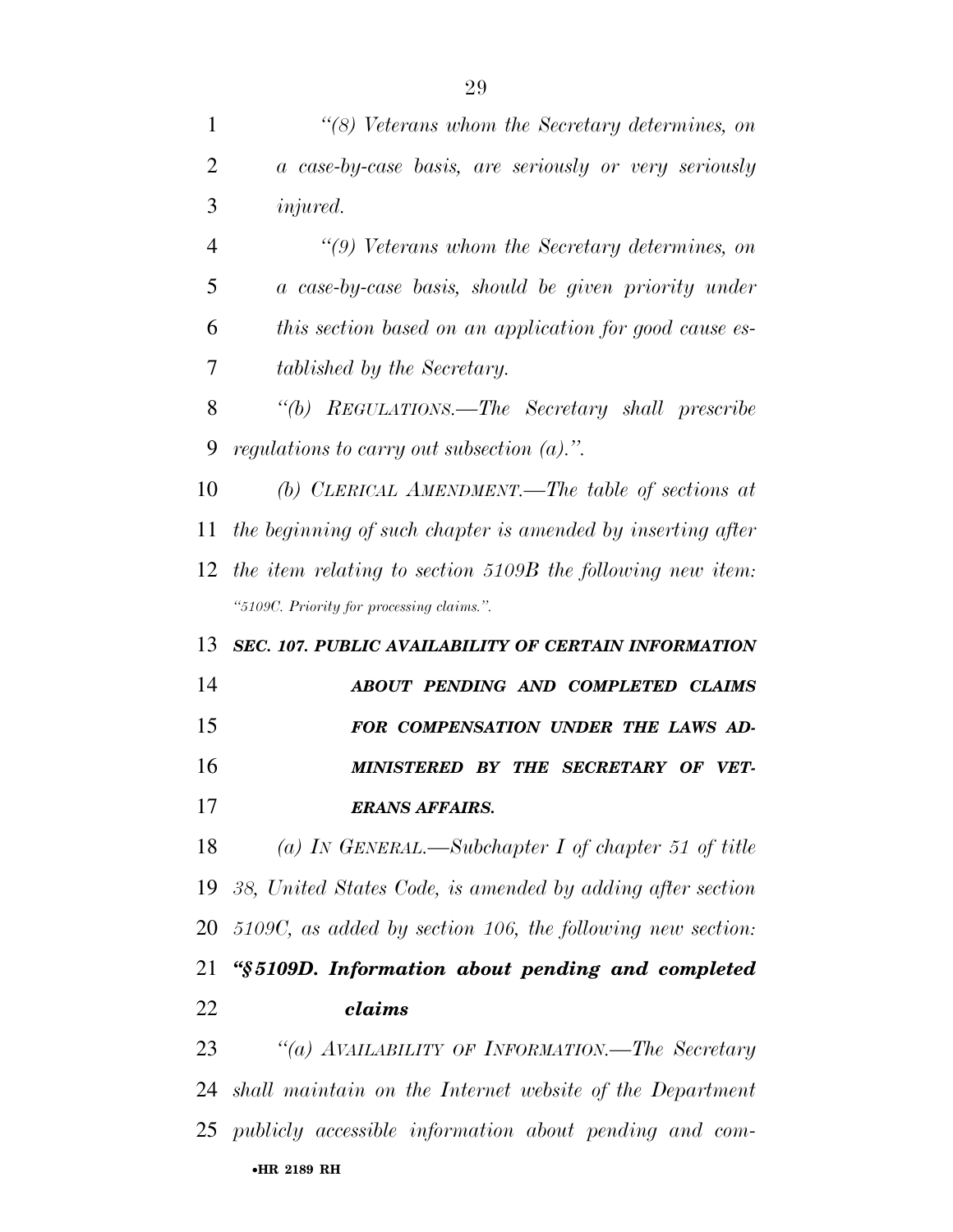| 1               | "(8) Veterans whom the Secretary determines, on               |
|-----------------|---------------------------------------------------------------|
| $\overline{2}$  | a case-by-case basis, are seriously or very seriously         |
| 3               | <i>injured.</i>                                               |
| $\overline{4}$  | $\lq(9)$ Veterans whom the Secretary determines, on           |
| 5               | a case-by-case basis, should be given priority under          |
| 6               | this section based on an application for good cause es-       |
| 7               | tablished by the Secretary.                                   |
| 8               | "(b) REGULATIONS.—The Secretary shall prescribe               |
| 9               | regulations to carry out subsection $(a)$ .".                 |
| 10              | (b) CLERICAL AMENDMENT.—The table of sections at              |
| 11              | the beginning of such chapter is amended by inserting after   |
| 12              | the item relating to section 5109B the following new item:    |
|                 | "5109C. Priority for processing claims.".                     |
| 13              | <b>SEC. 107. PUBLIC AVAILABILITY OF CERTAIN INFORMATION</b>   |
|                 |                                                               |
| 14              | ABOUT PENDING AND COMPLETED CLAIMS                            |
| 15              | FOR COMPENSATION UNDER THE LAWS AD-                           |
| 16              | MINISTERED BY THE SECRETARY OF VET-                           |
| 17              | ERANS AFFAIRS.                                                |
| 18              | (a) IN GENERAL.—Subchapter I of chapter 51 of title           |
| 19              | 38, United States Code, is amended by adding after section    |
| 20              | $5109C$ , as added by section 106, the following new section: |
|                 | "§5109D. Information about pending and completed              |
| 21<br><u>22</u> | claims                                                        |
| 23              | "(a) AVAILABILITY OF INFORMATION.—The Secretary               |
| 24              | shall maintain on the Internet website of the Department      |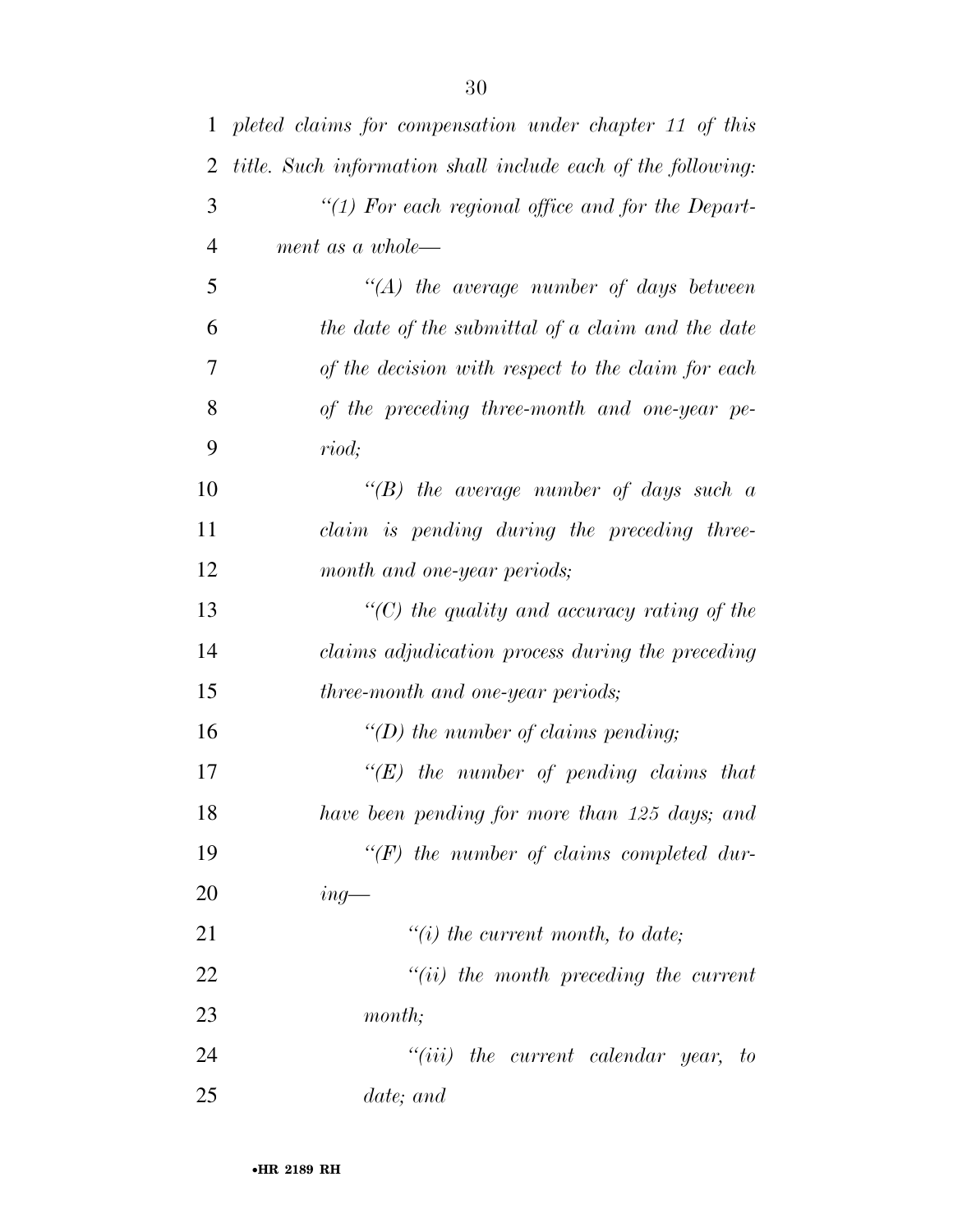| $\mathbf{1}$   | pleted claims for compensation under chapter 11 of this      |
|----------------|--------------------------------------------------------------|
| $\overline{2}$ | title. Such information shall include each of the following: |
| 3              | " $(1)$ For each regional office and for the Depart-         |
| $\overline{4}$ | ment as a whole—                                             |
| 5              | $\lq\lq (A)$ the average number of days between              |
| 6              | the date of the submittal of a claim and the date            |
| 7              | of the decision with respect to the claim for each           |
| 8              | of the preceding three-month and one-year pe-                |
| 9              | riod;                                                        |
| 10             | $\lq\lq(B)$ the average number of days such a                |
| 11             | claim is pending during the preceding three-                 |
| 12             | month and one-year periods;                                  |
| 13             | $\lq\lq$ the quality and accuracy rating of the              |
| 14             | claims adjudication process during the preceding             |
| 15             | three-month and one-year periods;                            |
| 16             | "(D) the number of claims pending;                           |
| 17             | $\lq\lq (E)$ the number of pending claims that               |
| 18             | have been pending for more than 125 days; and                |
| 19             | $\lq (F)$ the number of claims completed dur-                |
| 20             | $ing$ —                                                      |
| 21             | $\lq\lq(i)$ the current month, to date;                      |
| 22             | $"(ii)$ the month preceding the current                      |
| 23             | month;                                                       |
| 24             | $``(iii)$ the current calendar year, to                      |
| 25             | date; and                                                    |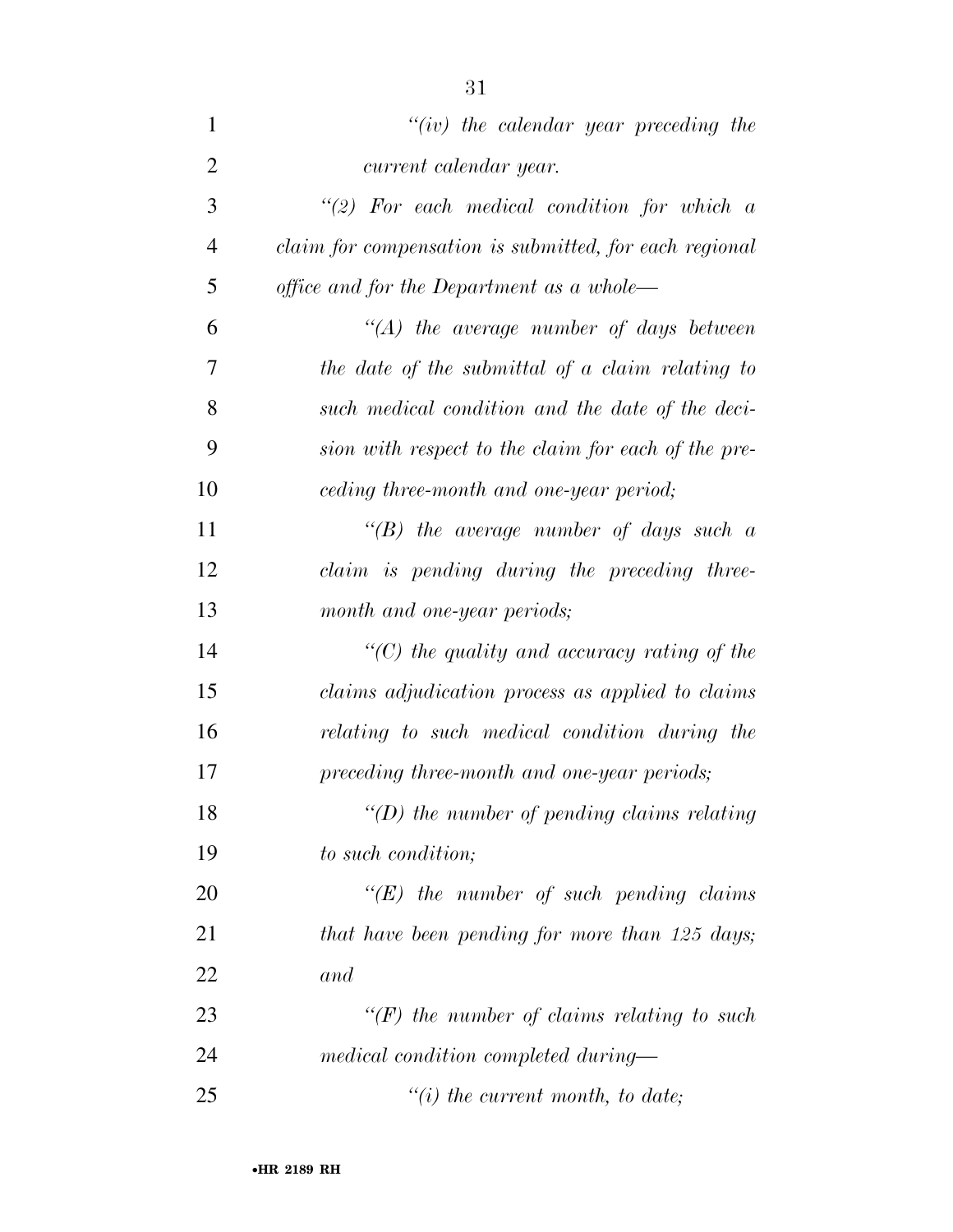| $\mathbf{1}$   | " $(iv)$ the calendar year preceding the               |
|----------------|--------------------------------------------------------|
| $\overline{2}$ | current calendar year.                                 |
| 3              | $"(2)$ For each medical condition for which a          |
| $\overline{4}$ | claim for compensation is submitted, for each regional |
| 5              | office and for the Department as a whole—              |
| 6              | $\lq (A)$ the average number of days between           |
| 7              | the date of the submittal of a claim relating to       |
| 8              | such medical condition and the date of the deci-       |
| 9              | sion with respect to the claim for each of the pre-    |
| 10             | ceding three-month and one-year period;                |
| 11             | "(B) the average number of days such $a$               |
| 12             | claim is pending during the preceding three-           |
| 13             | month and one-year periods;                            |
| 14             | $\lq\lq C$ ) the quality and accuracy rating of the    |
| 15             | claims adjudication process as applied to claims       |
| 16             | relating to such medical condition during the          |
| 17             | preceding three-month and one-year periods;            |
| 18             | $\lq\lq(D)$ the number of pending claims relating      |
| 19             | to such condition;                                     |
| 20             | $\lq\lq (E)$ the number of such pending claims         |
| 21             | that have been pending for more than 125 days;         |
| 22             | and                                                    |
| 23             | $\lq (F)$ the number of claims relating to such        |
| 24             | medical condition completed during—                    |
| 25             | $\lq\lq(i)$ the current month, to date;                |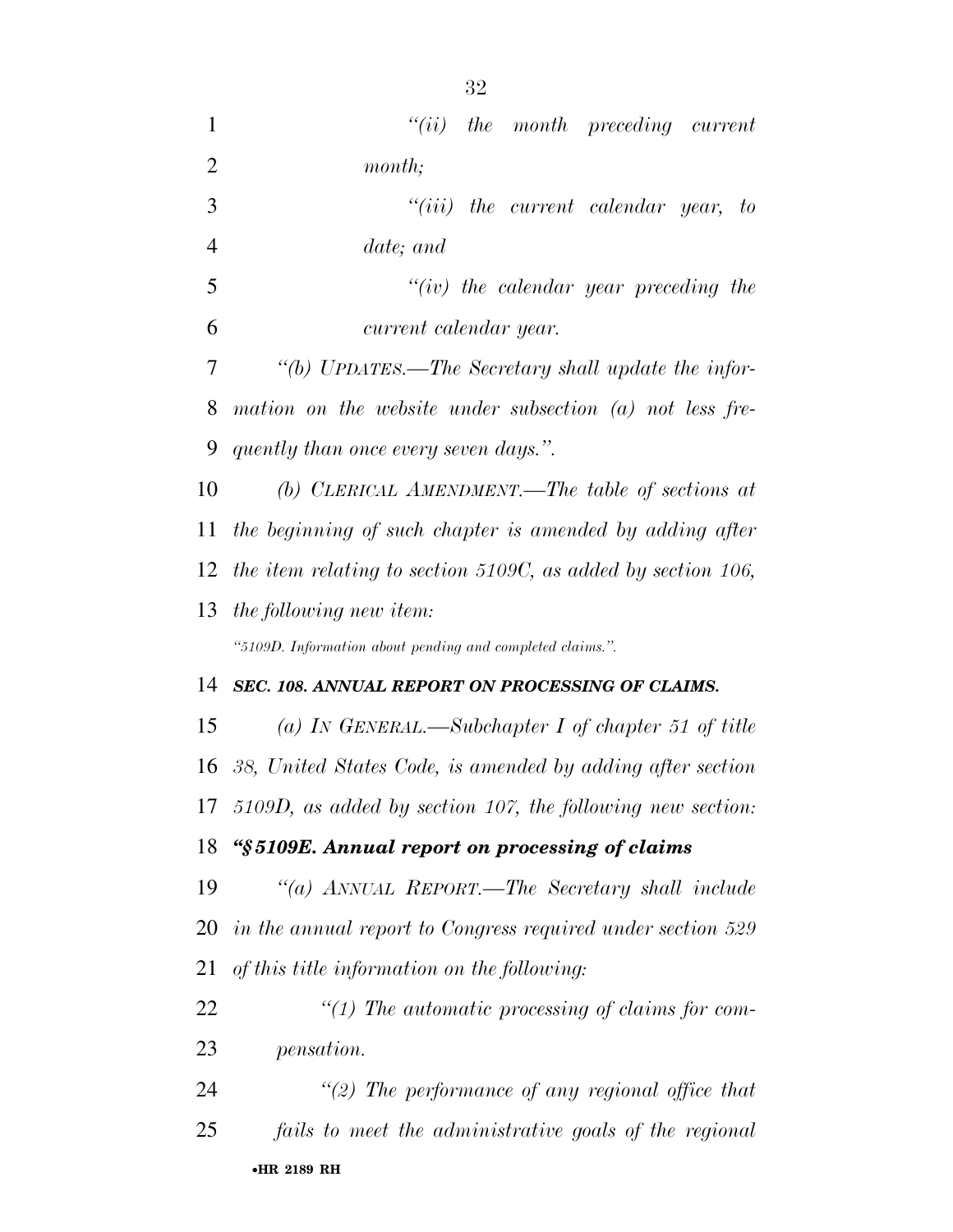| $\mathbf{1}$   | ``(ii)<br>the month preceding current                         |
|----------------|---------------------------------------------------------------|
| $\overline{2}$ | month;                                                        |
| 3              | the current calendar year, to<br>``(iii)                      |
| $\overline{4}$ | date; and                                                     |
| 5              | "(iv) the calendar year preceding the                         |
| 6              | current calendar year.                                        |
| 7              | "(b) UPDATES.—The Secretary shall update the infor-           |
| 8              | mation on the website under subsection $(a)$ not less fre-    |
| 9              | quently than once every seven days.".                         |
| 10             | (b) CLERICAL AMENDMENT.—The table of sections at              |
| 11             | the beginning of such chapter is amended by adding after      |
| 12             | the item relating to section 5109C, as added by section 106,  |
| 13             | the following new item:                                       |
|                | "5109D. Information about pending and completed claims.".     |
| 14             | SEC. 108. ANNUAL REPORT ON PROCESSING OF CLAIMS.              |
| 15             | (a) IN GENERAL.—Subchapter I of chapter 51 of title           |
| 16             | 38, United States Code, is amended by adding after section    |
|                | 17 5109D, as added by section 107, the following new section: |
| 18             | "§5109E. Annual report on processing of claims                |
| 19             | "(a) ANNUAL REPORT.—The Secretary shall include               |
| 20             | in the annual report to Congress required under section 529   |
| 21             | of this title information on the following:                   |
| 22             | $\lq (1)$ The automatic processing of claims for com-         |
| 23             | <i>pensation.</i>                                             |
| 24             | $\lq(2)$ The performance of any regional office that          |
| 25             |                                                               |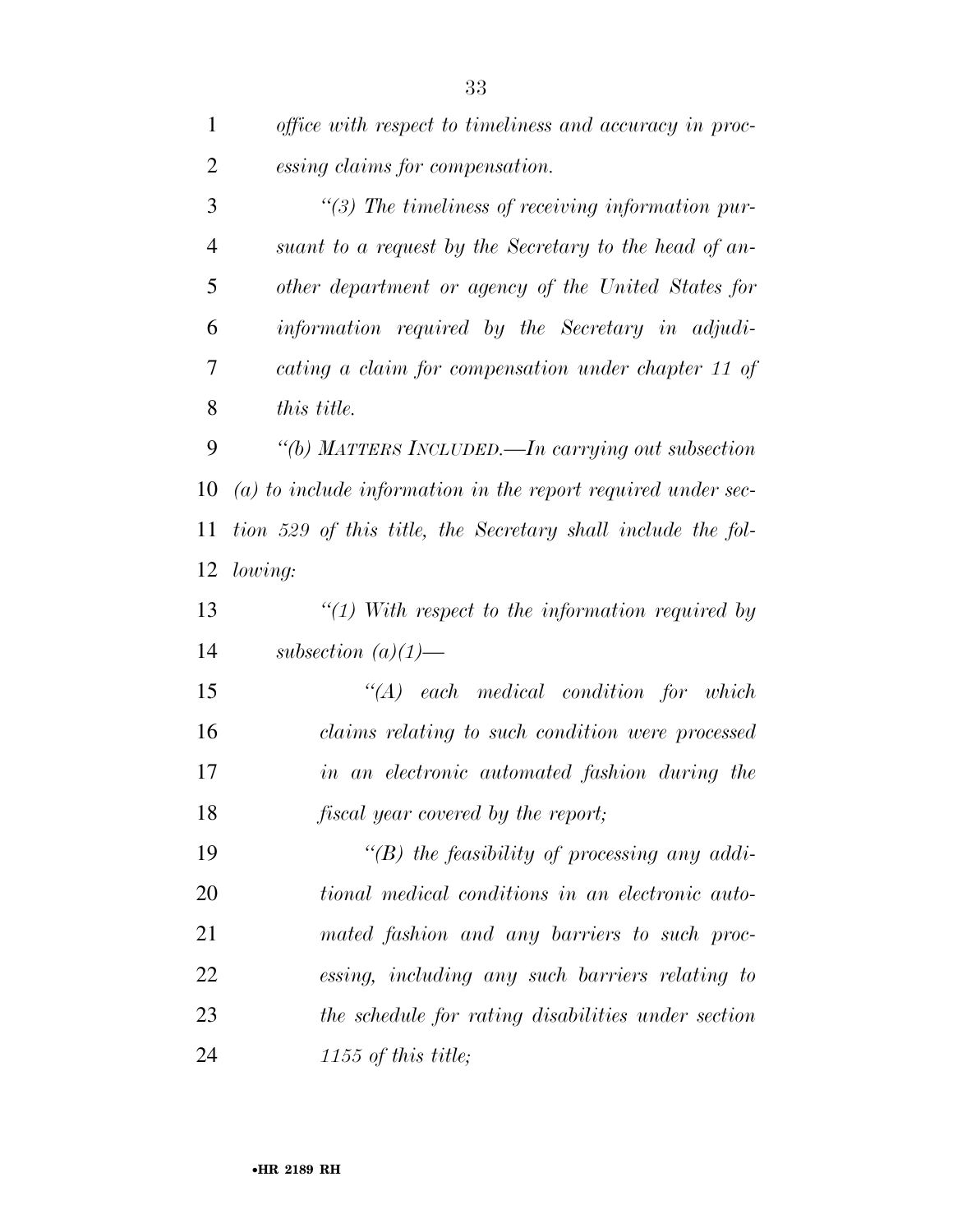| $\mathbf{1}$   | office with respect to timeliness and accuracy in proc-        |
|----------------|----------------------------------------------------------------|
| $\overline{2}$ | essing claims for compensation.                                |
| 3              | $\lq(3)$ The timeliness of receiving information pur-          |
| $\overline{4}$ | suant to a request by the Secretary to the head of an-         |
| 5              | other department or agency of the United States for            |
| 6              | information required by the Secretary in adjudi-               |
| 7              | cating a claim for compensation under chapter 11 of            |
| 8              | this title.                                                    |
| 9              | "(b) MATTERS INCLUDED.—In carrying out subsection              |
| 10             | $(a)$ to include information in the report required under sec- |
| 11             | tion 529 of this title, the Secretary shall include the fol-   |
| 12             | lowing:                                                        |
| 13             | $\lq(1)$ With respect to the information required by           |
| 14             | subsection $(a)(1)$ —                                          |
| 15             | $\lq\lq (A)$ each medical condition for which                  |
| 16             | claims relating to such condition were processed               |
| 17             | in an electronic automated fashion during the                  |
| 18             | <i>fiscal year covered by the report;</i>                      |
| 19             | "(B) the feasibility of processing any addi-                   |
| 20             | tional medical conditions in an electronic auto-               |
| 21             | mated fashion and any barriers to such proc-                   |
| 22             | essing, including any such barriers relating to                |
| 23             | the schedule for rating disabilities under section             |
| 24             | 1155 of this title;                                            |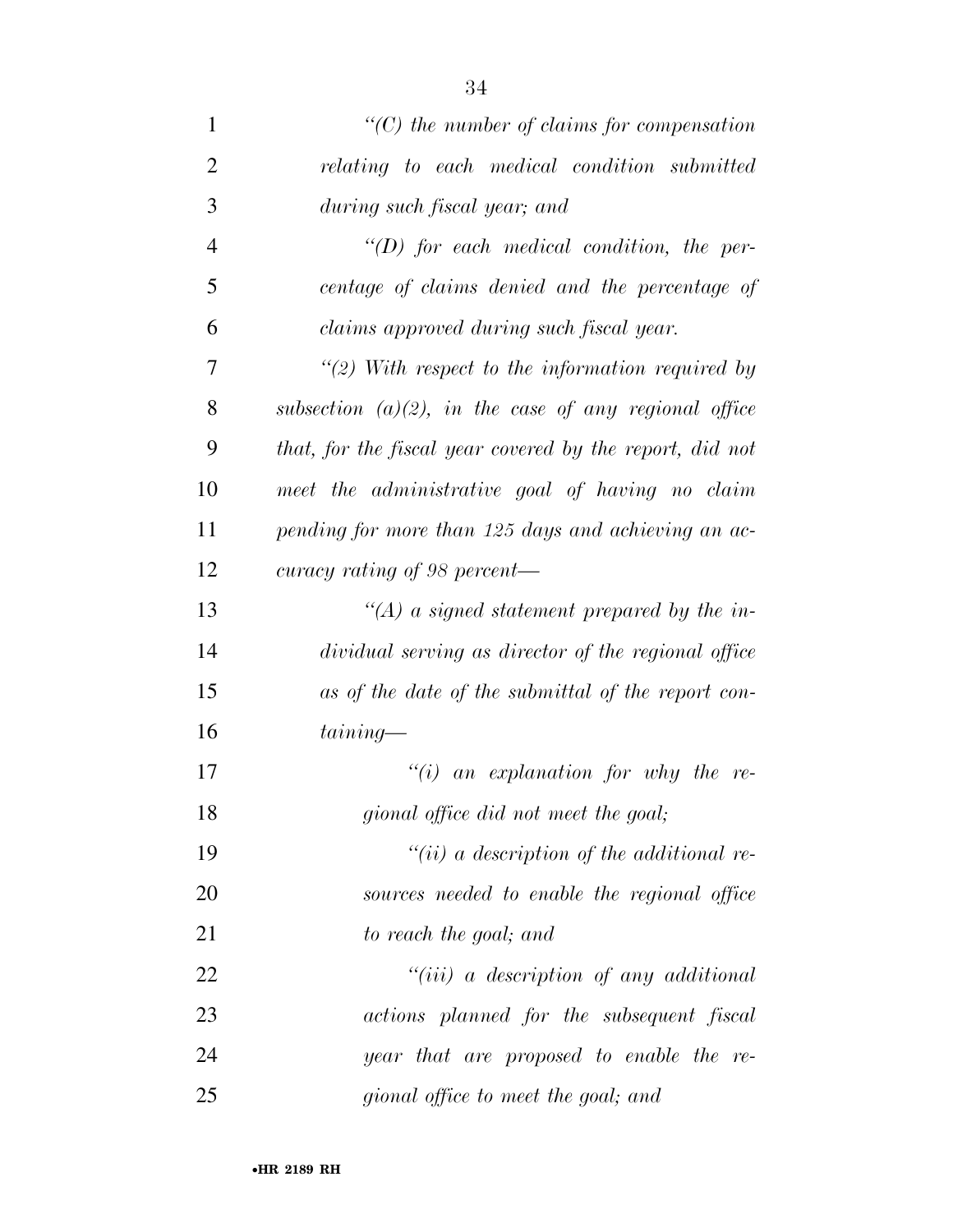| $\mathbf{1}$   | $\lq\lq$ the number of claims for compensation           |
|----------------|----------------------------------------------------------|
| $\overline{2}$ | relating to each medical condition submitted             |
| 3              | during such fiscal year; and                             |
| $\overline{4}$ | $\lq (D)$ for each medical condition, the per-           |
| 5              | centage of claims denied and the percentage of           |
| 6              | claims approved during such fiscal year.                 |
| 7              | $\lq(2)$ With respect to the information required by     |
| 8              | subsection $(a)(2)$ , in the case of any regional office |
| 9              | that, for the fiscal year covered by the report, did not |
| 10             | meet the administrative goal of having no claim          |
| 11             | pending for more than 125 days and achieving an ac-      |
| 12             | curacy rating of 98 percent—                             |
| 13             | $\lq (A)$ a signed statement prepared by the in-         |
| 14             | dividual serving as director of the regional office      |
| 15             | as of the date of the submittal of the report con-       |
| 16             | $taining-$                                               |
| 17             | $\lq\lq(i)$ an explanation for why the re-               |
| 18             | gional office did not meet the goal;                     |
| 19             | $``(ii)$ a description of the additional re-             |
| 20             | sources needed to enable the regional office             |
| 21             | to reach the goal; and                                   |
| 22             | $``(iii)$ a description of any additional                |
| 23             | actions planned for the subsequent fiscal                |
| 24             | year that are proposed to enable the re-                 |
| 25             | gional office to meet the goal; and                      |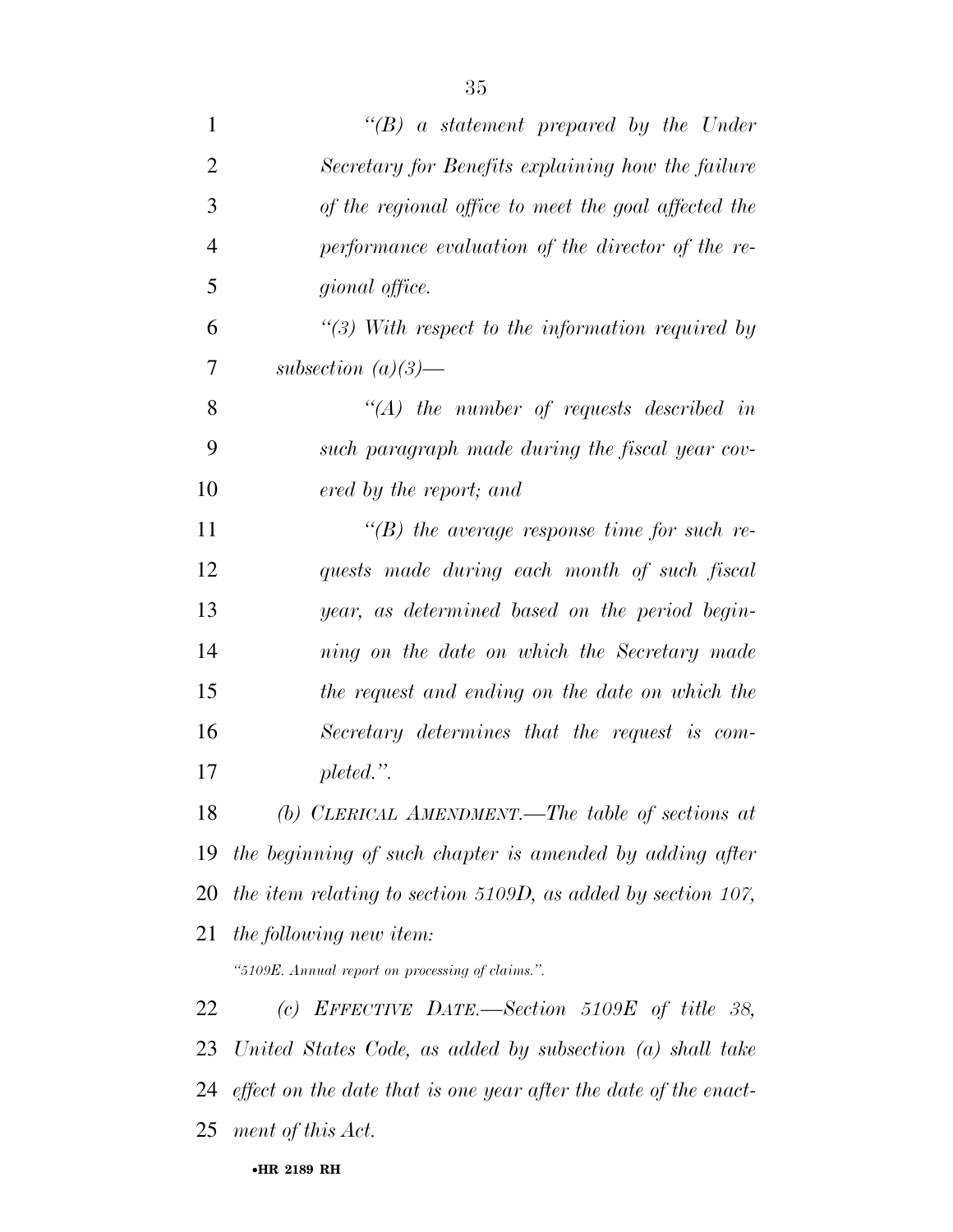| $\mathbf{1}$   | $\lq\lq(B)$ a statement prepared by the Under                    |
|----------------|------------------------------------------------------------------|
| $\overline{2}$ | Secretary for Benefits explaining how the failure                |
| 3              | of the regional office to meet the goal affected the             |
| $\overline{4}$ | performance evaluation of the director of the re-                |
| 5              | gional office.                                                   |
| 6              | $\lq(3)$ With respect to the information required by             |
| 7              | subsection $(a)(3)$ —                                            |
| 8              | $\lq (A)$ the number of requests described in                    |
| 9              | such paragraph made during the fiscal year cov-                  |
| 10             | ered by the report; and                                          |
| 11             | $\lq\lq(B)$ the average response time for such re-               |
| 12             | quests made during each month of such fiscal                     |
| 13             | year, as determined based on the period begin-                   |
| 14             | ning on the date on which the Secretary made                     |
| 15             | the request and ending on the date on which the                  |
| 16             | Secretary determines that the request is com-                    |
| 17             | $pleted.$ ".                                                     |
| 18             | (b) CLERICAL AMENDMENT.—The table of sections at                 |
| 19             | the beginning of such chapter is amended by adding after         |
| 20             | the item relating to section 5109D, as added by section 107,     |
| 21             | the following new item:                                          |
|                | "5109E. Annual report on processing of claims.".                 |
| 22             | (c) EFFECTIVE DATE.—Section 5109E of title 38,                   |
| 23             | United States Code, as added by subsection $(a)$ shall take      |
| 24             | effect on the date that is one year after the date of the enact- |
| 25             | ment of this Act.                                                |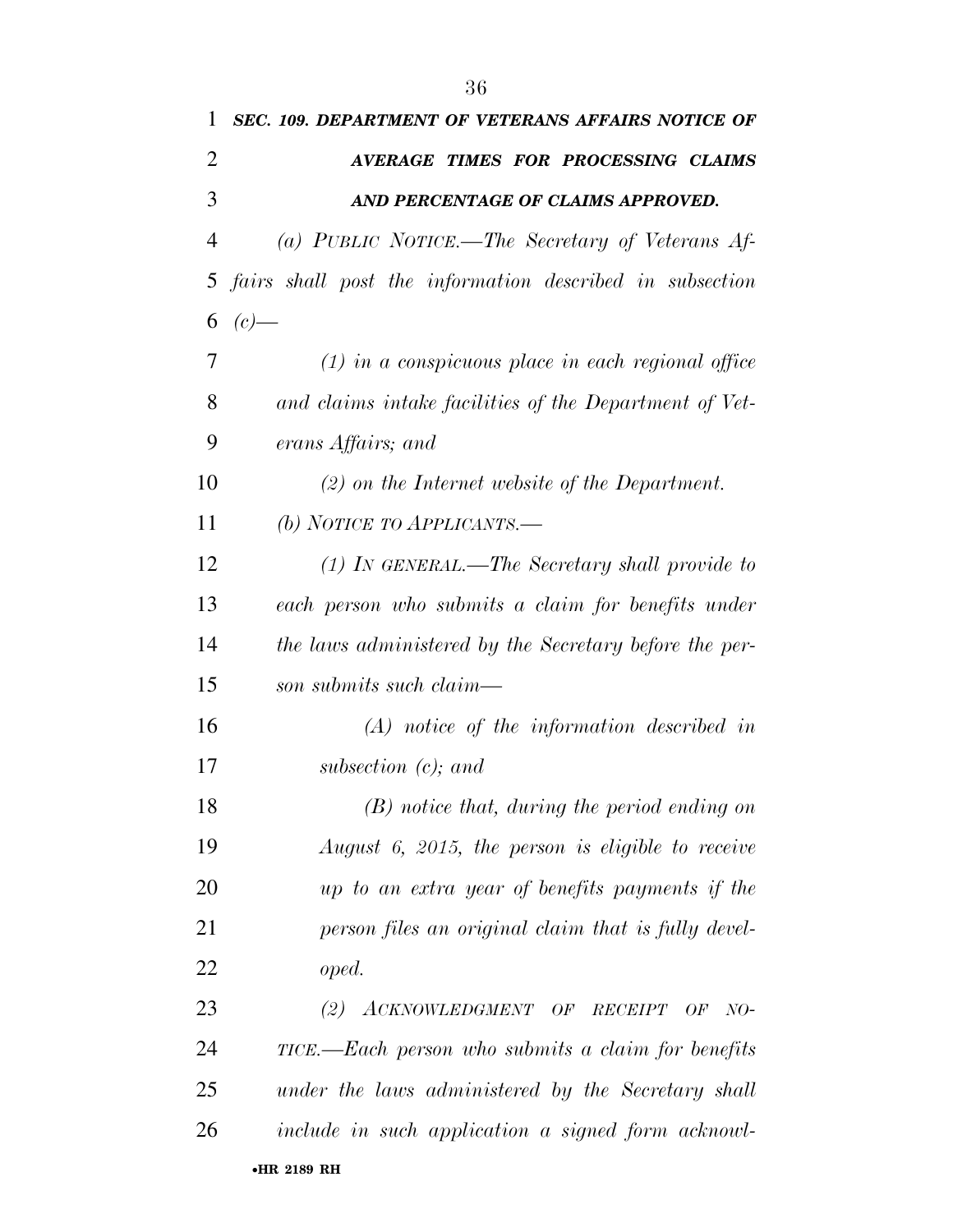| 1              | <b>SEC. 109. DEPARTMENT OF VETERANS AFFAIRS NOTICE OF</b> |
|----------------|-----------------------------------------------------------|
| $\overline{2}$ | AVERAGE TIMES FOR PROCESSING CLAIMS                       |
| 3              | AND PERCENTAGE OF CLAIMS APPROVED.                        |
| $\overline{4}$ | (a) PUBLIC NOTICE.-The Secretary of Veterans Af-          |
| 5              | fairs shall post the information described in subsection  |
| 6              | $(c)$ —                                                   |
| 7              | $(1)$ in a conspicuous place in each regional office      |
| 8              | and claims intake facilities of the Department of Vet-    |
| 9              | erans Affairs; and                                        |
| 10             | $(2)$ on the Internet website of the Department.          |
| 11             | (b) NOTICE TO APPLICANTS.—                                |
| 12             | $(1)$ In GENERAL.—The Secretary shall provide to          |
| 13             | each person who submits a claim for benefits under        |
| 14             | the laws administered by the Secretary before the per-    |
| 15             | son submits such claim—                                   |
| 16             | $(A)$ notice of the information described in              |
| 17             | subsection $(c)$ ; and                                    |
| 18             | $(B)$ notice that, during the period ending on            |
| 19             | August 6, 2015, the person is eligible to receive         |
| 20             | up to an extra year of benefits payments if the           |
| 21             | person files an original claim that is fully devel-       |
| 22             | oped.                                                     |
| 23             | (2) ACKNOWLEDGMENT OF RECEIPT OF<br>$NO-$                 |
| 24             | TICE.—Each person who submits a claim for benefits        |
| 25             | under the laws administered by the Secretary shall        |
| 26             | include in such application a signed form acknowl-        |
|                | •HR 2189 RH                                               |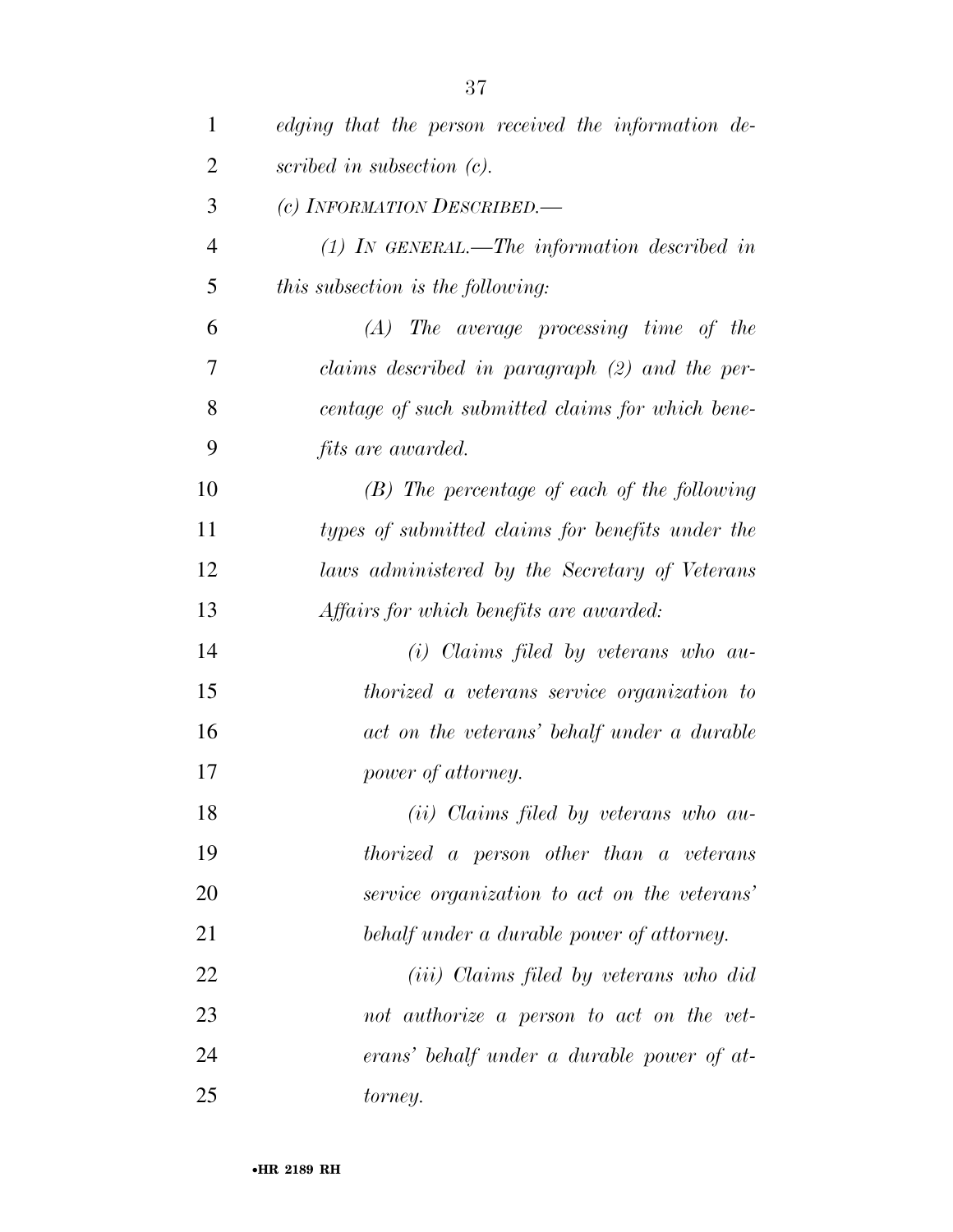| $\mathbf{1}$   | edging that the person received the information de- |
|----------------|-----------------------------------------------------|
| $\overline{2}$ | scribed in subsection $(c)$ .                       |
| 3              | (c) INFORMATION DESCRIBED.                          |
| $\overline{4}$ | $(1)$ IN GENERAL.—The information described in      |
| 5              | this subsection is the following:                   |
| 6              | $(A)$ The average processing time of the            |
| 7              | claims described in paragraph (2) and the per-      |
| 8              | centage of such submitted claims for which bene-    |
| 9              | <i>fits are awarded.</i>                            |
| 10             | $(B)$ The percentage of each of the following       |
| 11             | types of submitted claims for benefits under the    |
| 12             | laws administered by the Secretary of Veterans      |
| 13             | Affairs for which benefits are awarded:             |
| 14             | $(i)$ Claims filed by veterans who au-              |
| 15             | thorized a veterans service organization to         |
| 16             | act on the veterans' behalf under a durable         |
| 17             | power of attorney.                                  |
| 18             | $(ii)$ Claims filed by veterans who au-             |
| 19             | thorized a person other than a veterans             |
| 20             | service organization to act on the veterans'        |
| 21             | behalf under a durable power of attorney.           |
| 22             | ( <i>iii</i> ) Claims filed by veterans who did     |
| 23             | not authorize a person to act on the vet-           |
| 24             | erans' behalf under a durable power of at-          |
| 25             | torney.                                             |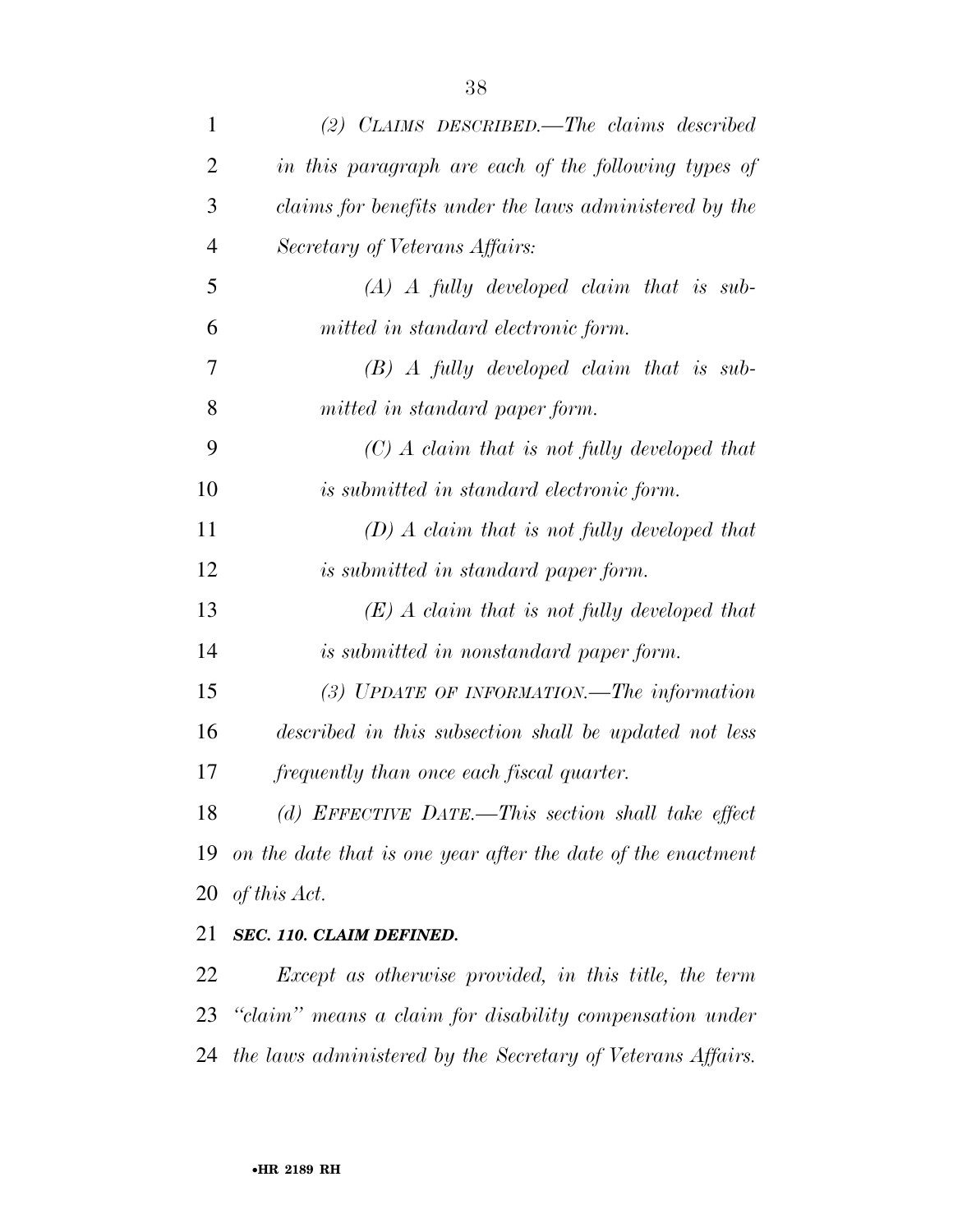| $\mathbf{1}$   | $(2)$ CLAIMS DESCRIBED. The claims described                 |
|----------------|--------------------------------------------------------------|
| 2              | in this paragraph are each of the following types of         |
| 3              | claims for benefits under the laws administered by the       |
| $\overline{4}$ | Secretary of Veterans Affairs:                               |
| 5              | $(A)$ A fully developed claim that is sub-                   |
| 6              | mitted in standard electronic form.                          |
| 7              | $(B)$ A fully developed claim that is sub-                   |
| 8              | mitted in standard paper form.                               |
| 9              | $(C)$ A claim that is not fully developed that               |
| 10             | is submitted in standard electronic form.                    |
| 11             | $(D)$ A claim that is not fully developed that               |
| 12             | is submitted in standard paper form.                         |
| 13             | $(E)$ A claim that is not fully developed that               |
| 14             | is submitted in nonstandard paper form.                      |
| 15             | $(3)$ UPDATE OF INFORMATION.—The information                 |
| 16             | described in this subsection shall be updated not less       |
| 17             | frequently than once each fiscal quarter.                    |
| 18             | (d) EFFECTIVE DATE.—This section shall take effect           |
| 19             | on the date that is one year after the date of the enactment |
| 20             | of this Act.                                                 |
| 21             | SEC. 110. CLAIM DEFINED.                                     |
| <u>22</u>      | Except as otherwise provided, in this title, the term        |
|                | 23 "claim" means a claim for disability compensation under   |

*the laws administered by the Secretary of Veterans Affairs.*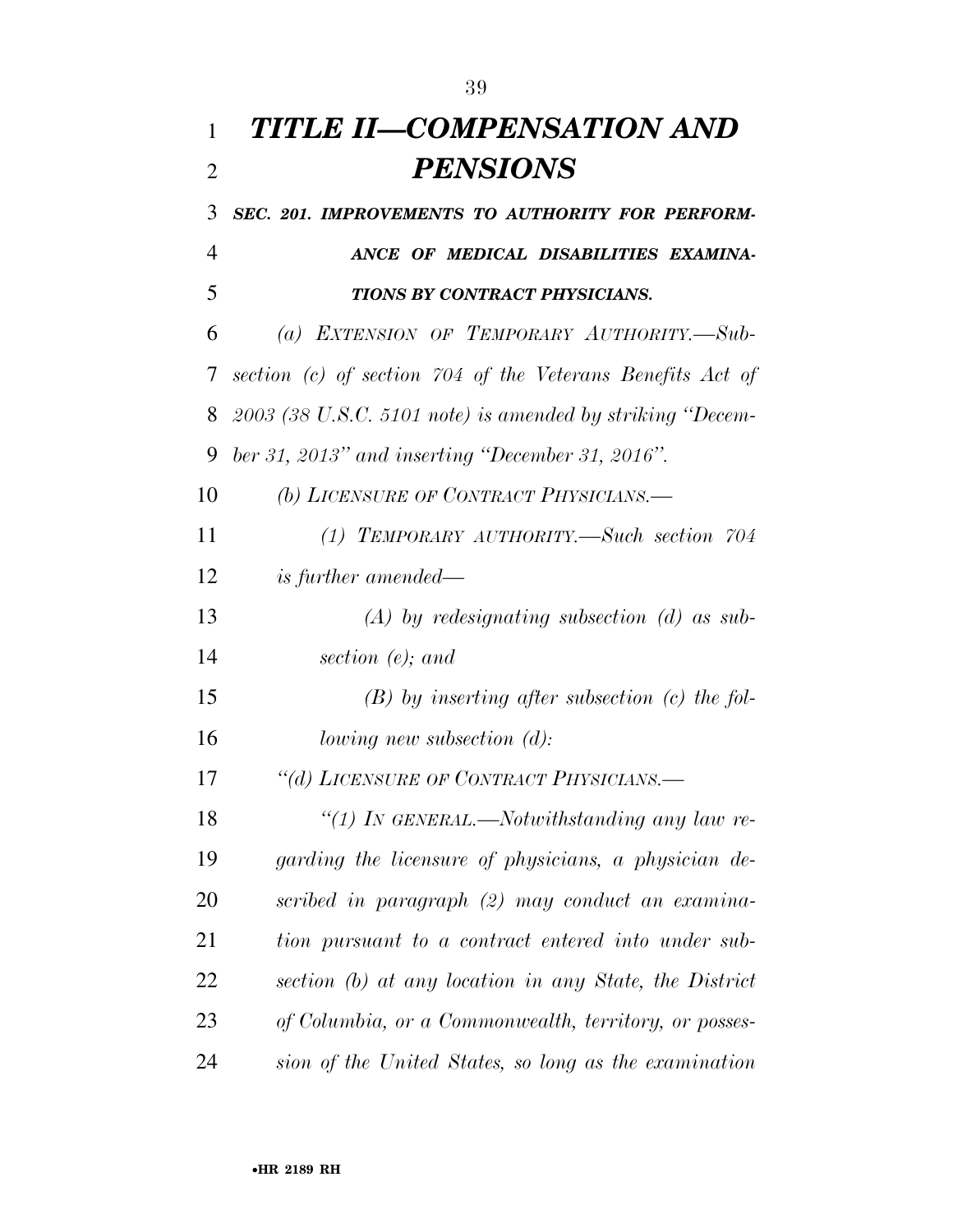## *TITLE II—COMPENSATION AND PENSIONS*

 *SEC. 201. IMPROVEMENTS TO AUTHORITY FOR PERFORM- ANCE OF MEDICAL DISABILITIES EXAMINA- TIONS BY CONTRACT PHYSICIANS. (a) EXTENSION OF TEMPORARY AUTHORITY.—Sub- section (c) of section 704 of the Veterans Benefits Act of 2003 (38 U.S.C. 5101 note) is amended by striking ''Decem- ber 31, 2013'' and inserting ''December 31, 2016''. (b) LICENSURE OF CONTRACT PHYSICIANS.— (1) TEMPORARY AUTHORITY.—Such section 704 is further amended— (A) by redesignating subsection (d) as sub- section (e); and (B) by inserting after subsection (c) the fol- lowing new subsection (d): ''(d) LICENSURE OF CONTRACT PHYSICIANS.— ''(1) IN GENERAL.—Notwithstanding any law re- garding the licensure of physicians, a physician de- scribed in paragraph (2) may conduct an examina- tion pursuant to a contract entered into under sub- section (b) at any location in any State, the District of Columbia, or a Commonwealth, territory, or posses-sion of the United States, so long as the examination*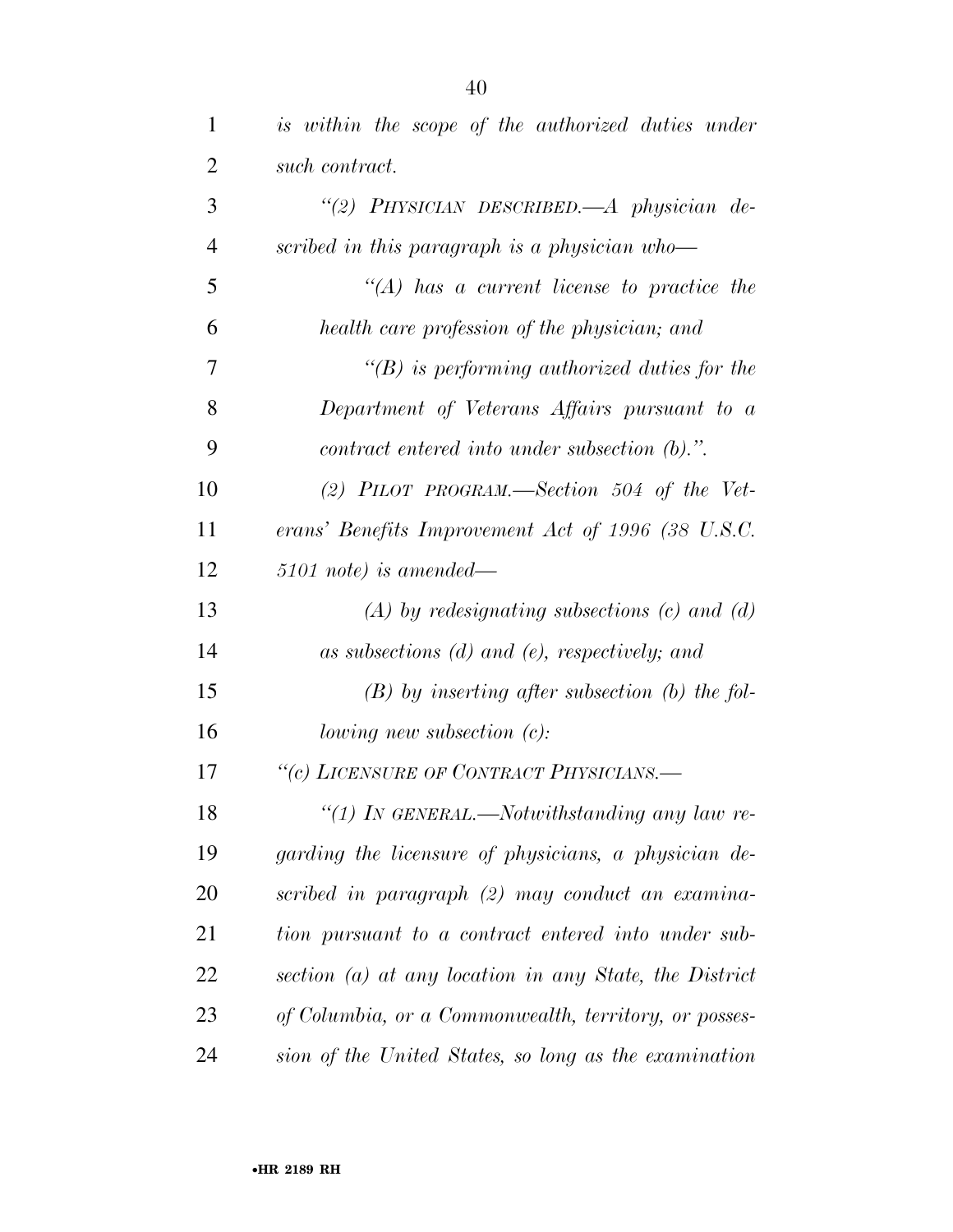| is within the scope of the authorized duties under              |
|-----------------------------------------------------------------|
| such contract.                                                  |
| "(2) PHYSICIAN DESCRIBED.—A physician de-                       |
| scribed in this paragraph is a physician who-                   |
| $\lq\lq (A)$ has a current license to practice the              |
| health care profession of the physician; and                    |
| $\lq\lq(B)$ is performing authorized duties for the             |
| Department of Veterans Affairs pursuant to a                    |
| $contract\,\,entered\,\,into\,\,under\,\,subsection\,\, (b).".$ |
| (2) PILOT PROGRAM.—Section 504 of the Vet-                      |
| erans' Benefits Improvement Act of 1996 (38 U.S.C.              |
| $5101$ note) is amended—                                        |
| $(A)$ by redesignating subsections $(c)$ and $(d)$              |
| as subsections $(d)$ and $(e)$ , respectively; and              |
| $(B)$ by inserting after subsection (b) the fol-                |
| <i>lowing new subsection <math>(c)</math>:</i>                  |
| "(c) LICENSURE OF CONTRACT PHYSICIANS.-                         |
| "(1) In GENERAL.—Notwithstanding any law re-                    |
| garding the licensure of physicians, a physician de-            |
| scribed in paragraph (2) may conduct an examina-                |
| tion pursuant to a contract entered into under sub-             |
| section $(a)$ at any location in any State, the District        |
| of Columbia, or a Commonwealth, territory, or posses-           |
| sion of the United States, so long as the examination           |
|                                                                 |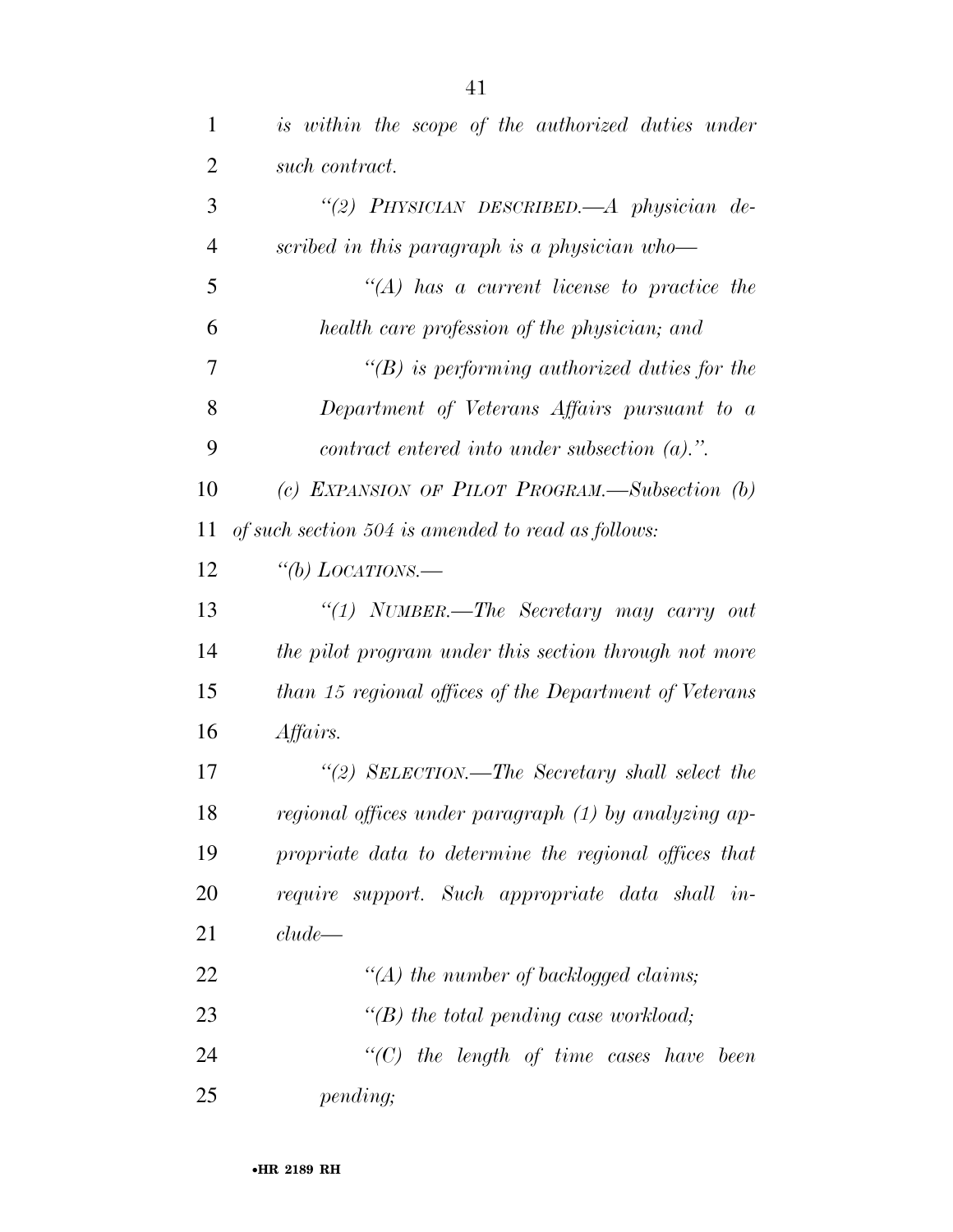| 1              | is within the scope of the authorized duties under              |
|----------------|-----------------------------------------------------------------|
| $\overline{2}$ | such contract.                                                  |
| 3              | "(2) PHYSICIAN DESCRIBED.—A physician de-                       |
| $\overline{4}$ | scribed in this paragraph is a physician who-                   |
| 5              | $\lq\lq (A)$ has a current license to practice the              |
| 6              | health care profession of the physician; and                    |
| 7              | $\lq\lq(B)$ is performing authorized duties for the             |
| 8              | Department of Veterans Affairs pursuant to a                    |
| 9              | $contract\,\,entered\,\,into\,\,under\,\,subsection\,\, (a).".$ |
| 10             | (c) EXPANSION OF PILOT PROGRAM.—Subsection $(b)$                |
| 11             | of such section 504 is amended to read as follows:              |
| 12             | "(b) LOCATIONS.—                                                |
| 13             | "(1) NUMBER.—The Secretary may carry out                        |
| 14             | the pilot program under this section through not more           |
| 15             | than 15 regional offices of the Department of Veterans          |
| 16             | Affairs.                                                        |
| 17             | "(2) SELECTION.—The Secretary shall select the                  |
| 18             | regional offices under paragraph (1) by analyzing ap-           |
| 19             | propriate data to determine the regional offices that           |
| 20             | require support. Such appropriate data shall in-                |
| 21             | clude                                                           |
| 22             | "(A) the number of backlogged claims;                           |
| 23             | "(B) the total pending case workload;                           |
| 24             | $\lq\lq C$ the length of time cases have been                   |
| 25             | pending;                                                        |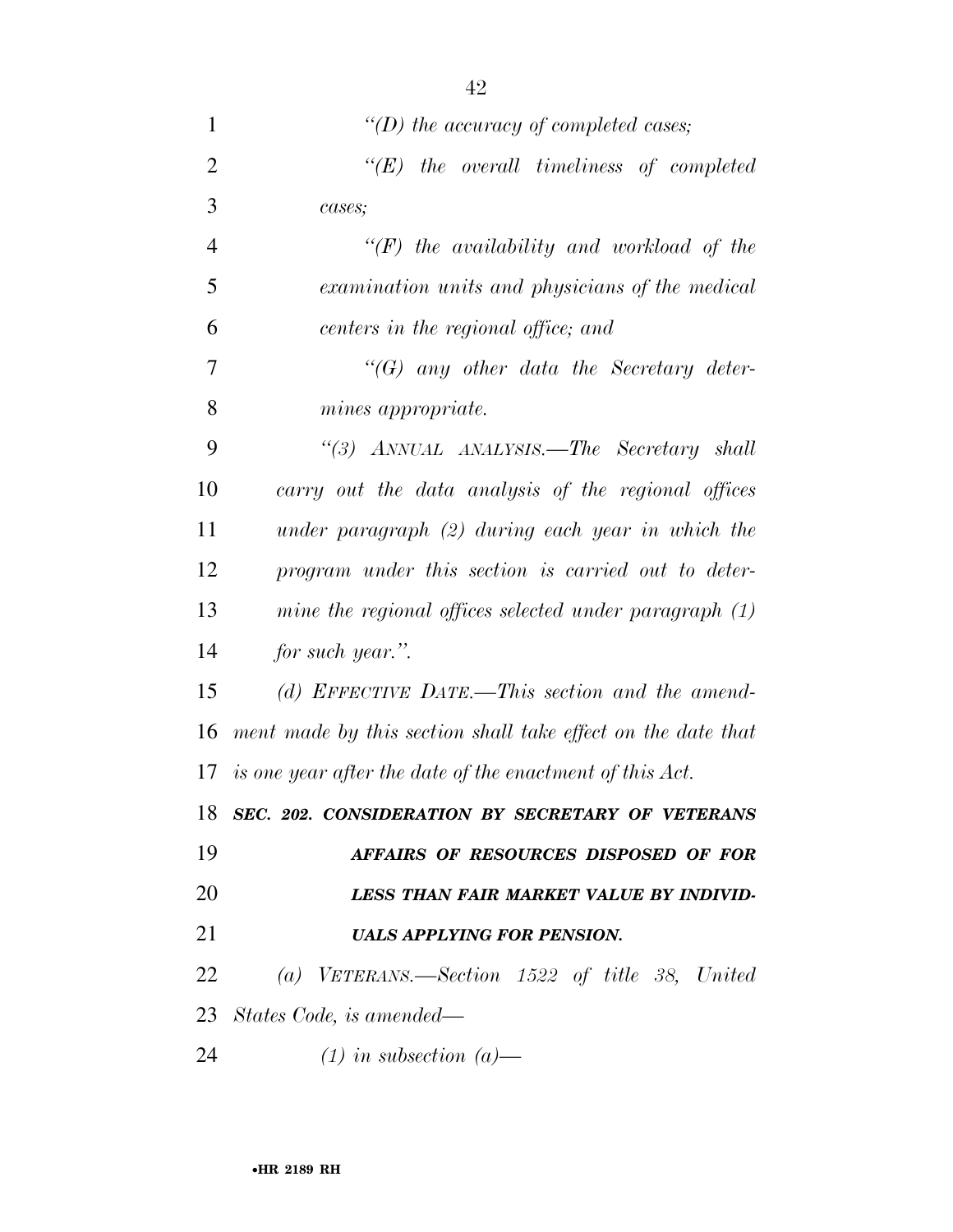| $\mathbf{1}$   | "(D) the accuracy of completed cases;                        |
|----------------|--------------------------------------------------------------|
| $\overline{2}$ | $\lq\lq E$ the overall timeliness of completed               |
| 3              | cases;                                                       |
| $\overline{4}$ | $\lq\lq(F)$ the availability and workload of the             |
| 5              | examination units and physicians of the medical              |
| 6              | centers in the regional office; and                          |
| 7              | $\lq\lq(G)$ any other data the Secretary deter-              |
| 8              | mines appropriate.                                           |
| 9              | "(3) ANNUAL ANALYSIS.—The Secretary shall                    |
| 10             | carry out the data analysis of the regional offices          |
| 11             | under paragraph $(2)$ during each year in which the          |
| 12             | program under this section is carried out to deter-          |
| 13             | mine the regional offices selected under paragraph $(1)$     |
| 14             | for such year.".                                             |
| 15             | (d) EFFECTIVE DATE.—This section and the amend-              |
| 16             | ment made by this section shall take effect on the date that |
|                | 17 is one year after the date of the enactment of this Act.  |
| 18             | SEC. 202. CONSIDERATION BY SECRETARY OF VETERANS             |
| 19             | AFFAIRS OF RESOURCES DISPOSED OF FOR                         |
| 20             | LESS THAN FAIR MARKET VALUE BY INDIVID-                      |
| 21             | <b>UALS APPLYING FOR PENSION.</b>                            |
| 22             | (a) VETERANS.—Section $1522$ of title 38, United             |
|                | 23 States Code, is amended—                                  |
| 24             | $(1)$ in subsection $(a)$ —                                  |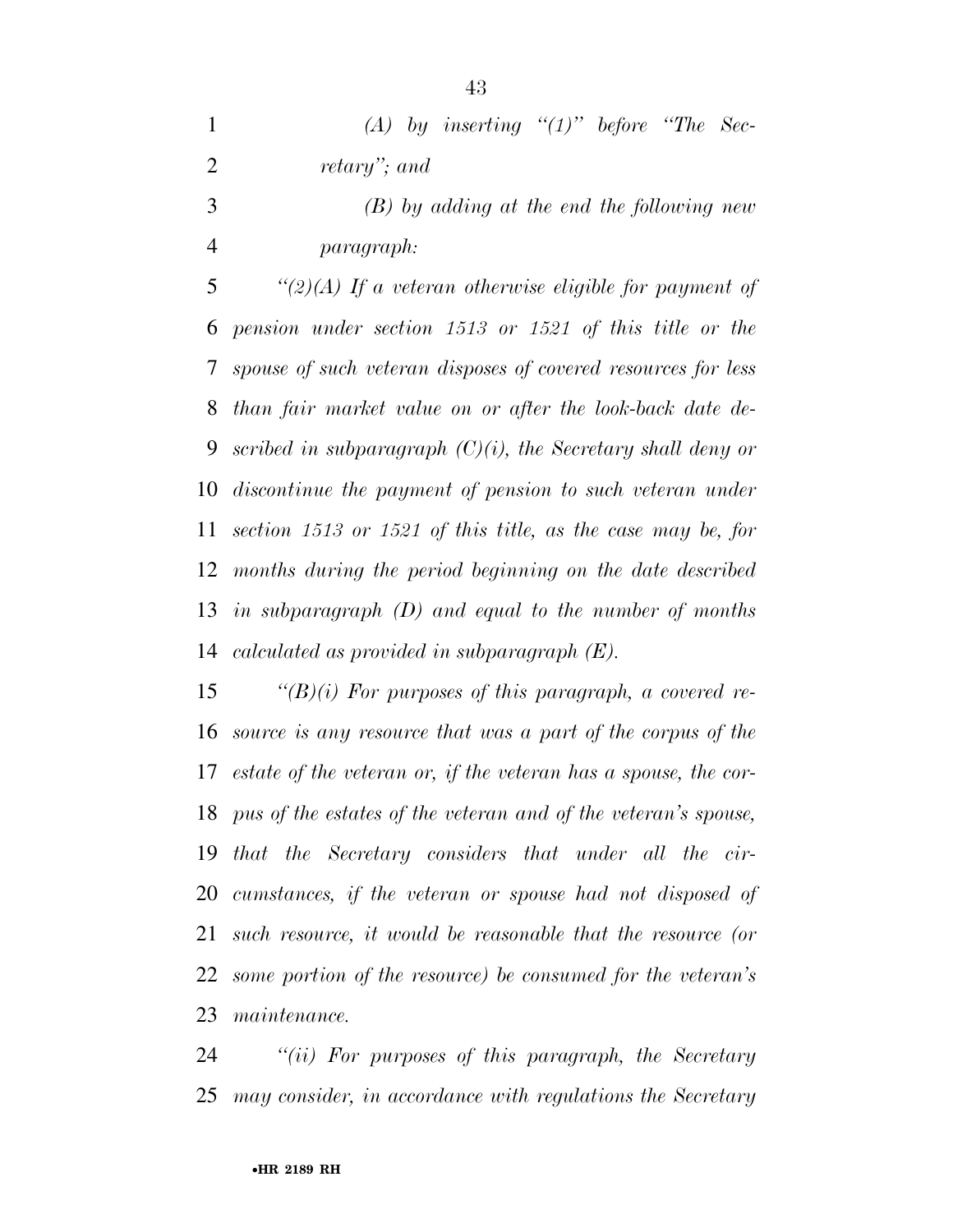|              | (A) by inserting " $(1)$ " before "The Sec- |  |  |
|--------------|---------------------------------------------|--|--|
| retary"; and |                                             |  |  |

 *(B) by adding at the end the following new paragraph:* 

 *''(2)(A) If a veteran otherwise eligible for payment of pension under section 1513 or 1521 of this title or the spouse of such veteran disposes of covered resources for less than fair market value on or after the look-back date de- scribed in subparagraph (C)(i), the Secretary shall deny or discontinue the payment of pension to such veteran under section 1513 or 1521 of this title, as the case may be, for months during the period beginning on the date described in subparagraph (D) and equal to the number of months calculated as provided in subparagraph (E).* 

 *''(B)(i) For purposes of this paragraph, a covered re- source is any resource that was a part of the corpus of the estate of the veteran or, if the veteran has a spouse, the cor- pus of the estates of the veteran and of the veteran's spouse, that the Secretary considers that under all the cir- cumstances, if the veteran or spouse had not disposed of such resource, it would be reasonable that the resource (or some portion of the resource) be consumed for the veteran's maintenance.* 

 *''(ii) For purposes of this paragraph, the Secretary may consider, in accordance with regulations the Secretary*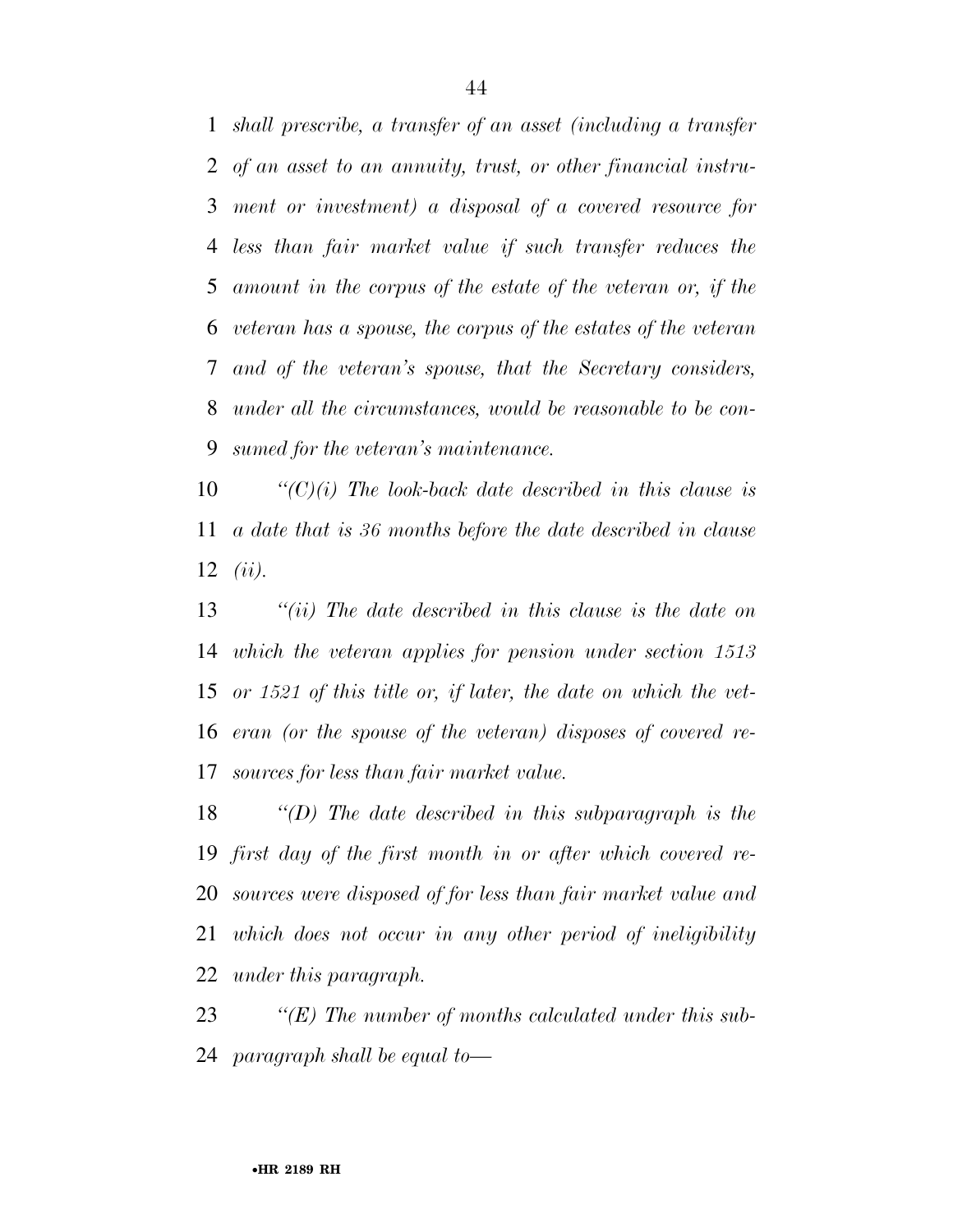*shall prescribe, a transfer of an asset (including a transfer of an asset to an annuity, trust, or other financial instru- ment or investment) a disposal of a covered resource for less than fair market value if such transfer reduces the amount in the corpus of the estate of the veteran or, if the veteran has a spouse, the corpus of the estates of the veteran and of the veteran's spouse, that the Secretary considers, under all the circumstances, would be reasonable to be con-sumed for the veteran's maintenance.* 

 *''(C)(i) The look-back date described in this clause is a date that is 36 months before the date described in clause (ii).* 

 *''(ii) The date described in this clause is the date on which the veteran applies for pension under section 1513 or 1521 of this title or, if later, the date on which the vet- eran (or the spouse of the veteran) disposes of covered re-sources for less than fair market value.* 

 *''(D) The date described in this subparagraph is the first day of the first month in or after which covered re- sources were disposed of for less than fair market value and which does not occur in any other period of ineligibility under this paragraph.* 

 *''(E) The number of months calculated under this sub-paragraph shall be equal to—*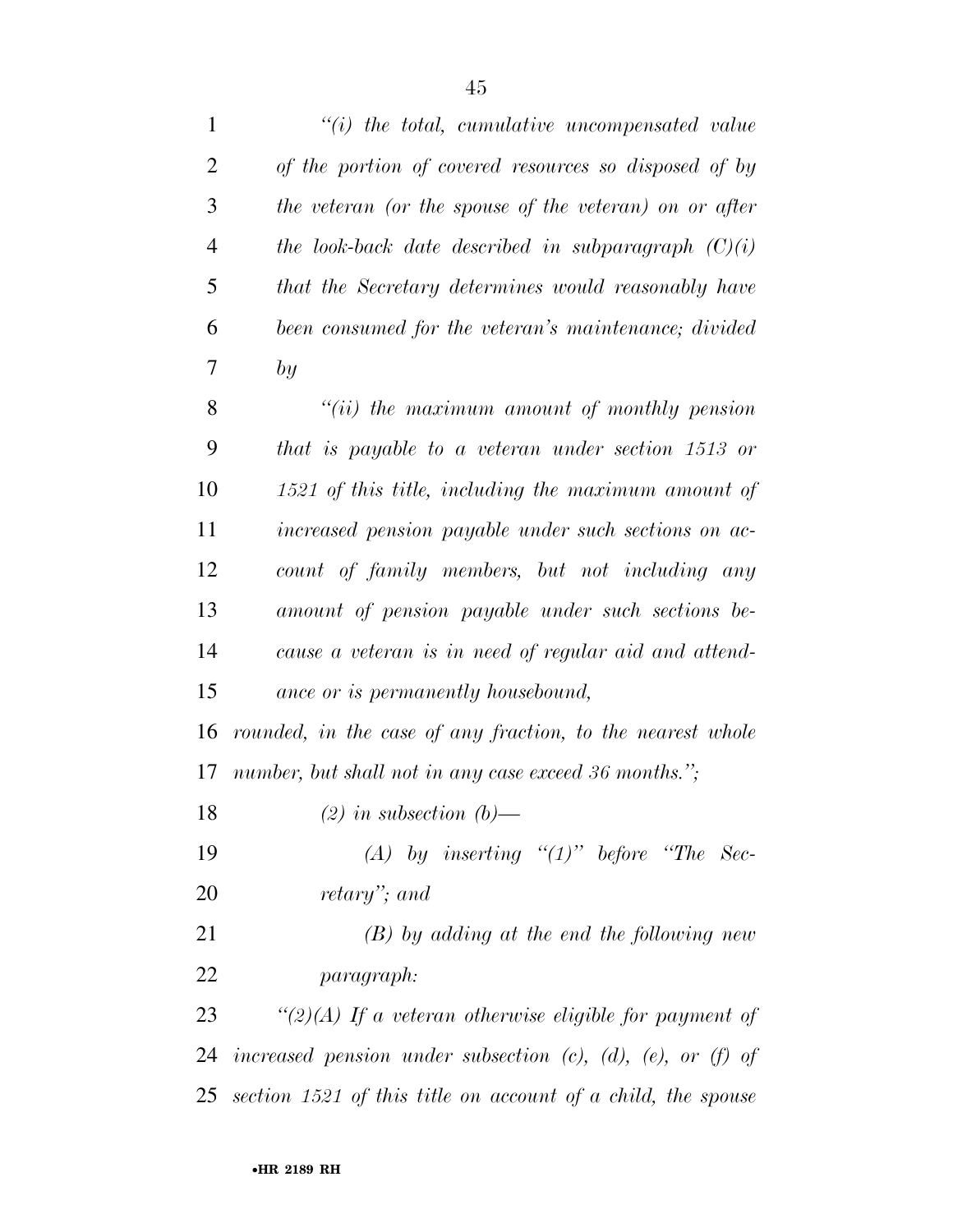| $\mathbf{1}$   | $\lq\lq(i)$ the total, cumulative uncompensated value                  |
|----------------|------------------------------------------------------------------------|
| $\overline{2}$ | of the portion of covered resources so disposed of by                  |
| 3              | the veteran (or the spouse of the veteran) on or after                 |
| $\overline{4}$ | the look-back date described in subparagraph $(C)(i)$                  |
| 5              | that the Secretary determines would reasonably have                    |
| 6              | been consumed for the veteran's maintenance; divided                   |
| 7              | by                                                                     |
| 8              | $``(ii)$ the maximum amount of monthly pension                         |
| 9              | that is payable to a veteran under section 1513 or                     |
| 10             | 1521 of this title, including the maximum amount of                    |
| 11             | increased pension payable under such sections on ac-                   |
| 12             | count of family members, but not including any                         |
| 13             | amount of pension payable under such sections be-                      |
| 14             | cause a veteran is in need of regular aid and attend-                  |
| 15             | ance or is permanently housebound,                                     |
| 16             | rounded, in the case of any fraction, to the nearest whole             |
| 17             | number, but shall not in any case exceed 36 months.";                  |
| 18             | $(2)$ in subsection $(b)$ —                                            |
| 19             | (A) by inserting " $(1)$ " before "The Sec-                            |
| 20             | retary"; and                                                           |
| 21             | $(B)$ by adding at the end the following new                           |
| 22             | <i>paragraph:</i>                                                      |
| 23             | "(2)(A) If a veteran otherwise eligible for payment of                 |
| 24             | increased pension under subsection $(c)$ , $(d)$ , $(e)$ , or $(f)$ of |
|                | 25 section $1521$ of this title on account of a child, the spouse      |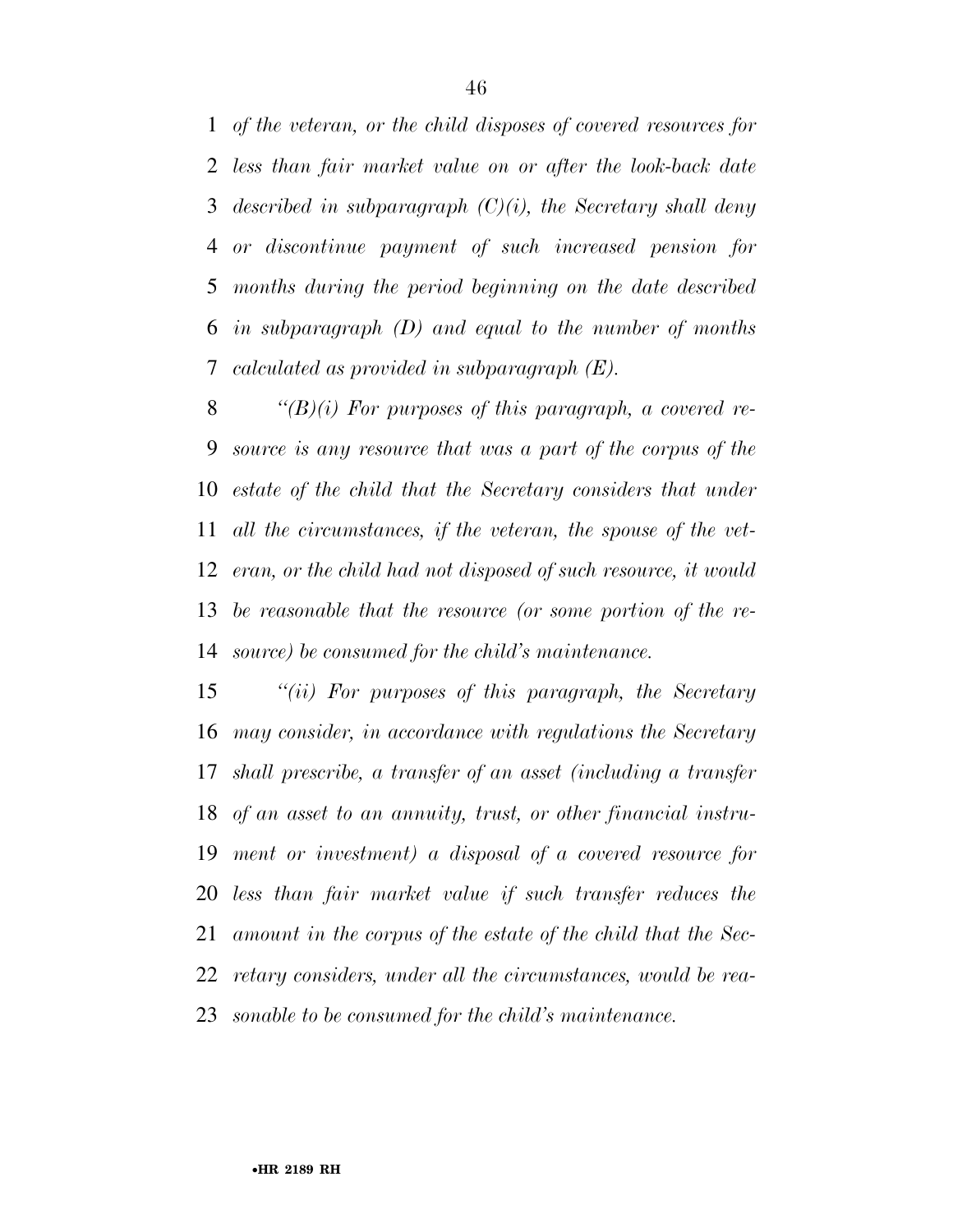*of the veteran, or the child disposes of covered resources for less than fair market value on or after the look-back date described in subparagraph (C)(i), the Secretary shall deny or discontinue payment of such increased pension for months during the period beginning on the date described in subparagraph (D) and equal to the number of months calculated as provided in subparagraph (E).* 

 *''(B)(i) For purposes of this paragraph, a covered re- source is any resource that was a part of the corpus of the estate of the child that the Secretary considers that under all the circumstances, if the veteran, the spouse of the vet- eran, or the child had not disposed of such resource, it would be reasonable that the resource (or some portion of the re-source) be consumed for the child's maintenance.* 

 *''(ii) For purposes of this paragraph, the Secretary may consider, in accordance with regulations the Secretary shall prescribe, a transfer of an asset (including a transfer of an asset to an annuity, trust, or other financial instru- ment or investment) a disposal of a covered resource for less than fair market value if such transfer reduces the amount in the corpus of the estate of the child that the Sec- retary considers, under all the circumstances, would be rea-sonable to be consumed for the child's maintenance.*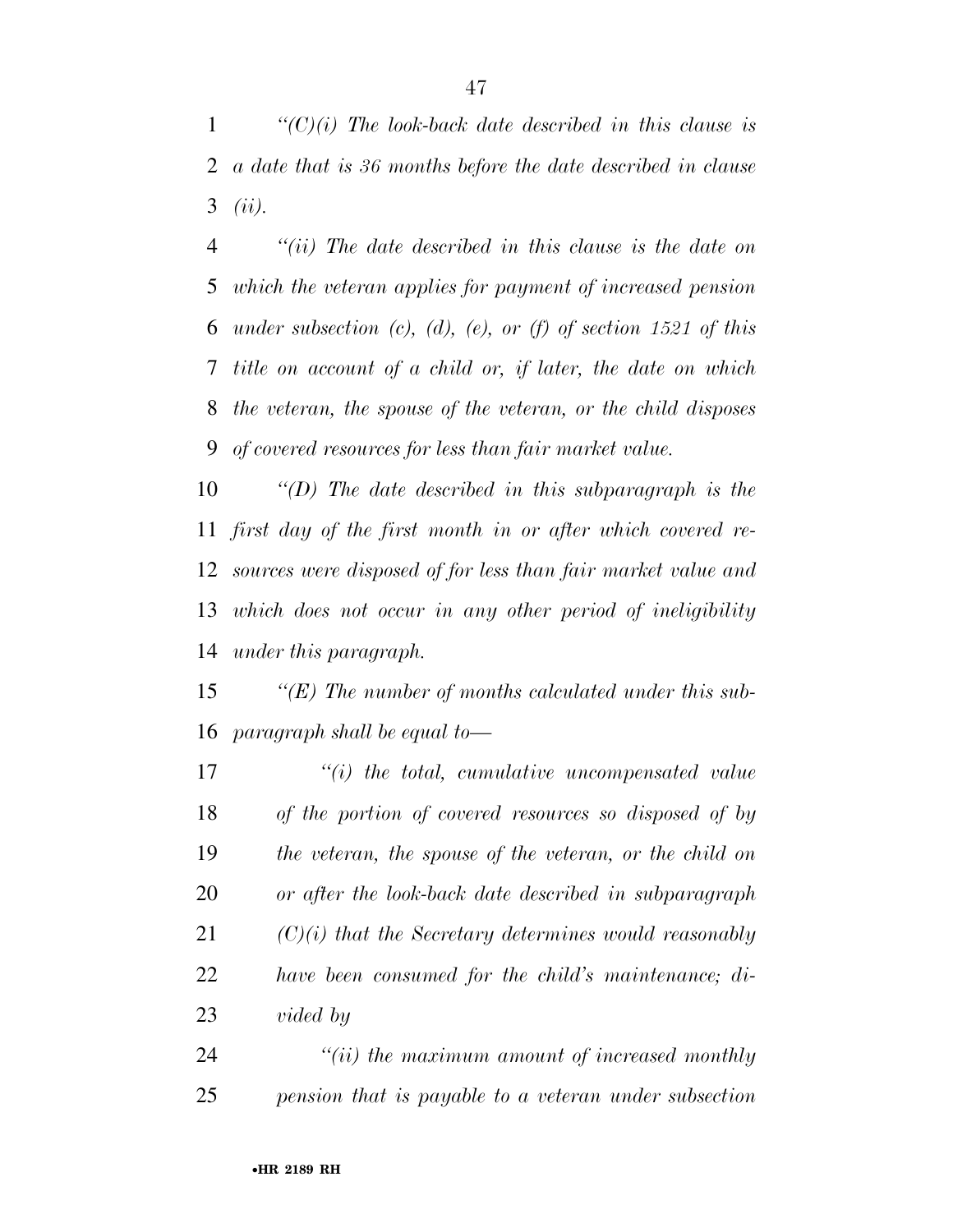*''(C)(i) The look-back date described in this clause is a date that is 36 months before the date described in clause (ii).* 

 *''(ii) The date described in this clause is the date on which the veteran applies for payment of increased pension under subsection (c), (d), (e), or (f) of section 1521 of this title on account of a child or, if later, the date on which the veteran, the spouse of the veteran, or the child disposes of covered resources for less than fair market value.* 

 *''(D) The date described in this subparagraph is the first day of the first month in or after which covered re- sources were disposed of for less than fair market value and which does not occur in any other period of ineligibility under this paragraph.* 

 *''(E) The number of months calculated under this sub-paragraph shall be equal to—* 

 *''(i) the total, cumulative uncompensated value of the portion of covered resources so disposed of by the veteran, the spouse of the veteran, or the child on or after the look-back date described in subparagraph (C)(i) that the Secretary determines would reasonably have been consumed for the child's maintenance; di-vided by* 

 *''(ii) the maximum amount of increased monthly pension that is payable to a veteran under subsection*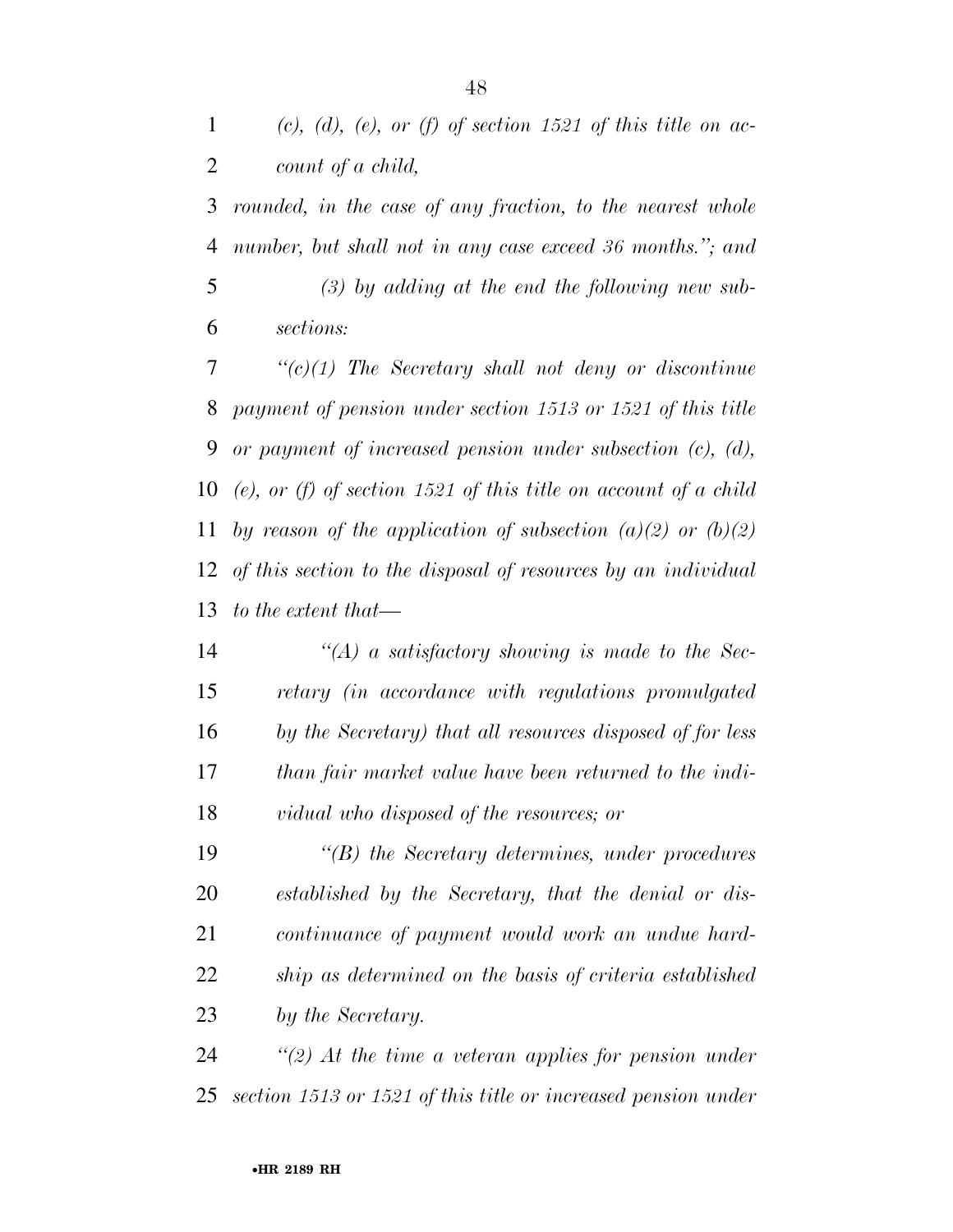*(c), (d), (e), or (f) of section 1521 of this title on ac-count of a child,* 

 *rounded, in the case of any fraction, to the nearest whole number, but shall not in any case exceed 36 months.''; and (3) by adding at the end the following new sub-sections:* 

 *''(c)(1) The Secretary shall not deny or discontinue payment of pension under section 1513 or 1521 of this title or payment of increased pension under subsection (c), (d), (e), or (f) of section 1521 of this title on account of a child by reason of the application of subsection (a)(2) or (b)(2) of this section to the disposal of resources by an individual to the extent that—* 

 *''(A) a satisfactory showing is made to the Sec- retary (in accordance with regulations promulgated by the Secretary) that all resources disposed of for less than fair market value have been returned to the indi-vidual who disposed of the resources; or* 

 *''(B) the Secretary determines, under procedures established by the Secretary, that the denial or dis- continuance of payment would work an undue hard- ship as determined on the basis of criteria established by the Secretary.* 

 *''(2) At the time a veteran applies for pension under section 1513 or 1521 of this title or increased pension under*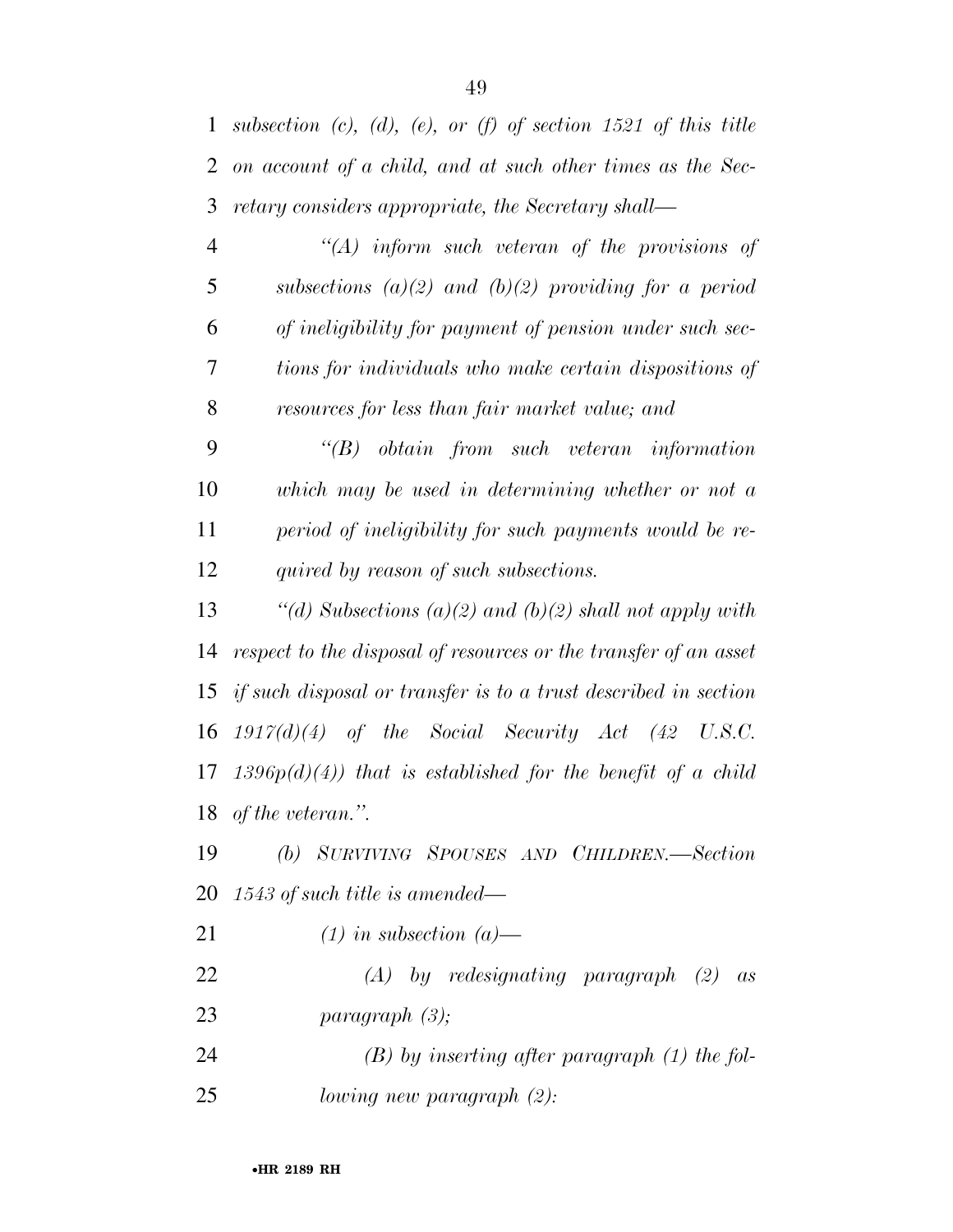|           | 1 subsection (c), (d), (e), or (f) of section 1521 of this title |
|-----------|------------------------------------------------------------------|
|           | 2 on account of a child, and at such other times as the Sec-     |
|           | 3 retary considers appropriate, the Secretary shall—             |
| $\Lambda$ | $H_0$ informational uptorous of the provisions of                |

| $\rightarrow$ | (A) inform such veteran of the provisions of            |
|---------------|---------------------------------------------------------|
| 5             | subsections (a)(2) and (b)(2) providing for a period    |
| 6             | of ineligibility for payment of pension under such sec- |
| 7             | tions for individuals who make certain dispositions of  |
| 8             | resources for less than fair market value; and          |

 *''(B) obtain from such veteran information which may be used in determining whether or not a period of ineligibility for such payments would be re-quired by reason of such subsections.* 

 *''(d) Subsections (a)(2) and (b)(2) shall not apply with respect to the disposal of resources or the transfer of an asset if such disposal or transfer is to a trust described in section 1917(d)(4) of the Social Security Act (42 U.S.C. 1396p(d)(4)) that is established for the benefit of a child of the veteran.''.* 

 *(b) SURVIVING SPOUSES AND CHILDREN.—Section 1543 of such title is amended—* 

*(1) in subsection (a)—* 

- *(A) by redesignating paragraph (2) as paragraph (3);*
- *(B) by inserting after paragraph (1) the fol-lowing new paragraph (2):*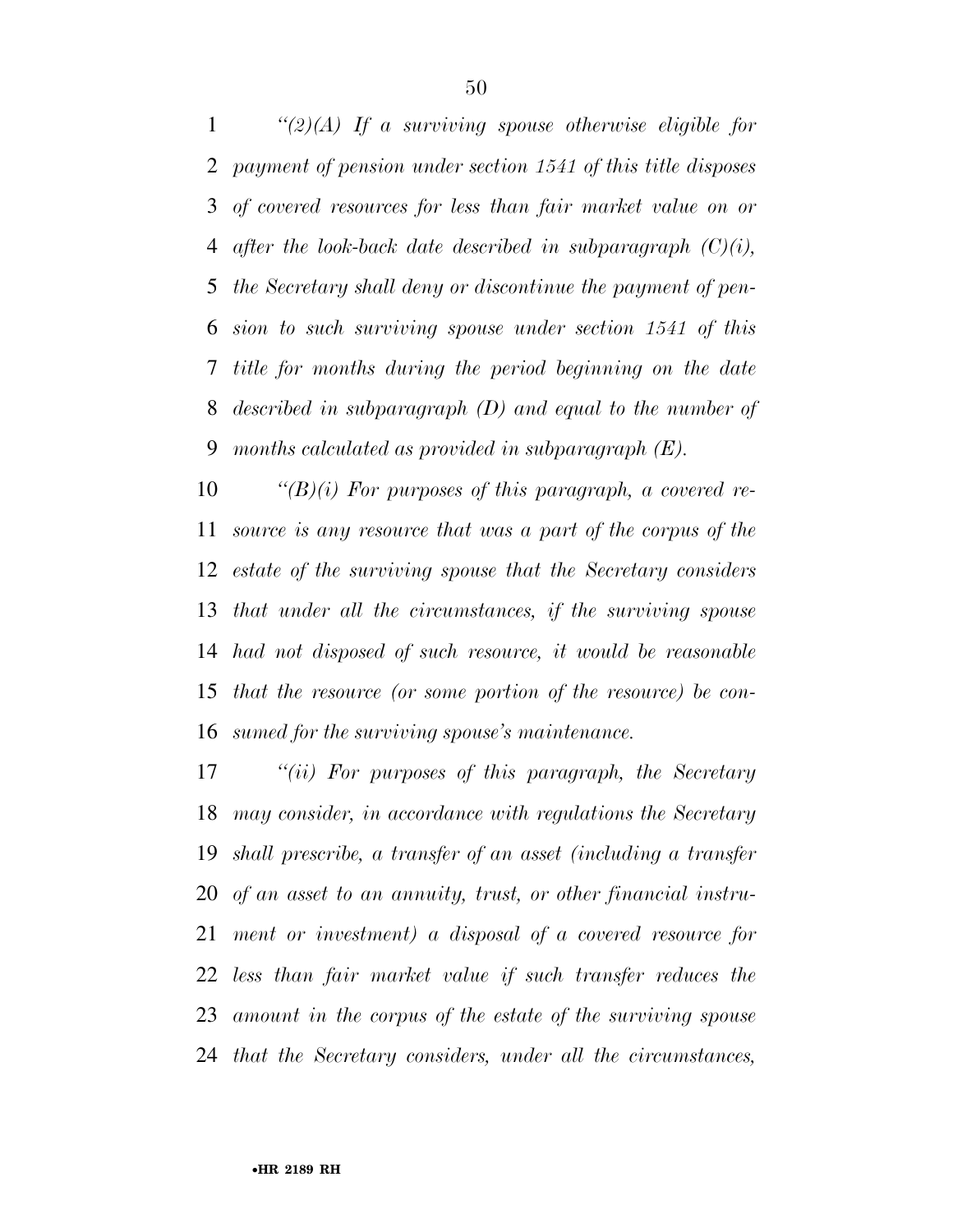*''(2)(A) If a surviving spouse otherwise eligible for payment of pension under section 1541 of this title disposes of covered resources for less than fair market value on or after the look-back date described in subparagraph (C)(i), the Secretary shall deny or discontinue the payment of pen- sion to such surviving spouse under section 1541 of this title for months during the period beginning on the date described in subparagraph (D) and equal to the number of months calculated as provided in subparagraph (E).* 

 *''(B)(i) For purposes of this paragraph, a covered re- source is any resource that was a part of the corpus of the estate of the surviving spouse that the Secretary considers that under all the circumstances, if the surviving spouse had not disposed of such resource, it would be reasonable that the resource (or some portion of the resource) be con-sumed for the surviving spouse's maintenance.* 

 *''(ii) For purposes of this paragraph, the Secretary may consider, in accordance with regulations the Secretary shall prescribe, a transfer of an asset (including a transfer of an asset to an annuity, trust, or other financial instru- ment or investment) a disposal of a covered resource for less than fair market value if such transfer reduces the amount in the corpus of the estate of the surviving spouse that the Secretary considers, under all the circumstances,*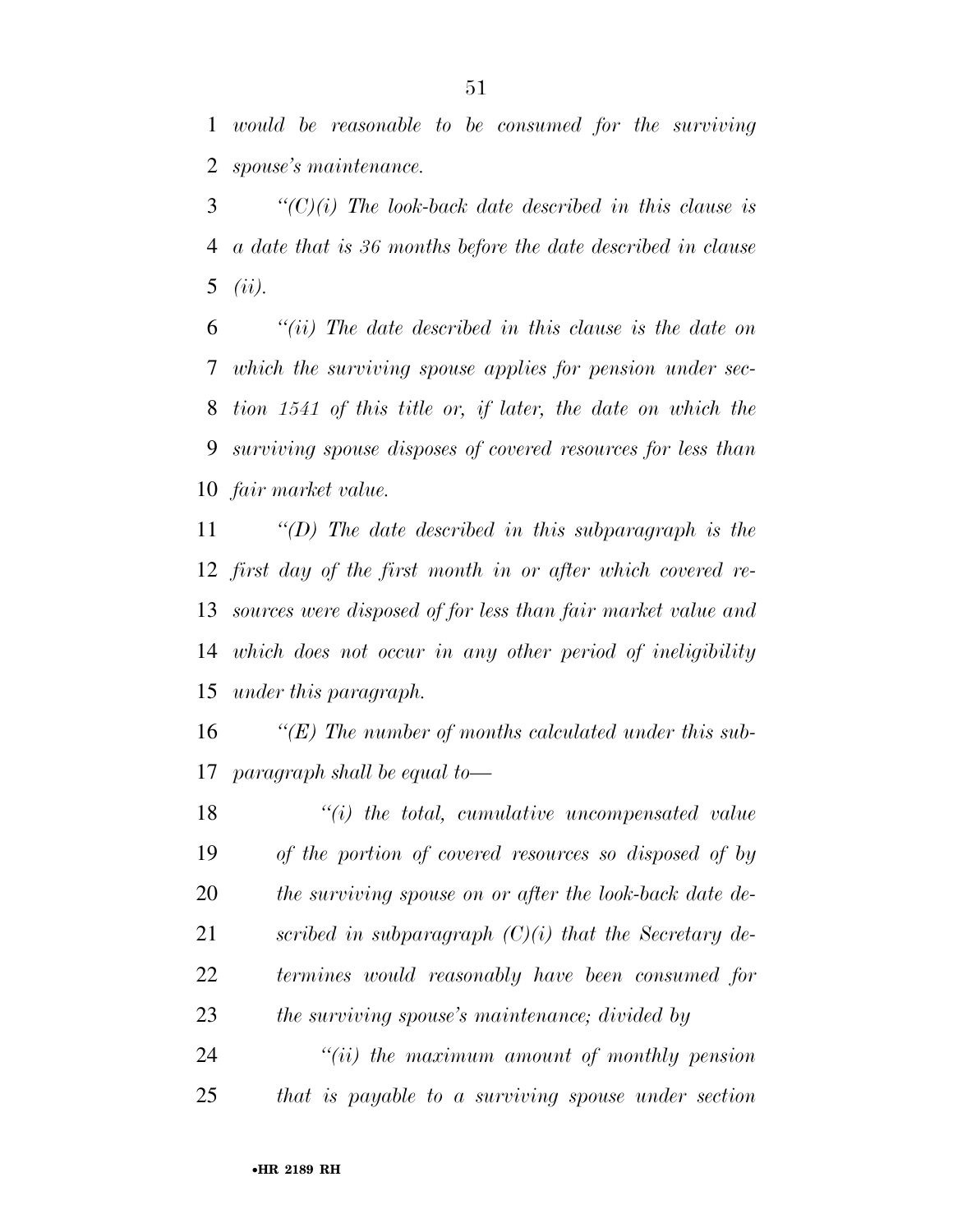*would be reasonable to be consumed for the surviving spouse's maintenance.* 

 *''(C)(i) The look-back date described in this clause is a date that is 36 months before the date described in clause (ii).* 

 *''(ii) The date described in this clause is the date on which the surviving spouse applies for pension under sec- tion 1541 of this title or, if later, the date on which the surviving spouse disposes of covered resources for less than fair market value.* 

 *''(D) The date described in this subparagraph is the first day of the first month in or after which covered re- sources were disposed of for less than fair market value and which does not occur in any other period of ineligibility under this paragraph.* 

 *''(E) The number of months calculated under this sub-paragraph shall be equal to—* 

 *''(i) the total, cumulative uncompensated value of the portion of covered resources so disposed of by the surviving spouse on or after the look-back date de- scribed in subparagraph (C)(i) that the Secretary de- termines would reasonably have been consumed for the surviving spouse's maintenance; divided by* 

 *''(ii) the maximum amount of monthly pension that is payable to a surviving spouse under section*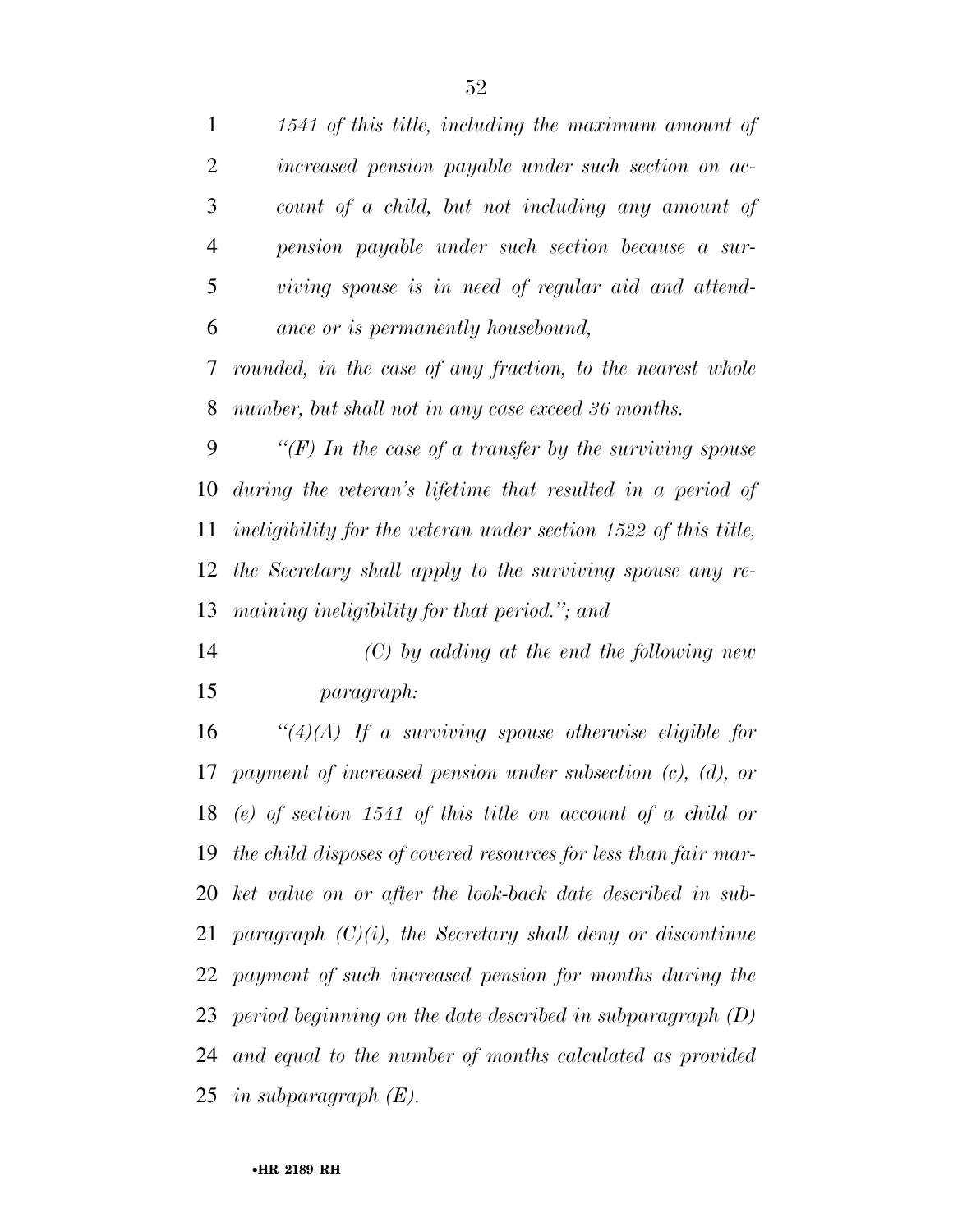*1541 of this title, including the maximum amount of increased pension payable under such section on ac- count of a child, but not including any amount of pension payable under such section because a sur- viving spouse is in need of regular aid and attend- ance or is permanently housebound, rounded, in the case of any fraction, to the nearest whole number, but shall not in any case exceed 36 months. ''(F) In the case of a transfer by the surviving spouse during the veteran's lifetime that resulted in a period of ineligibility for the veteran under section 1522 of this title, the Secretary shall apply to the surviving spouse any re- maining ineligibility for that period.''; and (C) by adding at the end the following new paragraph: ''(4)(A) If a surviving spouse otherwise eligible for payment of increased pension under subsection (c), (d), or (e) of section 1541 of this title on account of a child or the child disposes of covered resources for less than fair mar- ket value on or after the look-back date described in sub- paragraph (C)(i), the Secretary shall deny or discontinue payment of such increased pension for months during the period beginning on the date described in subparagraph (D) and equal to the number of months calculated as provided in subparagraph (E).*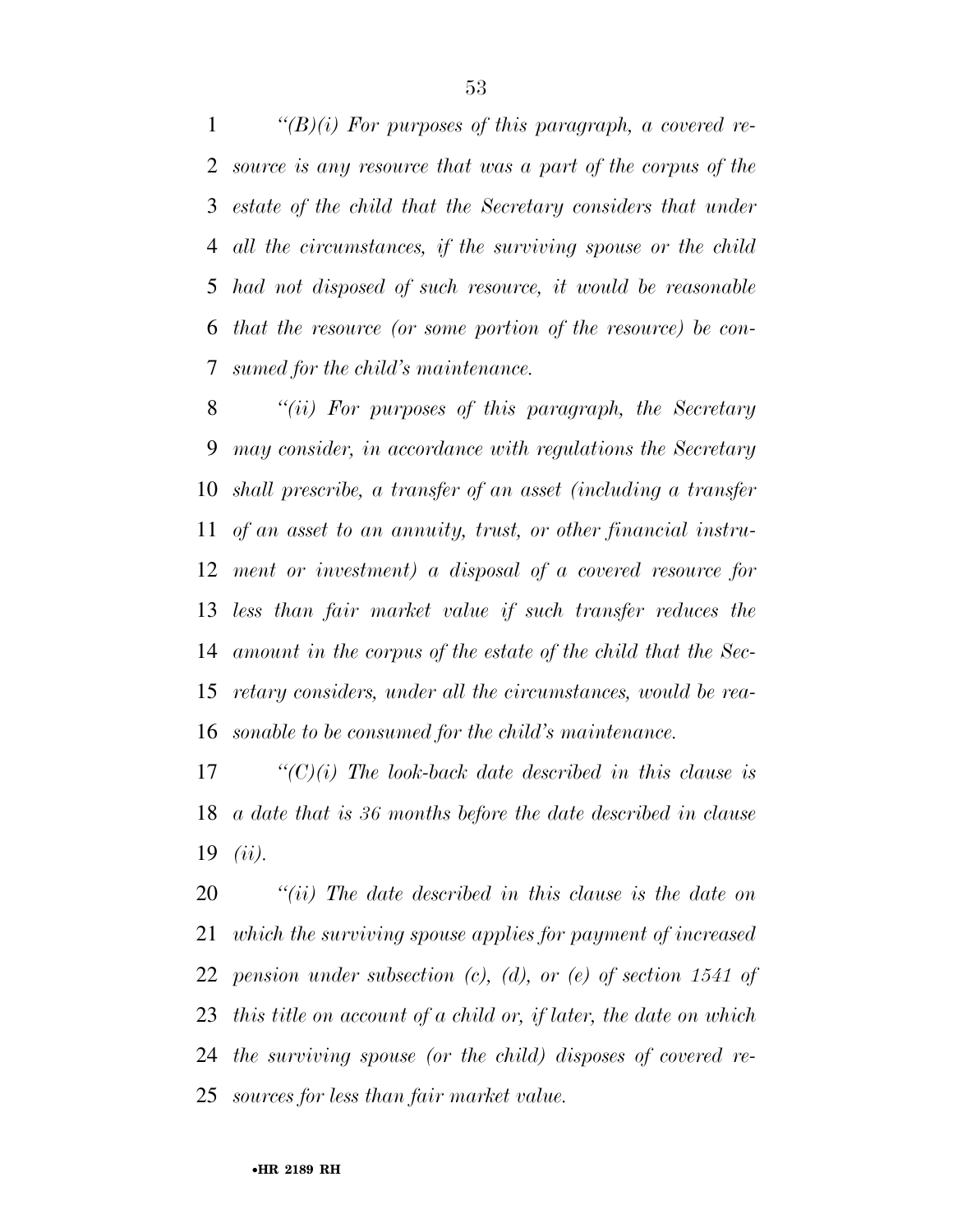*''(B)(i) For purposes of this paragraph, a covered re- source is any resource that was a part of the corpus of the estate of the child that the Secretary considers that under all the circumstances, if the surviving spouse or the child had not disposed of such resource, it would be reasonable that the resource (or some portion of the resource) be con-sumed for the child's maintenance.* 

 *''(ii) For purposes of this paragraph, the Secretary may consider, in accordance with regulations the Secretary shall prescribe, a transfer of an asset (including a transfer of an asset to an annuity, trust, or other financial instru- ment or investment) a disposal of a covered resource for less than fair market value if such transfer reduces the amount in the corpus of the estate of the child that the Sec- retary considers, under all the circumstances, would be rea-sonable to be consumed for the child's maintenance.* 

 *''(C)(i) The look-back date described in this clause is a date that is 36 months before the date described in clause (ii).* 

 *''(ii) The date described in this clause is the date on which the surviving spouse applies for payment of increased pension under subsection (c), (d), or (e) of section 1541 of this title on account of a child or, if later, the date on which the surviving spouse (or the child) disposes of covered re-sources for less than fair market value.*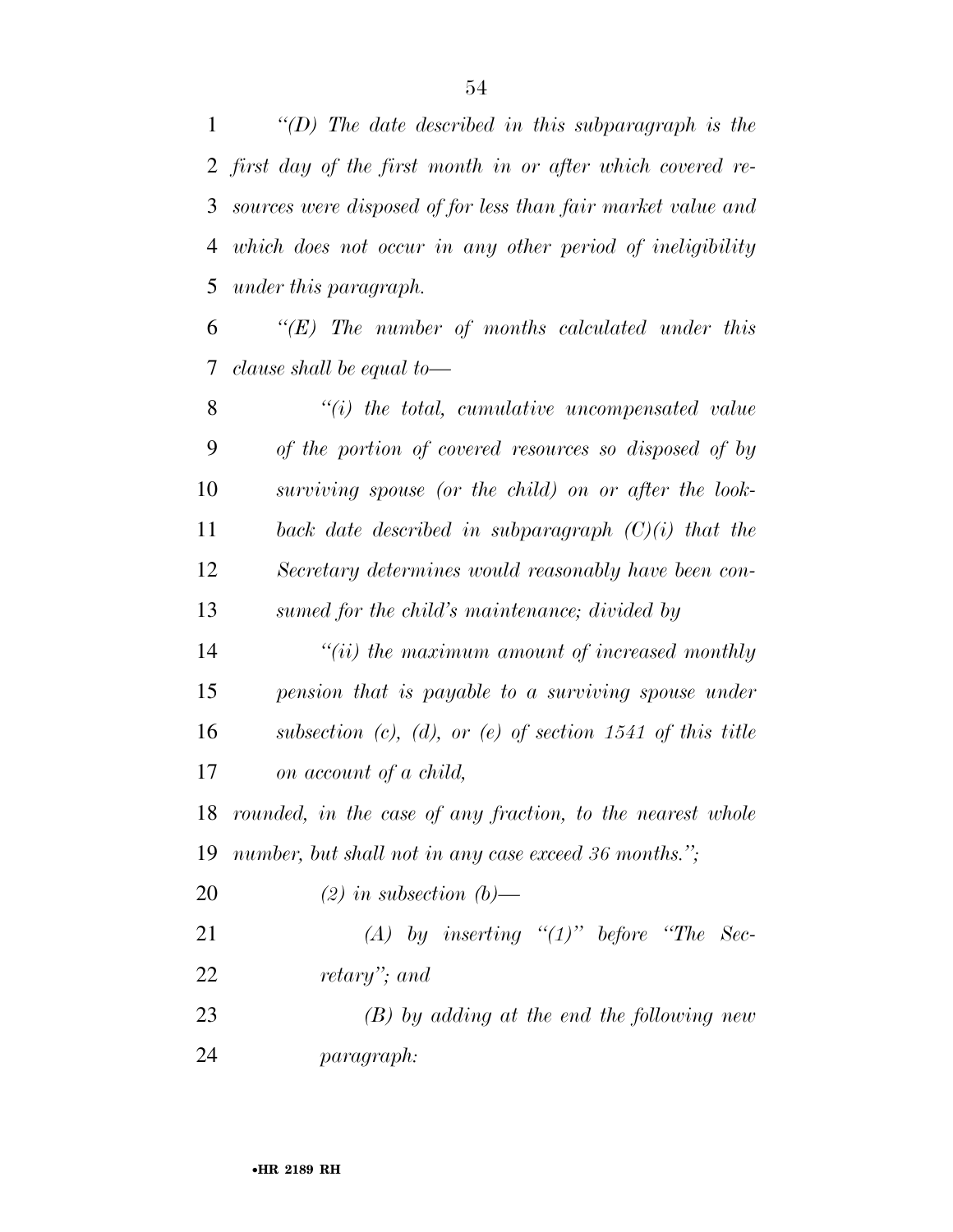*first day of the first month in or after which covered re- sources were disposed of for less than fair market value and which does not occur in any other period of ineligibility under this paragraph.* 

 *''(E) The number of months calculated under this clause shall be equal to—* 

 *''(i) the total, cumulative uncompensated value of the portion of covered resources so disposed of by surviving spouse (or the child) on or after the look- back date described in subparagraph (C)(i) that the Secretary determines would reasonably have been con-sumed for the child's maintenance; divided by* 

 *''(ii) the maximum amount of increased monthly pension that is payable to a surviving spouse under subsection (c), (d), or (e) of section 1541 of this title on account of a child,* 

 *rounded, in the case of any fraction, to the nearest whole number, but shall not in any case exceed 36 months.'';* 

*(2) in subsection (b)—* 

 *(A) by inserting ''(1)'' before ''The Sec-retary''; and* 

 *(B) by adding at the end the following new paragraph:*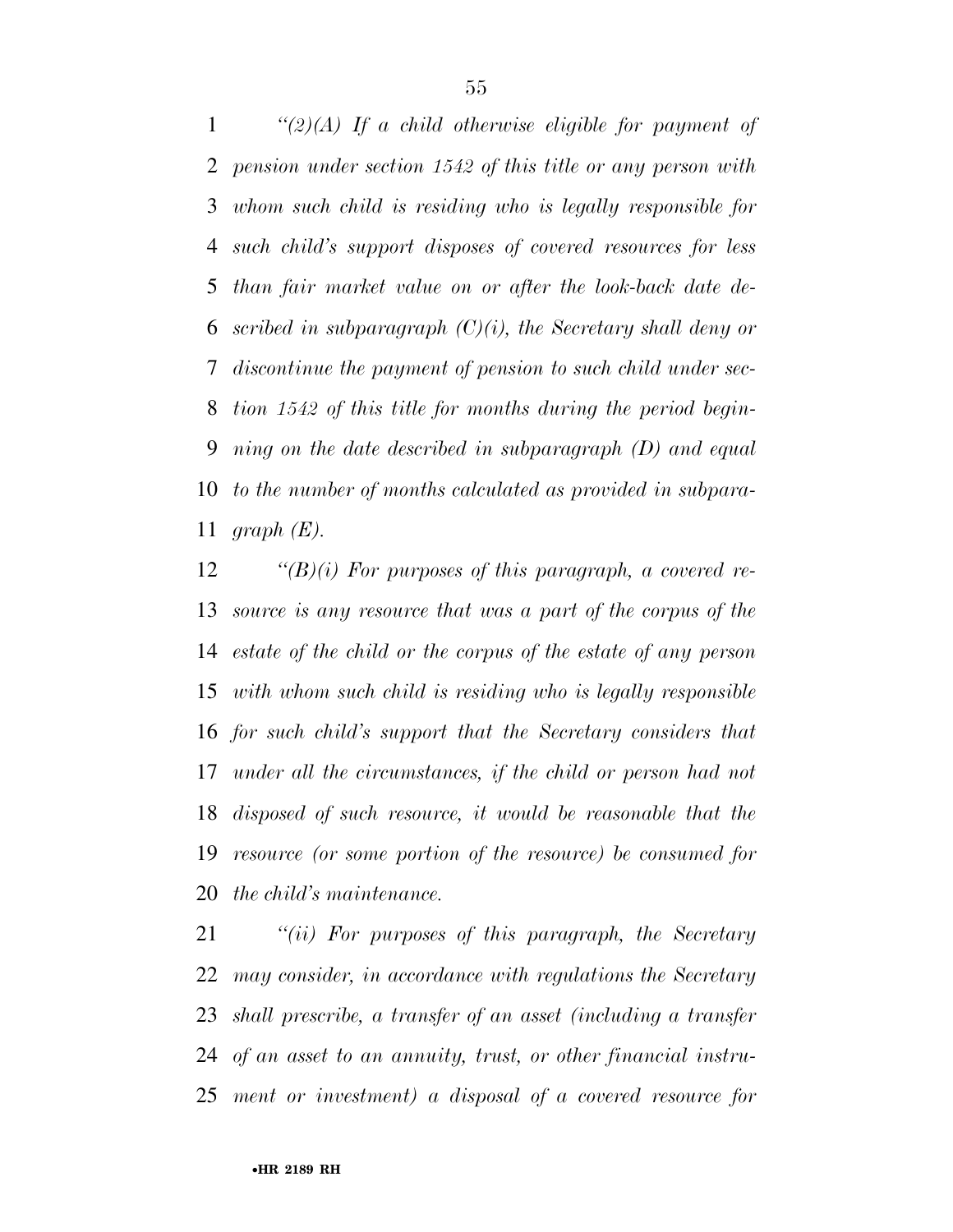*''(2)(A) If a child otherwise eligible for payment of pension under section 1542 of this title or any person with whom such child is residing who is legally responsible for such child's support disposes of covered resources for less than fair market value on or after the look-back date de- scribed in subparagraph (C)(i), the Secretary shall deny or discontinue the payment of pension to such child under sec- tion 1542 of this title for months during the period begin- ning on the date described in subparagraph (D) and equal to the number of months calculated as provided in subpara-graph (E).* 

 *''(B)(i) For purposes of this paragraph, a covered re- source is any resource that was a part of the corpus of the estate of the child or the corpus of the estate of any person with whom such child is residing who is legally responsible for such child's support that the Secretary considers that under all the circumstances, if the child or person had not disposed of such resource, it would be reasonable that the resource (or some portion of the resource) be consumed for the child's maintenance.* 

 *''(ii) For purposes of this paragraph, the Secretary may consider, in accordance with regulations the Secretary shall prescribe, a transfer of an asset (including a transfer of an asset to an annuity, trust, or other financial instru-ment or investment) a disposal of a covered resource for*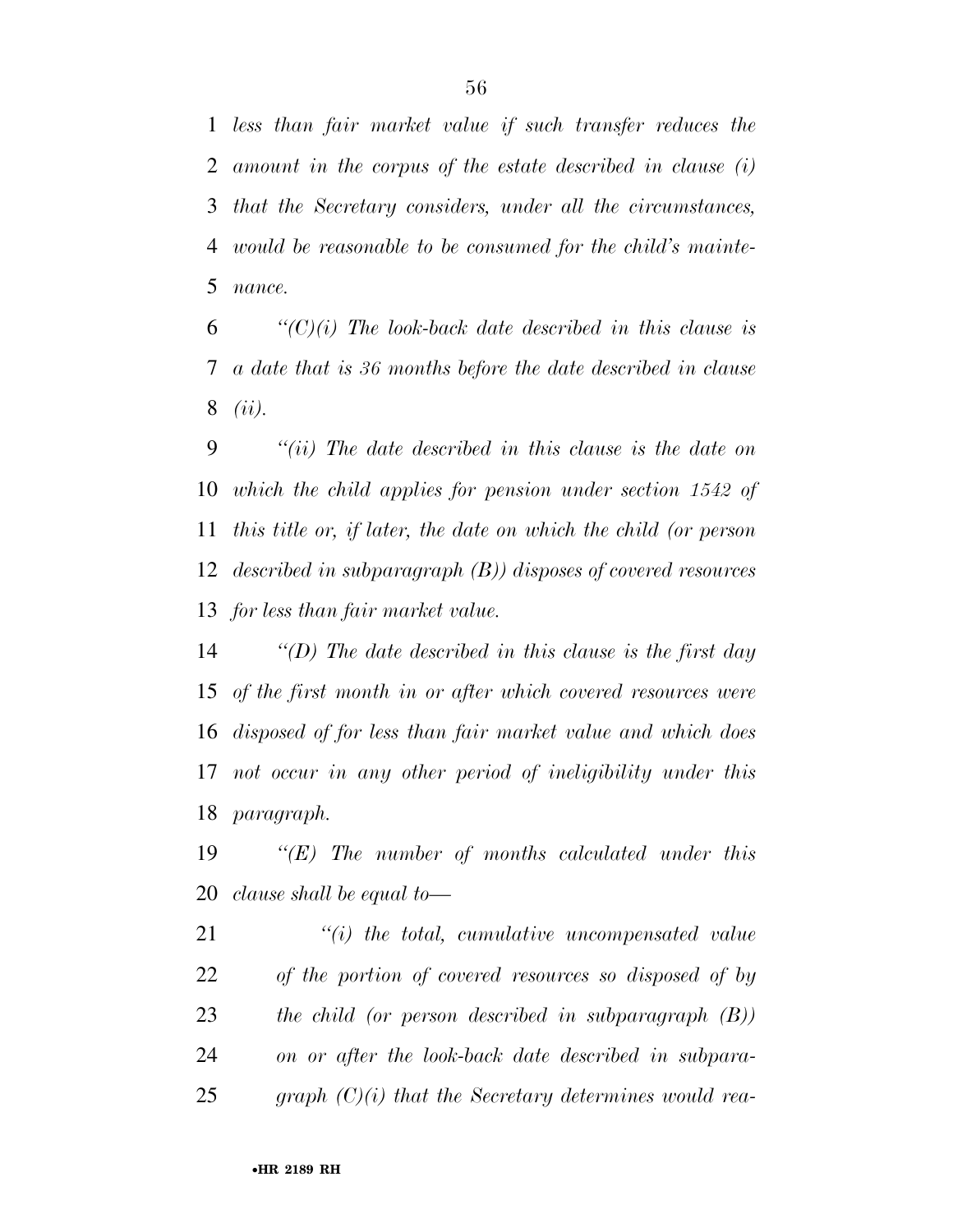*less than fair market value if such transfer reduces the amount in the corpus of the estate described in clause (i) that the Secretary considers, under all the circumstances, would be reasonable to be consumed for the child's mainte-nance.* 

 *''(C)(i) The look-back date described in this clause is a date that is 36 months before the date described in clause (ii).* 

 *''(ii) The date described in this clause is the date on which the child applies for pension under section 1542 of this title or, if later, the date on which the child (or person described in subparagraph (B)) disposes of covered resources for less than fair market value.* 

 *''(D) The date described in this clause is the first day of the first month in or after which covered resources were disposed of for less than fair market value and which does not occur in any other period of ineligibility under this paragraph.* 

 *''(E) The number of months calculated under this clause shall be equal to—* 

 *''(i) the total, cumulative uncompensated value of the portion of covered resources so disposed of by the child (or person described in subparagraph (B)) on or after the look-back date described in subpara-graph (C)(i) that the Secretary determines would rea-*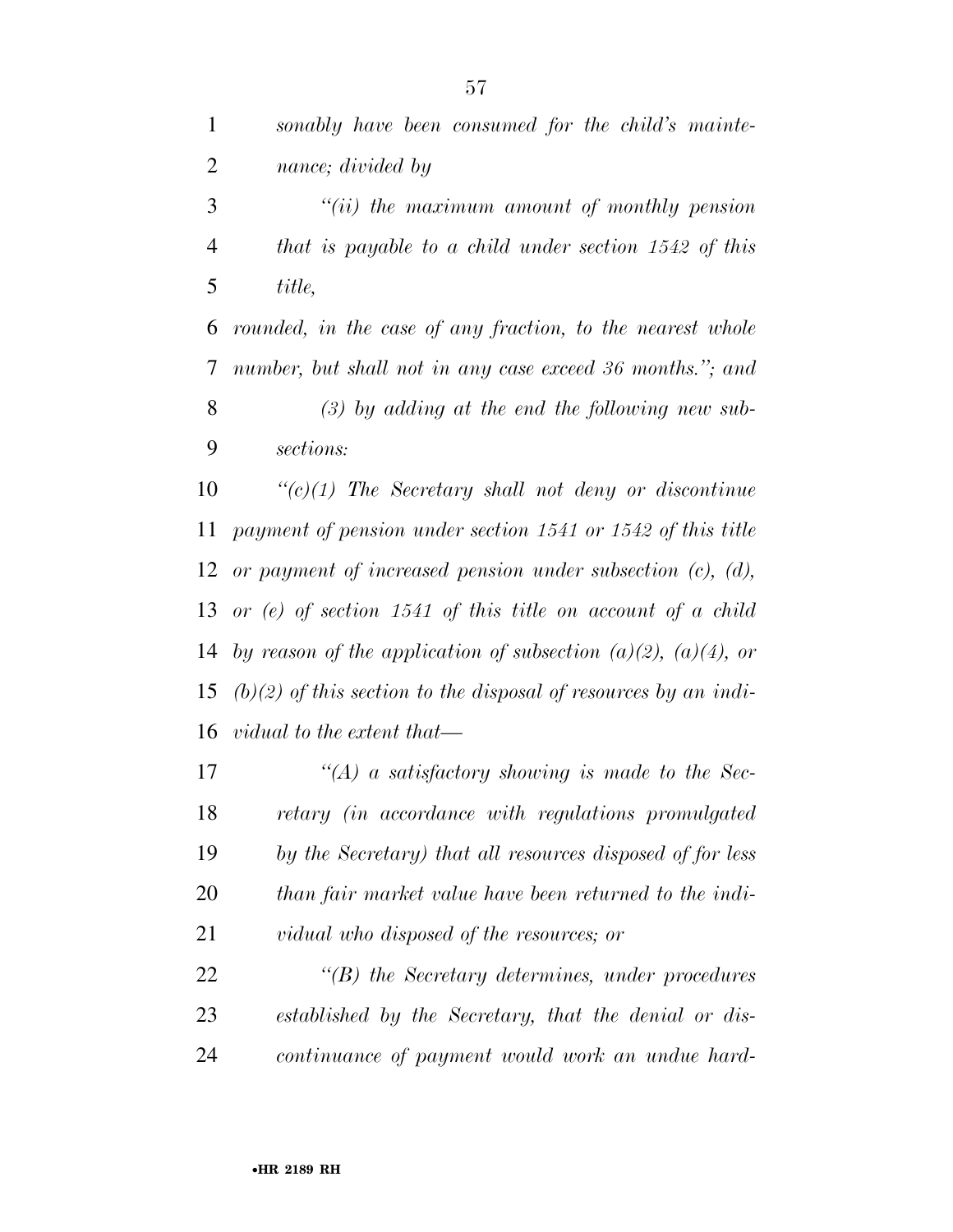| $\mathbf{1}$   | sonably have been consumed for the child's mainte-                  |
|----------------|---------------------------------------------------------------------|
| $\overline{2}$ | nance; divided by                                                   |
| 3              | $``(ii)$ the maximum amount of monthly pension                      |
| 4              | that is payable to a child under section $1542$ of this             |
| 5              | title,                                                              |
| 6              | rounded, in the case of any fraction, to the nearest whole          |
| $\tau$         | number, but shall not in any case exceed 36 months."; and           |
| 8              | $(3)$ by adding at the end the following new sub-                   |
| 9              | sections:                                                           |
| 10             | $\lq\lq (c)(1)$ The Secretary shall not deny or discontinue         |
| 11             | payment of pension under section 1541 or 1542 of this title         |
|                | 12 or payment of increased pension under subsection $(c)$ , $(d)$ , |

 *or (e) of section 1541 of this title on account of a child by reason of the application of subsection (a)(2), (a)(4), or (b)(2) of this section to the disposal of resources by an indi-vidual to the extent that—* 

 *''(A) a satisfactory showing is made to the Sec- retary (in accordance with regulations promulgated by the Secretary) that all resources disposed of for less than fair market value have been returned to the indi-vidual who disposed of the resources; or* 

 *''(B) the Secretary determines, under procedures established by the Secretary, that the denial or dis-continuance of payment would work an undue hard-*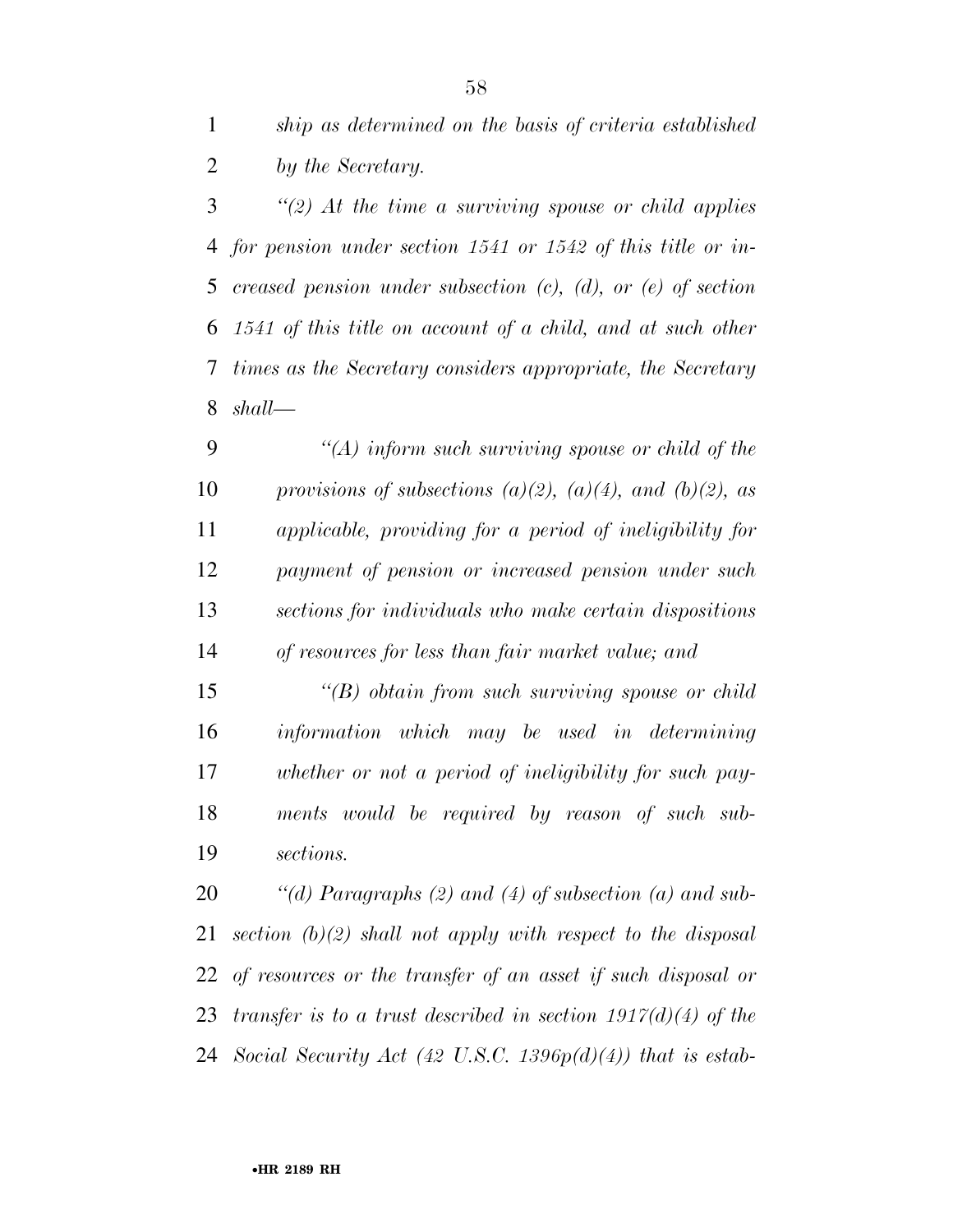*ship as determined on the basis of criteria established by the Secretary.* 

 *''(2) At the time a surviving spouse or child applies for pension under section 1541 or 1542 of this title or in- creased pension under subsection (c), (d), or (e) of section 1541 of this title on account of a child, and at such other times as the Secretary considers appropriate, the Secretary shall—* 

 *''(A) inform such surviving spouse or child of the provisions of subsections (a)(2), (a)(4), and (b)(2), as applicable, providing for a period of ineligibility for payment of pension or increased pension under such sections for individuals who make certain dispositions of resources for less than fair market value; and* 

 *''(B) obtain from such surviving spouse or child information which may be used in determining whether or not a period of ineligibility for such pay- ments would be required by reason of such sub-sections.* 

 *''(d) Paragraphs (2) and (4) of subsection (a) and sub- section (b)(2) shall not apply with respect to the disposal of resources or the transfer of an asset if such disposal or transfer is to a trust described in section 1917(d)(4) of the Social Security Act (42 U.S.C. 1396p(d)(4)) that is estab-*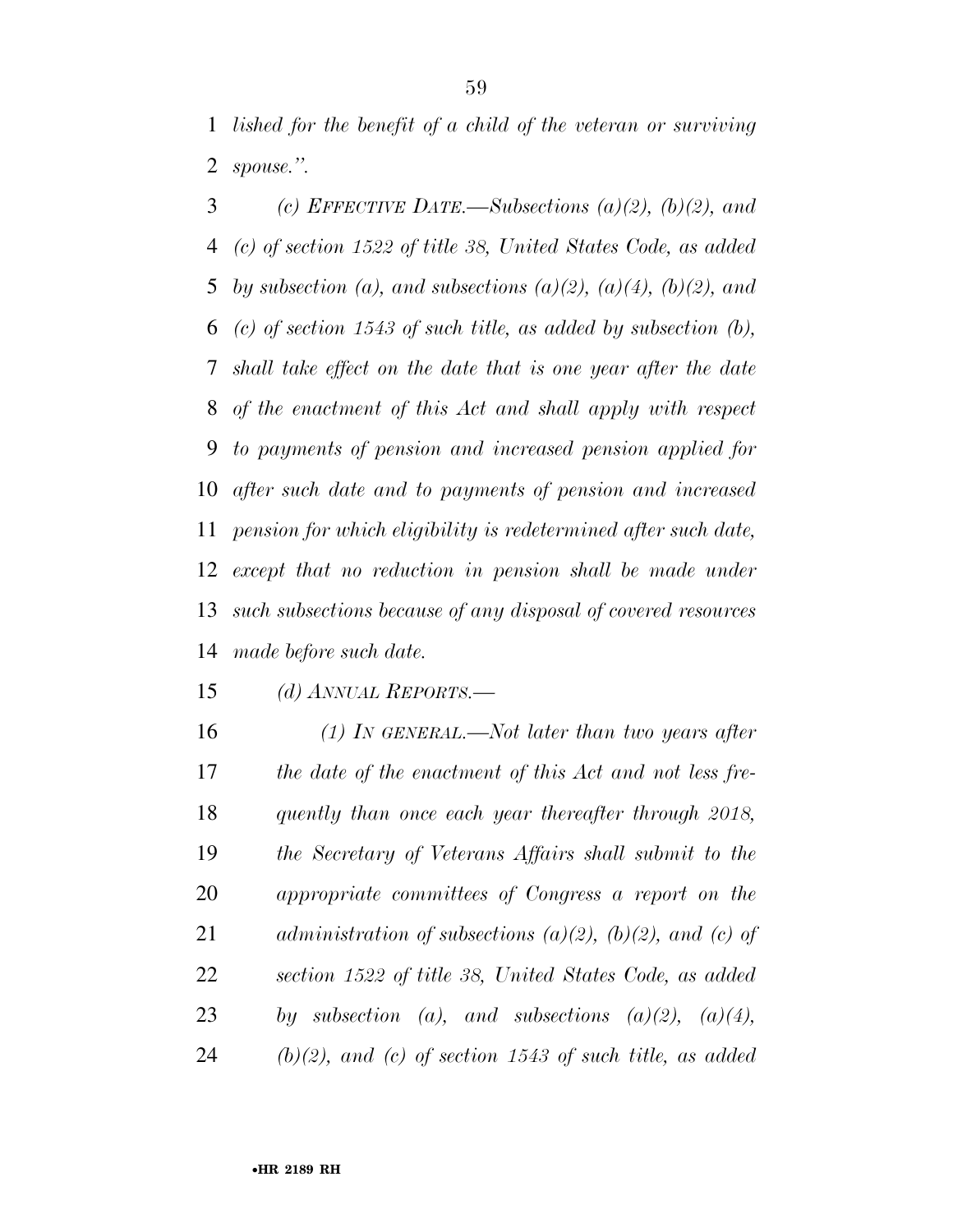*lished for the benefit of a child of the veteran or surviving spouse.''.* 

 *(c) EFFECTIVE DATE.—Subsections (a)(2), (b)(2), and (c) of section 1522 of title 38, United States Code, as added by subsection (a), and subsections (a)(2), (a)(4), (b)(2), and (c) of section 1543 of such title, as added by subsection (b), shall take effect on the date that is one year after the date of the enactment of this Act and shall apply with respect to payments of pension and increased pension applied for after such date and to payments of pension and increased pension for which eligibility is redetermined after such date, except that no reduction in pension shall be made under such subsections because of any disposal of covered resources made before such date.* 

*(d) ANNUAL REPORTS.—* 

 *(1) IN GENERAL.—Not later than two years after the date of the enactment of this Act and not less fre- quently than once each year thereafter through 2018, the Secretary of Veterans Affairs shall submit to the appropriate committees of Congress a report on the administration of subsections (a)(2), (b)(2), and (c) of section 1522 of title 38, United States Code, as added by subsection (a), and subsections (a)(2), (a)(4), (b)(2), and (c) of section 1543 of such title, as added*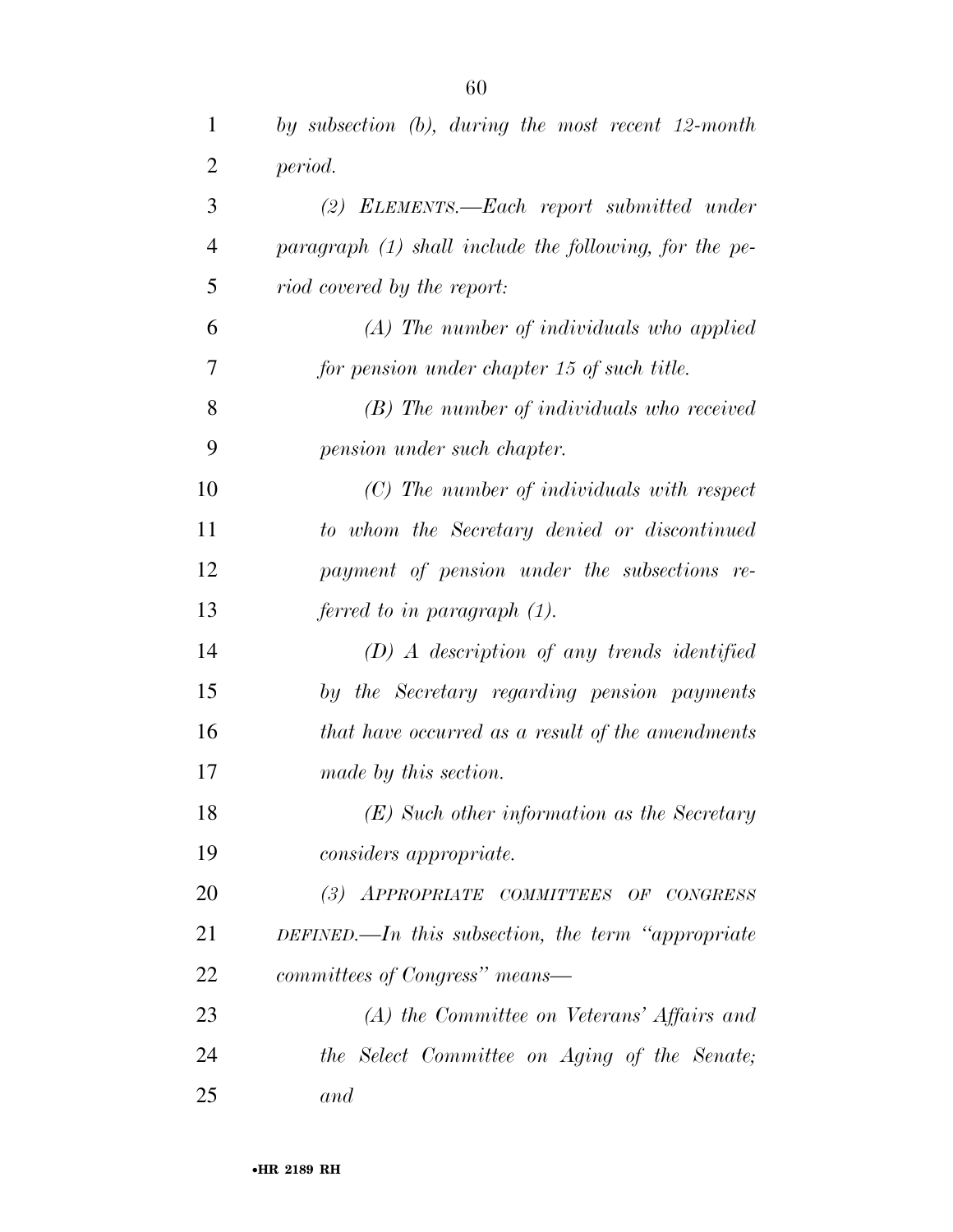| 1              | by subsection $(b)$ , during the most recent 12-month  |
|----------------|--------------------------------------------------------|
| $\overline{2}$ | period.                                                |
| 3              | $(2)$ ELEMENTS.—Each report submitted under            |
| $\overline{4}$ | paragraph (1) shall include the following, for the pe- |
| 5              | riod covered by the report:                            |
| 6              | $(A)$ The number of individuals who applied            |
| 7              | for pension under chapter 15 of such title.            |
| 8              | $(B)$ The number of individuals who received           |
| 9              | pension under such chapter.                            |
| 10             | $(C)$ The number of individuals with respect           |
| 11             | to whom the Secretary denied or discontinued           |
| 12             | payment of pension under the subsections re-           |
| 13             | ferred to in paragraph (1).                            |
| 14             | $(D)$ A description of any trends identified           |
| 15             | by the Secretary regarding pension payments            |
| 16             | that have occurred as a result of the amendments       |
| 17             | made by this section.                                  |
| 18             | $(E)$ Such other information as the Secretary          |
| 19             | <i>considers appropriate.</i>                          |
| 20             | (3) APPROPRIATE COMMITTEES OF CONGRESS                 |
| 21             | DEFINED.—In this subsection, the term "appropriate"    |
| 22             | committees of Congress" means-                         |
| 23             | $(A)$ the Committee on Veterans' Affairs and           |
| 24             | the Select Committee on Aging of the Senate;           |
| 25             | and                                                    |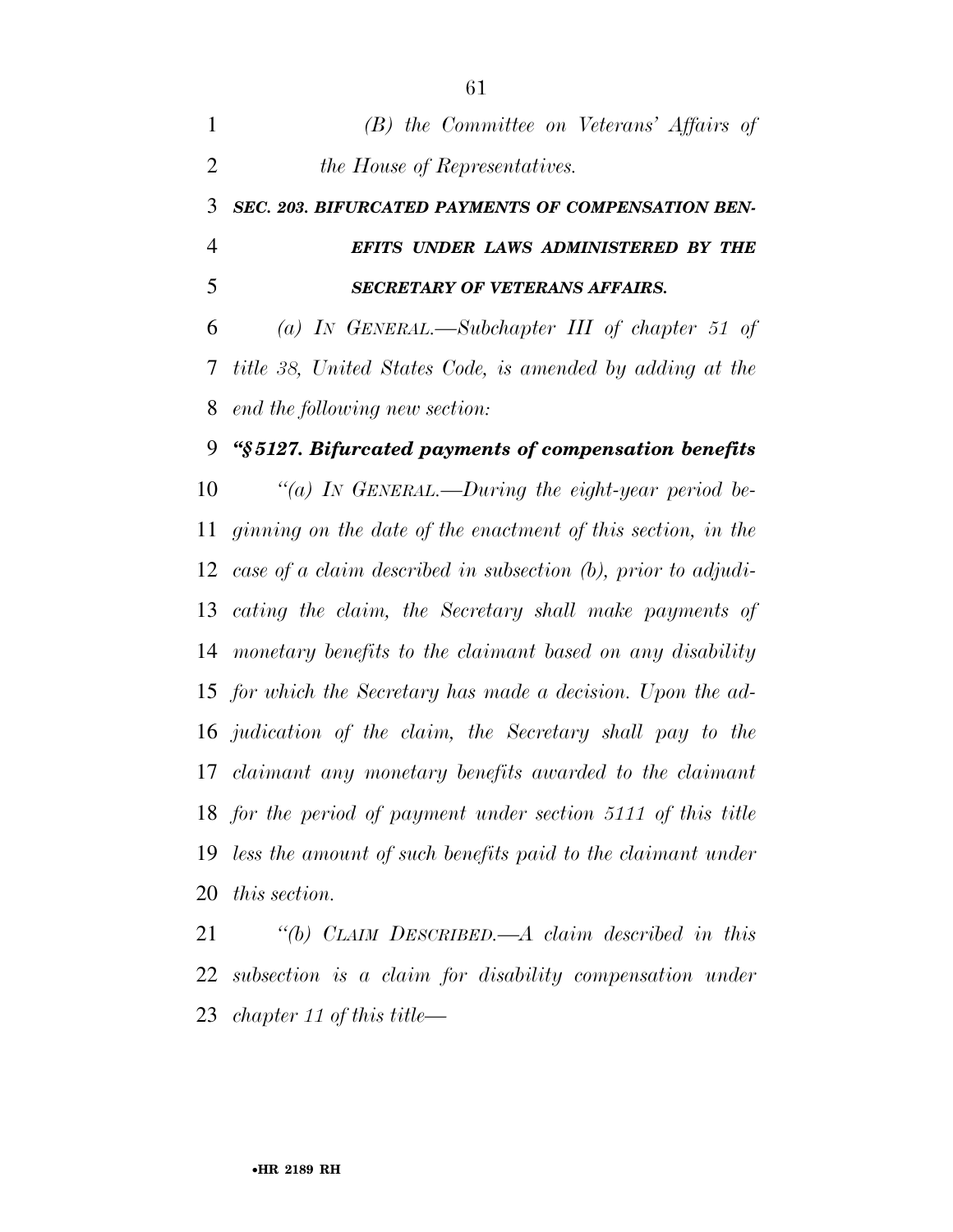| $\mathbf{1}$   | (B) the Committee on Veterans' Affairs of                        |
|----------------|------------------------------------------------------------------|
| $\overline{2}$ | the House of Representatives.                                    |
| 3              | SEC. 203. BIFURCATED PAYMENTS OF COMPENSATION BEN-               |
| $\overline{4}$ | EFITS UNDER LAWS ADMINISTERED BY THE                             |
| 5              | <b>SECRETARY OF VETERANS AFFAIRS.</b>                            |
| 6              | (a) IN GENERAL.—Subchapter III of chapter 51 of                  |
| 7              | title 38, United States Code, is amended by adding at the        |
| 8              | end the following new section:                                   |
| 9              | "§5127. Bifurcated payments of compensation benefits             |
| 10             | "(a) In GENERAL.—During the eight-year period be-                |
| 11             | ginning on the date of the enactment of this section, in the     |
| 12             | case of a claim described in subsection $(b)$ , prior to adjudi- |
| 13             | cating the claim, the Secretary shall make payments of           |
| 14             | monetary benefits to the claimant based on any disability        |
| 15             | for which the Secretary has made a decision. Upon the ad-        |
| 16             | judication of the claim, the Secretary shall pay to the          |
| 17             | claimant any monetary benefits awarded to the claimant           |
| 18             | for the period of payment under section 5111 of this title       |
| 19             | less the amount of such benefits paid to the claimant under      |
|                | 20 this section.                                                 |

 *''(b) CLAIM DESCRIBED.—A claim described in this subsection is a claim for disability compensation under chapter 11 of this title—*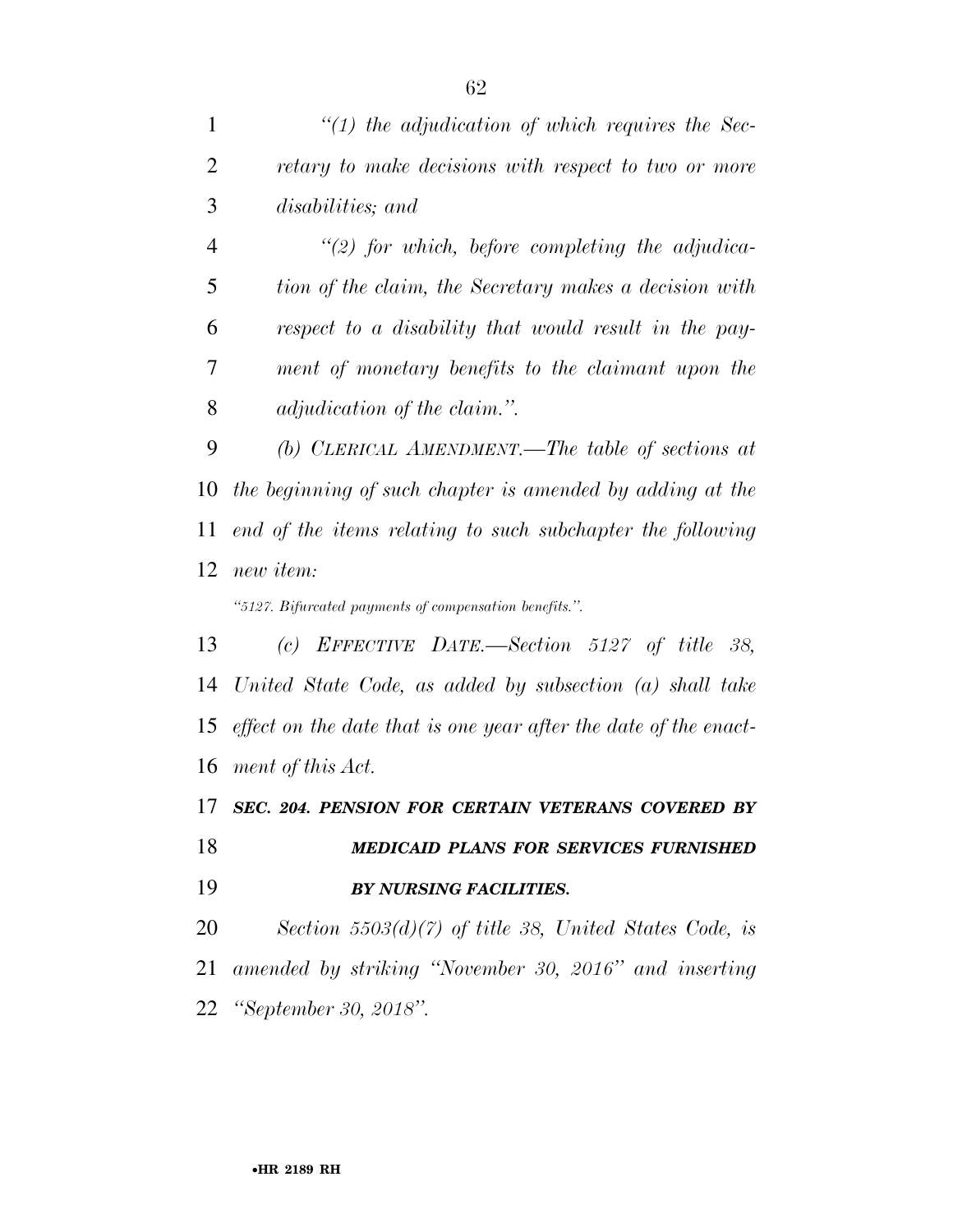*''(2) for which, before completing the adjudica- tion of the claim, the Secretary makes a decision with respect to a disability that would result in the pay- ment of monetary benefits to the claimant upon the adjudication of the claim.''.* 

 *(b) CLERICAL AMENDMENT.—The table of sections at the beginning of such chapter is amended by adding at the end of the items relating to such subchapter the following new item:* 

*''5127. Bifurcated payments of compensation benefits.''.* 

 *(c) EFFECTIVE DATE.—Section 5127 of title 38, United State Code, as added by subsection (a) shall take effect on the date that is one year after the date of the enact-ment of this Act.* 

 *SEC. 204. PENSION FOR CERTAIN VETERANS COVERED BY MEDICAID PLANS FOR SERVICES FURNISHED BY NURSING FACILITIES.* 

 *Section 5503(d)(7) of title 38, United States Code, is amended by striking ''November 30, 2016'' and inserting ''September 30, 2018''.*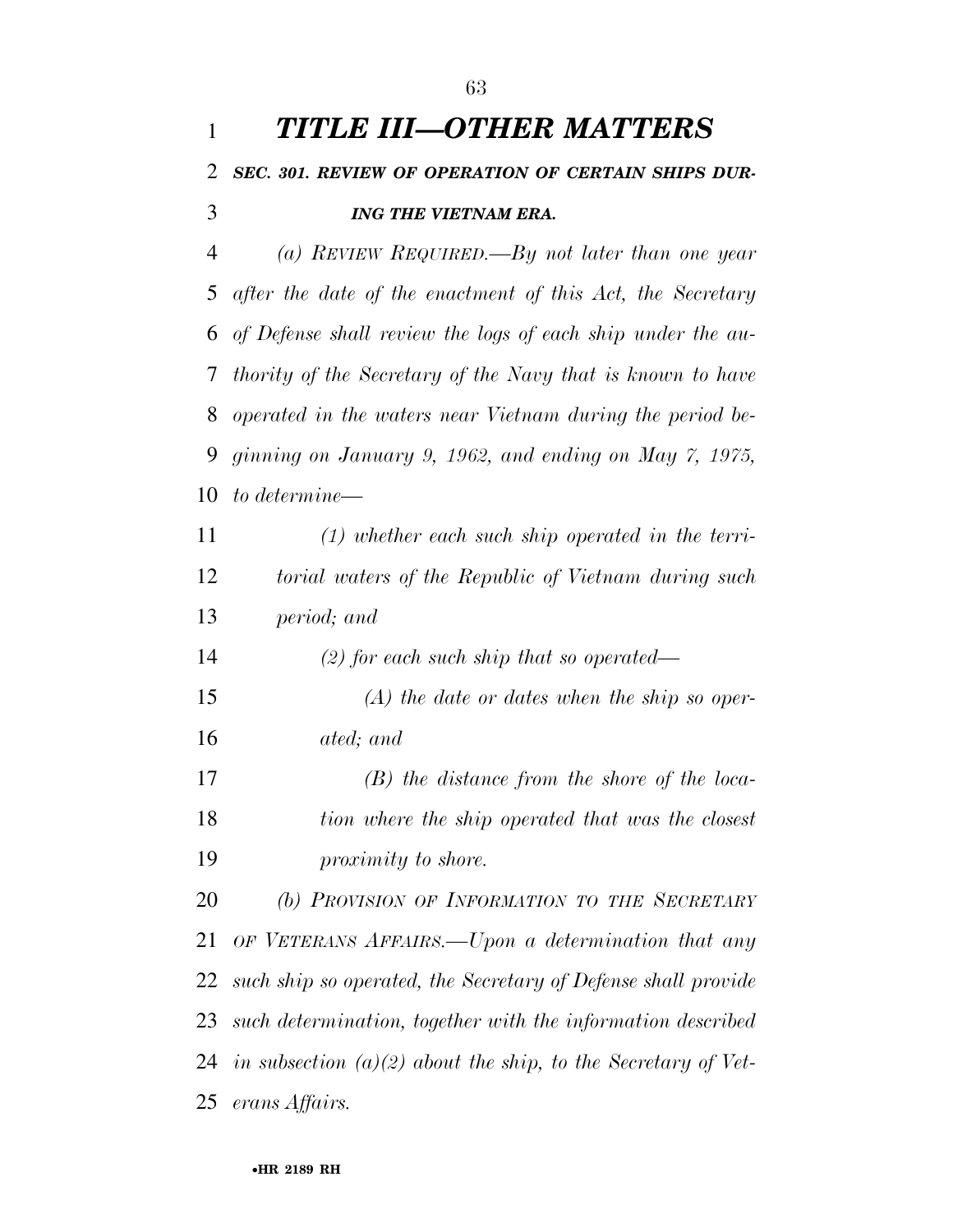| $\mathbf{1}$   | TITLE III—OTHER MATTERS                                       |
|----------------|---------------------------------------------------------------|
| $\overline{2}$ | SEC. 301. REVIEW OF OPERATION OF CERTAIN SHIPS DUR-           |
| 3              | <b>ING THE VIETNAM ERA.</b>                                   |
| 4              | (a) REVIEW REQUIRED.—By not later than one year               |
| 5              | after the date of the enactment of this Act, the Secretary    |
| 6              | of Defense shall review the logs of each ship under the au-   |
| 7              | thority of the Secretary of the Navy that is known to have    |
| 8              | operated in the waters near Vietnam during the period be-     |
| 9              | ginning on January 9, 1962, and ending on May 7, 1975,        |
| 10             | to determine—                                                 |
| 11             | $(1)$ whether each such ship operated in the terri-           |
| 12             | torial waters of the Republic of Vietnam during such          |
| 13             | period; and                                                   |
| 14             | $(2)$ for each such ship that so operated—                    |
| 15             | $(A)$ the date or dates when the ship so oper-                |
| 16             | ated; and                                                     |
| 17             | $(B)$ the distance from the shore of the loca-                |
| 18             | tion where the ship operated that was the closest             |
| 19             | proximity to shore.                                           |
| 20             | (b) PROVISION OF INFORMATION TO THE SECRETARY                 |
| 21             | OF VETERANS AFFAIRS.—Upon a determination that any            |
| 22             | such ship so operated, the Secretary of Defense shall provide |
| 23             | such determination, together with the information described   |
| 24             | in subsection (a)(2) about the ship, to the Secretary of Vet- |
|                | 25 erans Affairs.                                             |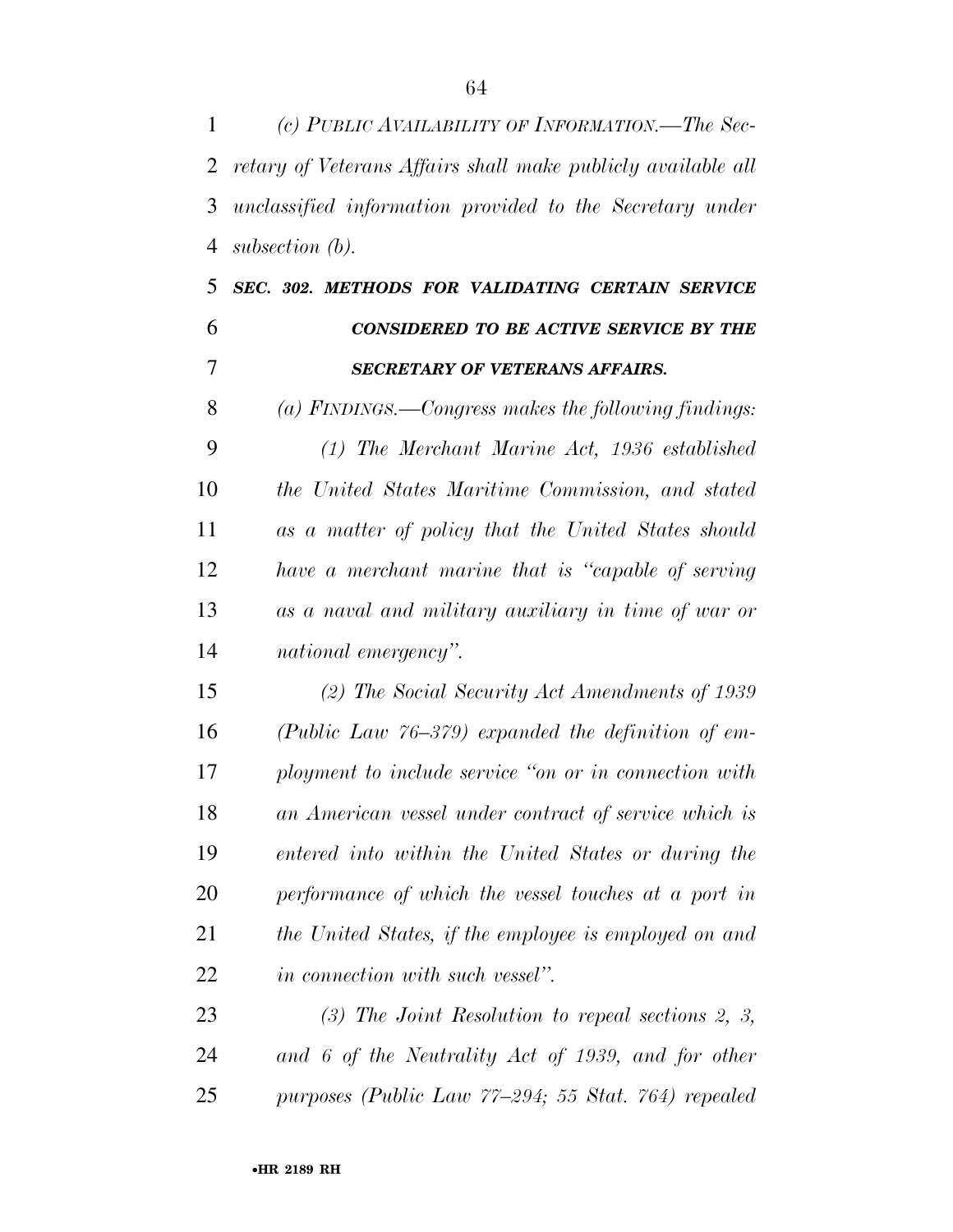*(c) PUBLIC AVAILABILITY OF INFORMATION.—The Sec- retary of Veterans Affairs shall make publicly available all unclassified information provided to the Secretary under subsection (b).* 

## *SEC. 302. METHODS FOR VALIDATING CERTAIN SERVICE CONSIDERED TO BE ACTIVE SERVICE BY THE SECRETARY OF VETERANS AFFAIRS.*

 *(a) FINDINGS.—Congress makes the following findings: (1) The Merchant Marine Act, 1936 established the United States Maritime Commission, and stated as a matter of policy that the United States should have a merchant marine that is ''capable of serving as a naval and military auxiliary in time of war or national emergency''.* 

 *(2) The Social Security Act Amendments of 1939 (Public Law 76–379) expanded the definition of em- ployment to include service ''on or in connection with an American vessel under contract of service which is entered into within the United States or during the performance of which the vessel touches at a port in the United States, if the employee is employed on and in connection with such vessel''.* 

 *(3) The Joint Resolution to repeal sections 2, 3, and 6 of the Neutrality Act of 1939, and for other purposes (Public Law 77–294; 55 Stat. 764) repealed*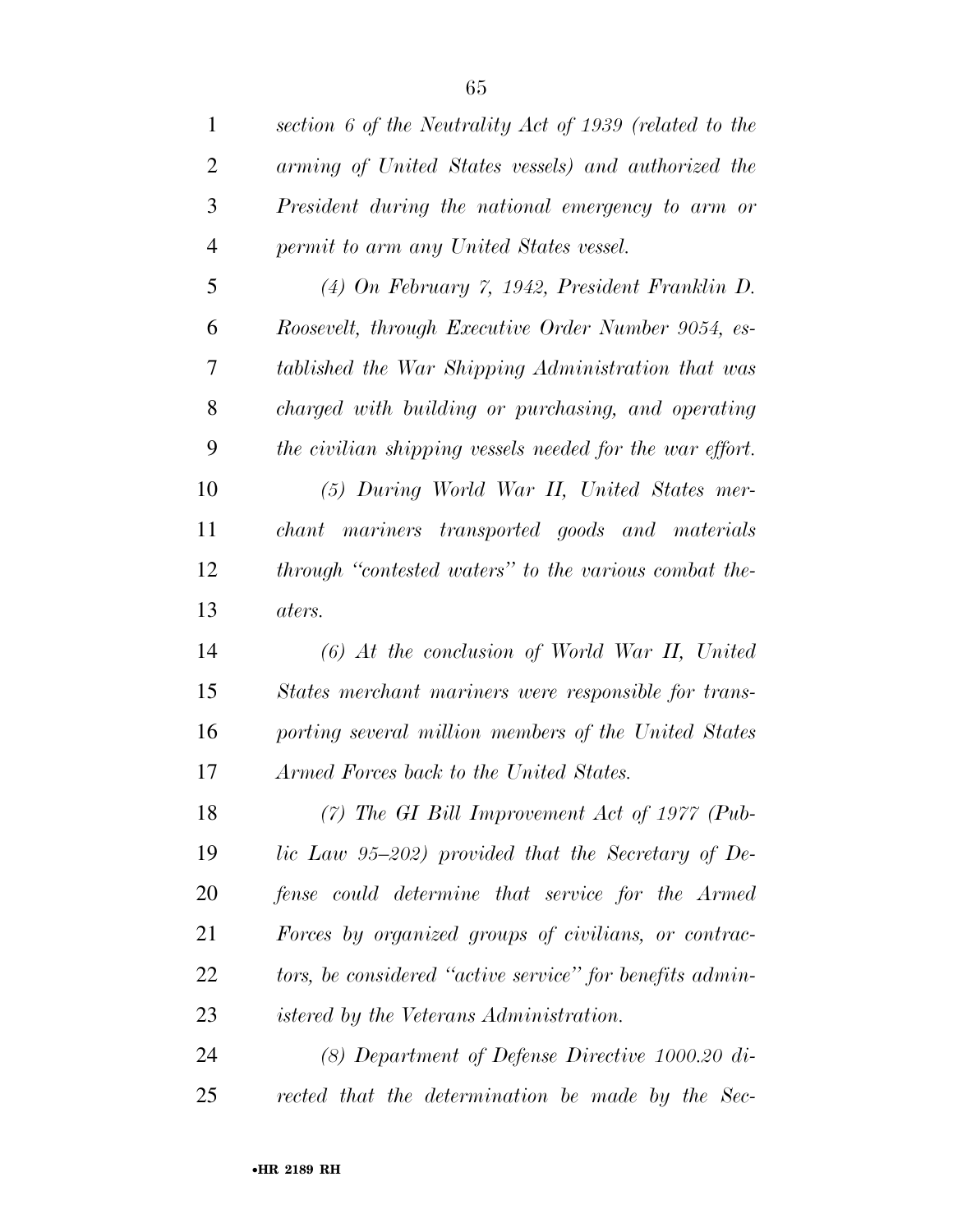| $\mathbf{1}$   | section 6 of the Neutrality Act of 1939 (related to the  |
|----------------|----------------------------------------------------------|
| $\overline{2}$ | arming of United States vessels) and authorized the      |
| 3              | President during the national emergency to arm or        |
| $\overline{4}$ | permit to arm any United States vessel.                  |
| 5              | $(4)$ On February 7, 1942, President Franklin D.         |
| 6              | Roosevelt, through Executive Order Number 9054, es-      |
| 7              | tablished the War Shipping Administration that was       |
| 8              | charged with building or purchasing, and operating       |
| 9              | the civilian shipping vessels needed for the war effort. |
| 10             | (5) During World War II, United States mer-              |
| 11             | chant mariners transported goods and materials           |
| 12             | through "contested waters" to the various combat the-    |
| 13             | aters.                                                   |
| 14             | $(6)$ At the conclusion of World War II, United          |
| 15             | States merchant mariners were responsible for trans-     |
| 16             | porting several million members of the United States     |
| 17             | Armed Forces back to the United States.                  |
| 18             | $(7)$ The GI Bill Improvement Act of 1977 (Pub-          |
| 19             | lic Law $95-202$ ) provided that the Secretary of De-    |
| 20             | fense could determine that service for the Armed         |
| 21             | Forces by organized groups of civilians, or contrac-     |
| 22             | tors, be considered "active service" for benefits admin- |
| 23             | <i>istered by the Veterans Administration.</i>           |
| 24             | $(8)$ Department of Defense Directive 1000.20 di-        |
|                |                                                          |

*rected that the determination be made by the Sec-*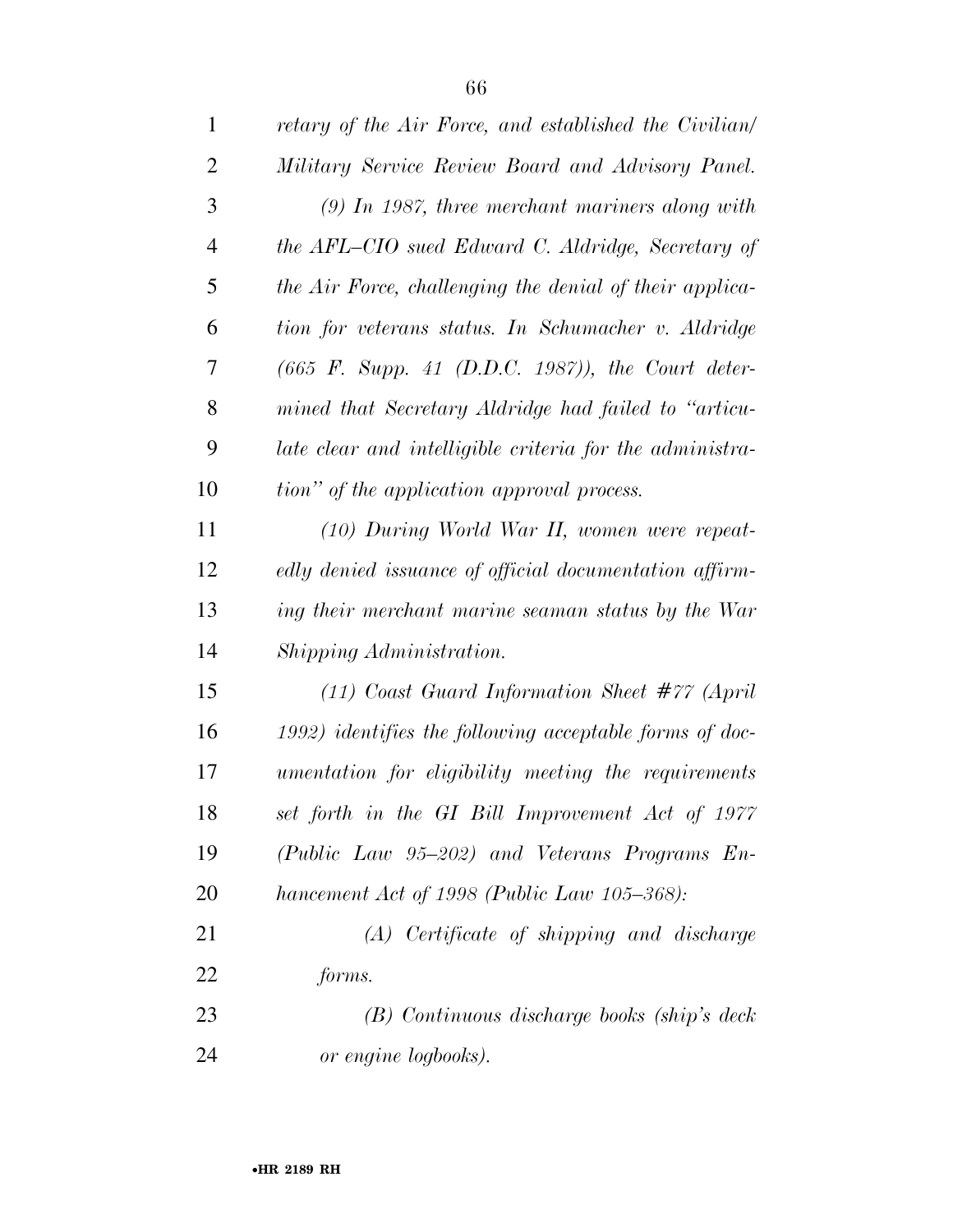| $\mathbf{1}$   | retary of the Air Force, and established the Civilian/     |
|----------------|------------------------------------------------------------|
| $\overline{2}$ | Military Service Review Board and Advisory Panel.          |
| 3              | $(9)$ In 1987, three merchant mariners along with          |
| $\overline{4}$ | the AFL-CIO sued Edward C. Aldridge, Secretary of          |
| 5              | the Air Force, challenging the denial of their applica-    |
| 6              | tion for veterans status. In Schumacher v. Aldridge        |
| 7              | $(665 \t F. \tSupp. 41 \t(D.D.C. 1987)), the Court deter-$ |
| 8              | mined that Secretary Aldridge had failed to "articu-       |
| 9              | late clear and intelligible criteria for the administra-   |
| 10             | tion" of the application approval process.                 |
| 11             | (10) During World War II, women were repeat-               |
| 12             | edly denied issuance of official documentation affirm-     |
| 13             | ing their merchant marine seaman status by the War         |
| 14             | Shipping Administration.                                   |
| 15             | $(11)$ Coast Guard Information Sheet #77 (April            |
| 16             | $(1992)$ identifies the following acceptable forms of doc- |
| 17             | umentation for eligibility meeting the requirements        |
| 18             | set forth in the GI Bill Improvement Act of 1977           |
| 19             | (Public Law 95-202) and Veterans Programs En-              |
| <b>20</b>      | hancement Act of 1998 (Public Law 105–368):                |
| 21             | (A) Certificate of shipping and discharge                  |
| 22             | forms.                                                     |
| 23             | (B) Continuous discharge books (ship's deck                |
| 24             | or engine logbooks).                                       |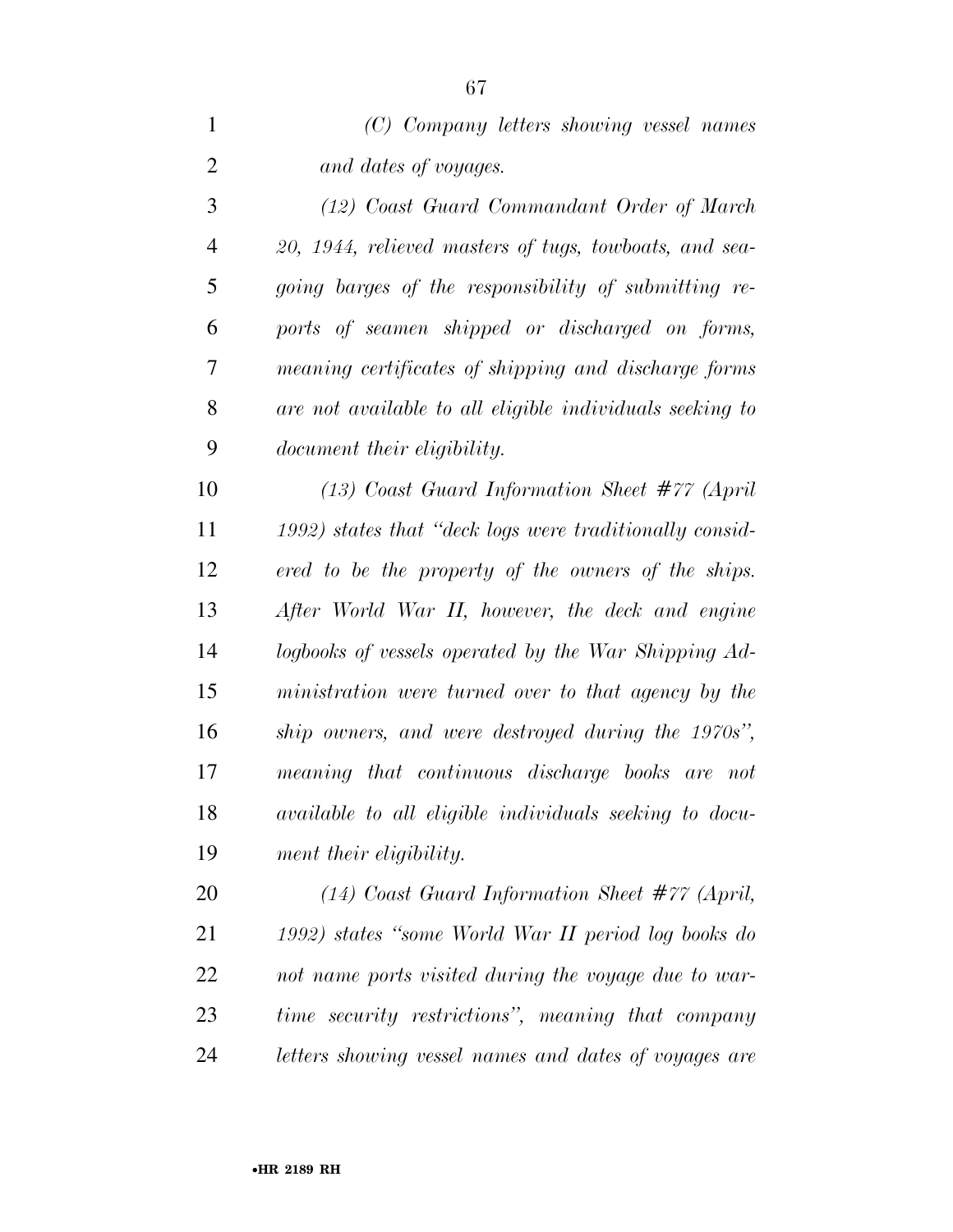| (C) Company letters showing vessel names |
|------------------------------------------|
| and dates of voyages.                    |

 *(12) Coast Guard Commandant Order of March 20, 1944, relieved masters of tugs, towboats, and sea- going barges of the responsibility of submitting re- ports of seamen shipped or discharged on forms, meaning certificates of shipping and discharge forms are not available to all eligible individuals seeking to document their eligibility.* 

 *(13) Coast Guard Information Sheet #77 (April 1992) states that ''deck logs were traditionally consid- ered to be the property of the owners of the ships. After World War II, however, the deck and engine logbooks of vessels operated by the War Shipping Ad- ministration were turned over to that agency by the ship owners, and were destroyed during the 1970s'', meaning that continuous discharge books are not available to all eligible individuals seeking to docu-ment their eligibility.* 

 *(14) Coast Guard Information Sheet #77 (April, 1992) states ''some World War II period log books do not name ports visited during the voyage due to war- time security restrictions'', meaning that company letters showing vessel names and dates of voyages are*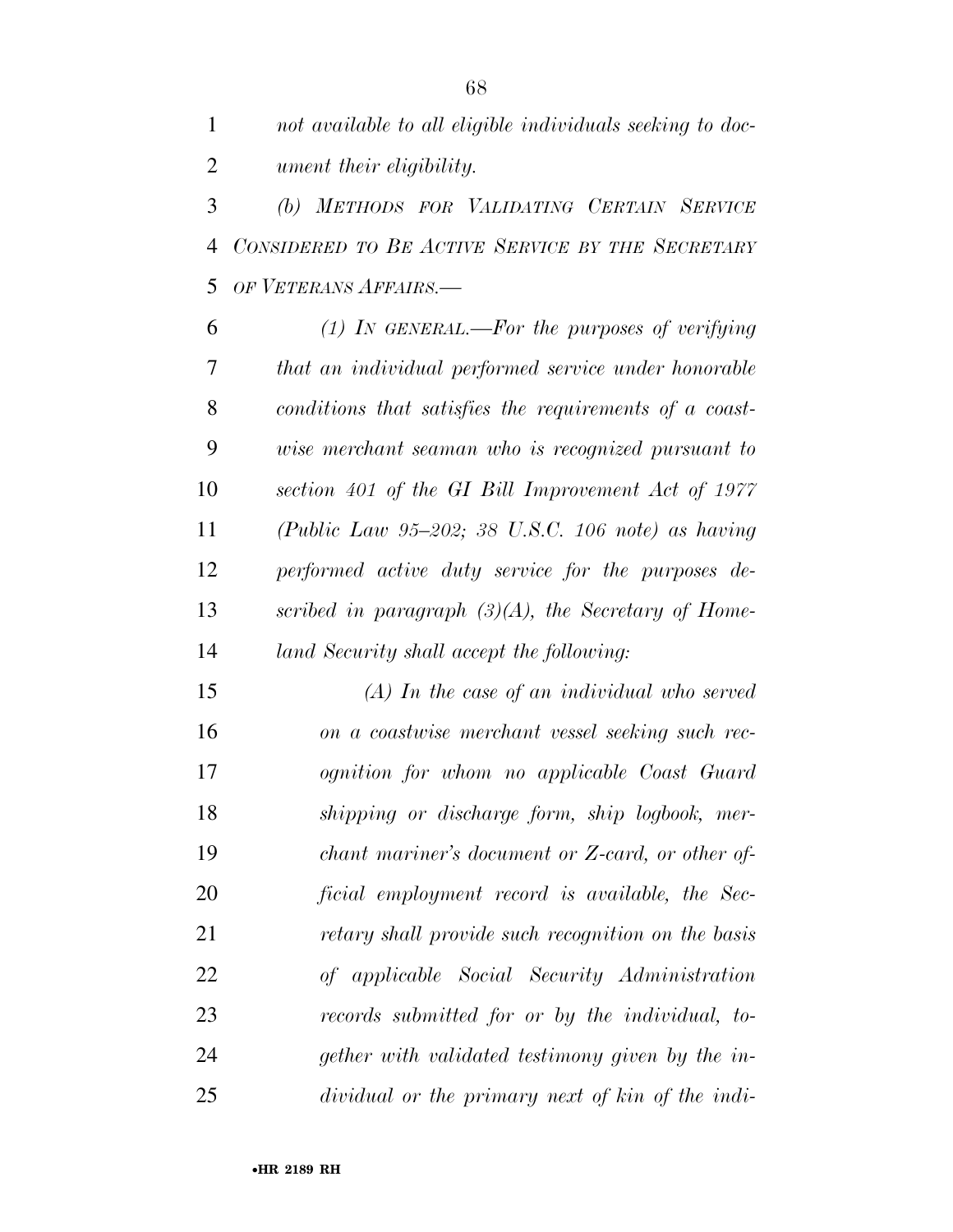*not available to all eligible individuals seeking to doc-ument their eligibility.* 

 *(b) METHODS FOR VALIDATING CERTAIN SERVICE CONSIDERED TO BE ACTIVE SERVICE BY THE SECRETARY OF VETERANS AFFAIRS.—* 

 *(1) IN GENERAL.—For the purposes of verifying that an individual performed service under honorable conditions that satisfies the requirements of a coast- wise merchant seaman who is recognized pursuant to section 401 of the GI Bill Improvement Act of 1977 (Public Law 95–202; 38 U.S.C. 106 note) as having performed active duty service for the purposes de- scribed in paragraph (3)(A), the Secretary of Home-land Security shall accept the following:* 

 *(A) In the case of an individual who served on a coastwise merchant vessel seeking such rec- ognition for whom no applicable Coast Guard shipping or discharge form, ship logbook, mer- chant mariner's document or Z-card, or other of- ficial employment record is available, the Sec- retary shall provide such recognition on the basis of applicable Social Security Administration records submitted for or by the individual, to- gether with validated testimony given by the in-dividual or the primary next of kin of the indi-*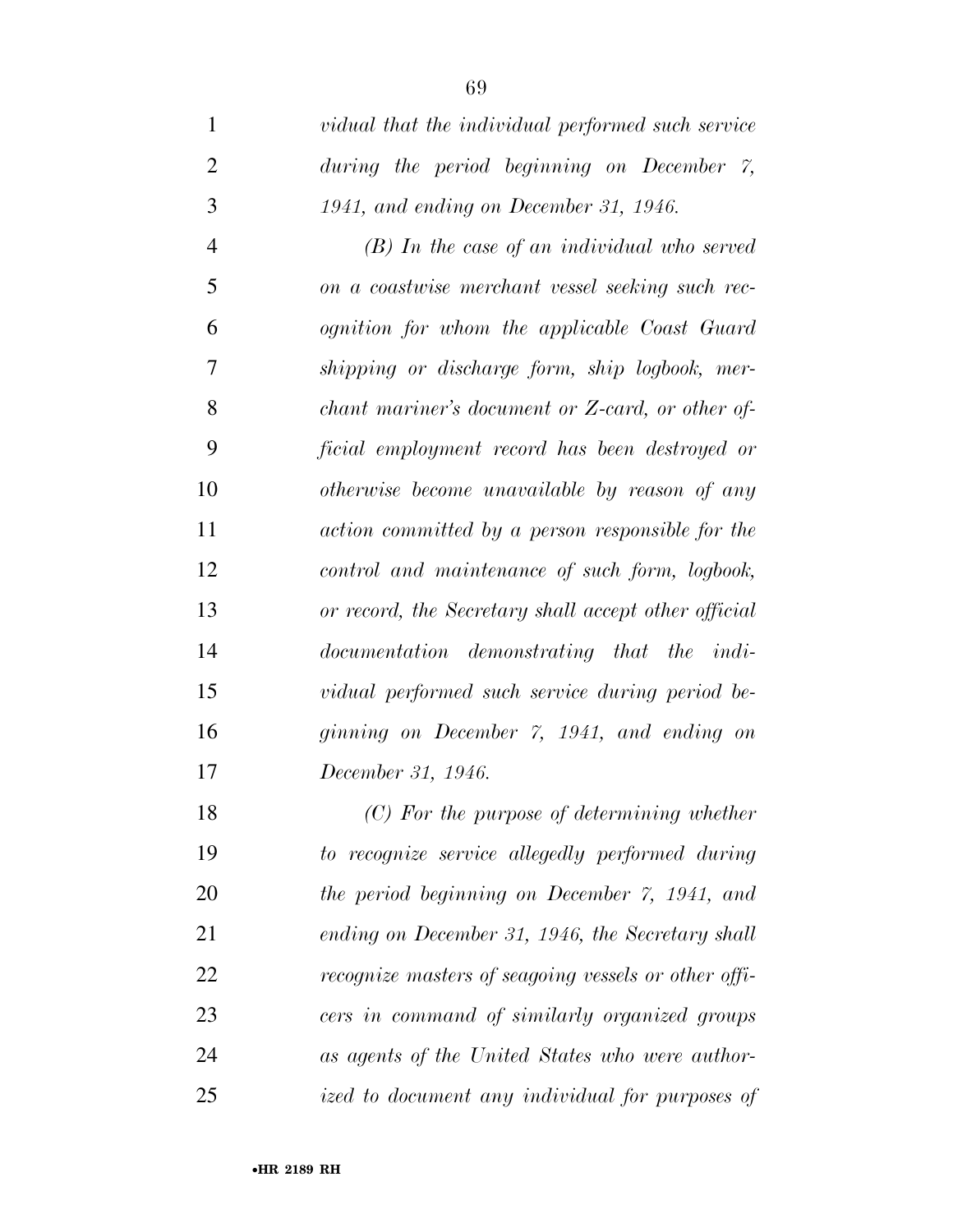| 1              | vidual that the individual performed such service    |
|----------------|------------------------------------------------------|
| $\overline{2}$ | during the period beginning on December $\gamma$ ,   |
| 3              | 1941, and ending on December 31, 1946.               |
| $\overline{4}$ | $(B)$ In the case of an individual who served        |
| 5              | on a coastwise merchant vessel seeking such rec-     |
| 6              | ognition for whom the applicable Coast Guard         |
| 7              | shipping or discharge form, ship logbook, mer-       |
| 8              | chant mariner's document or Z-card, or other of-     |
| 9              | ficial employment record has been destroyed or       |
| 10             | otherwise become unavailable by reason of any        |
| 11             | action committed by a person responsible for the     |
| 12             | control and maintenance of such form, logbook,       |
| 13             | or record, the Secretary shall accept other official |
| 14             | documentation demonstrating that the indi-           |
| 15             | vidual performed such service during period be-      |
| 16             | ginning on December 7, 1941, and ending on           |
| 17             | December 31, 1946.                                   |
| 18             | $(C)$ For the purpose of determining whether         |
| 19             | to recognize service allegedly performed during      |
| 20             | the period beginning on December 7, 1941, and        |
| 21             | ending on December 31, 1946, the Secretary shall     |
| 22             | recognize masters of seagoing vessels or other offi- |
| 23             | cers in command of similarly organized groups        |
| 24             | as agents of the United States who were author-      |
| 25             | ized to document any individual for purposes of      |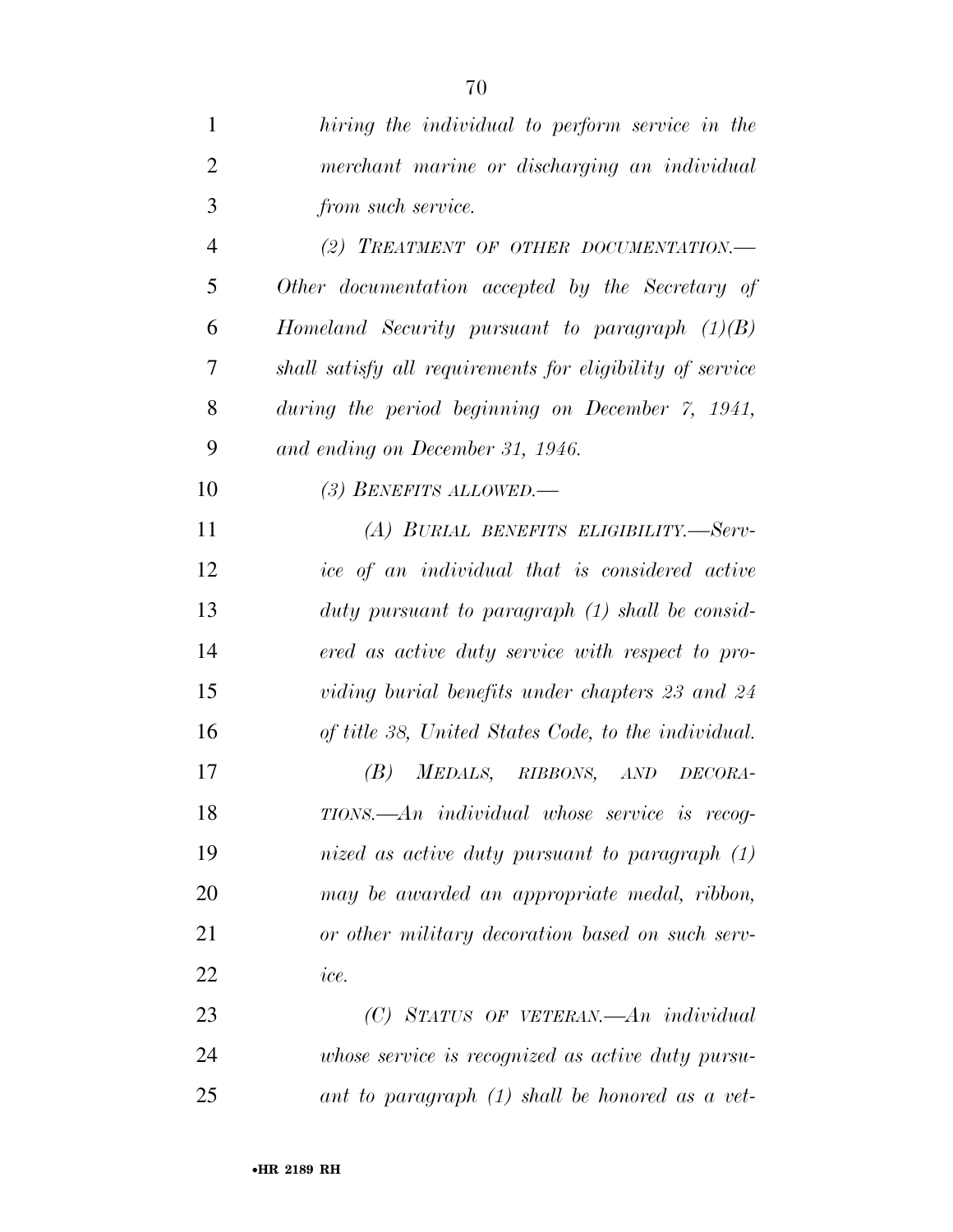| $\mathbf{1}$   | hiring the individual to perform service in the           |
|----------------|-----------------------------------------------------------|
| $\overline{2}$ | merchant marine or discharging an individual              |
| 3              | from such service.                                        |
| $\overline{4}$ | (2) TREATMENT OF OTHER DOCUMENTATION.-                    |
| 5              | Other documentation accepted by the Secretary of          |
| 6              | Homeland Security pursuant to paragraph $(1)(B)$          |
| 7              | shall satisfy all requirements for eligibility of service |
| 8              | during the period beginning on December 7, 1941,          |
| 9              | and ending on December 31, 1946.                          |
| 10             | (3) BENEFITS ALLOWED.-                                    |
| 11             | (A) BURIAL BENEFITS ELIGIBILITY.-Serv-                    |
| 12             | ice of an individual that is considered active            |
| 13             | duty pursuant to paragraph (1) shall be consid-           |
| 14             | ered as active duty service with respect to pro-          |
| 15             | viding burial benefits under chapters 23 and 24           |
| 16             | of title 38, United States Code, to the individual.       |
| 17             | (B)<br>MEDALS, RIBBONS,<br>AND<br>DECORA-                 |
| 18             | TIONS.—An individual whose service is recog-              |
| 19             | nized as active duty pursuant to paragraph $(1)$          |
| 20             | may be awarded an appropriate medal, ribbon,              |
| 21             | or other military decoration based on such serv-          |
| 22             | ice.                                                      |
| 23             | $(C)$ STATUS OF VETERAN.—An individual                    |
| 24             | whose service is recognized as active duty pursu-         |
| 25             | ant to paragraph $(1)$ shall be honored as a vet-         |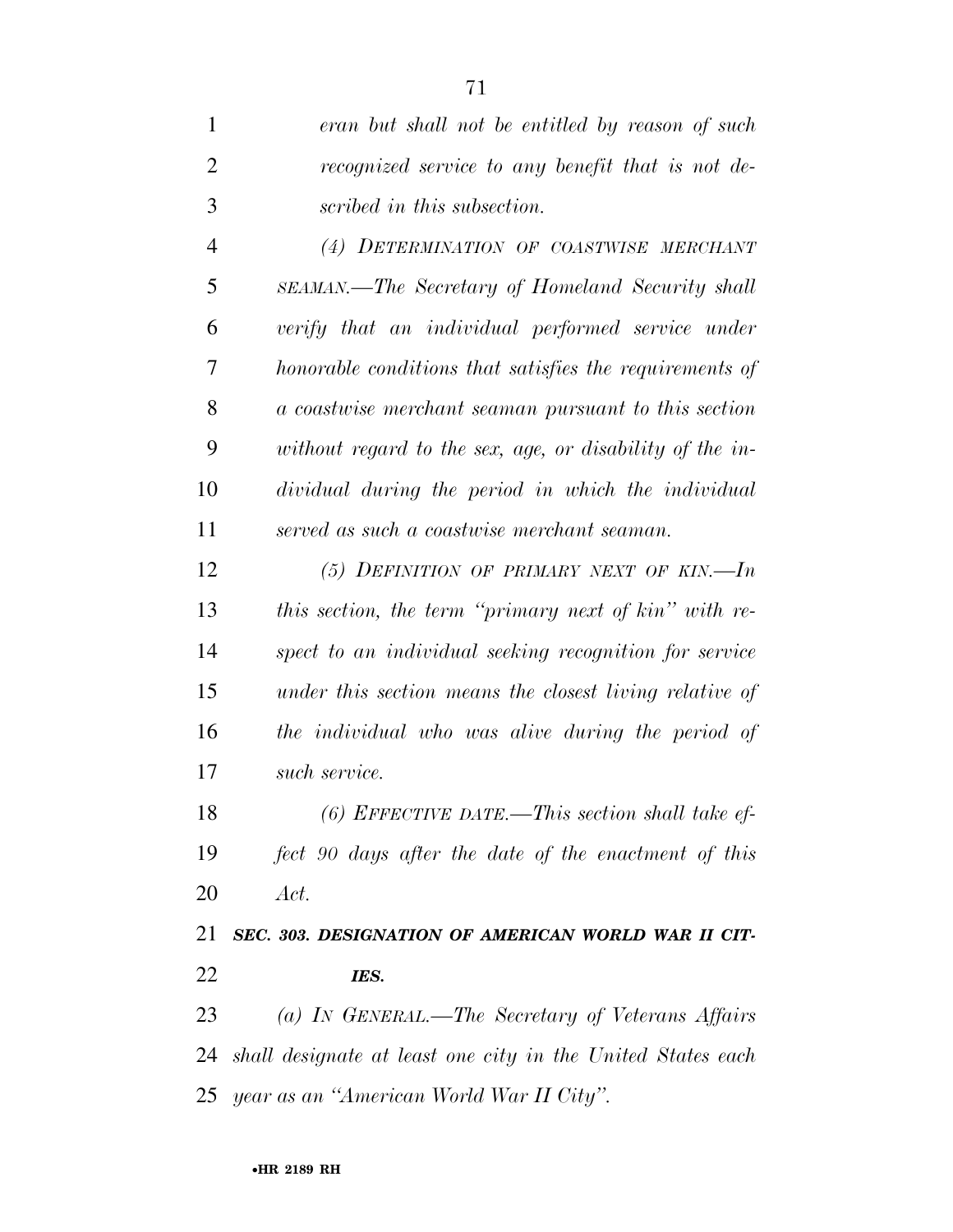*eran but shall not be entitled by reason of such recognized service to any benefit that is not de-scribed in this subsection.* 

 *(4) DETERMINATION OF COASTWISE MERCHANT SEAMAN.—The Secretary of Homeland Security shall verify that an individual performed service under honorable conditions that satisfies the requirements of a coastwise merchant seaman pursuant to this section without regard to the sex, age, or disability of the in- dividual during the period in which the individual served as such a coastwise merchant seaman.* 

 *(5) DEFINITION OF PRIMARY NEXT OF KIN.—In this section, the term ''primary next of kin'' with re- spect to an individual seeking recognition for service under this section means the closest living relative of the individual who was alive during the period of such service.* 

 *(6) EFFECTIVE DATE.—This section shall take ef- fect 90 days after the date of the enactment of this Act.* 

 *SEC. 303. DESIGNATION OF AMERICAN WORLD WAR II CIT-IES.* 

 *(a) IN GENERAL.—The Secretary of Veterans Affairs shall designate at least one city in the United States each year as an ''American World War II City''.*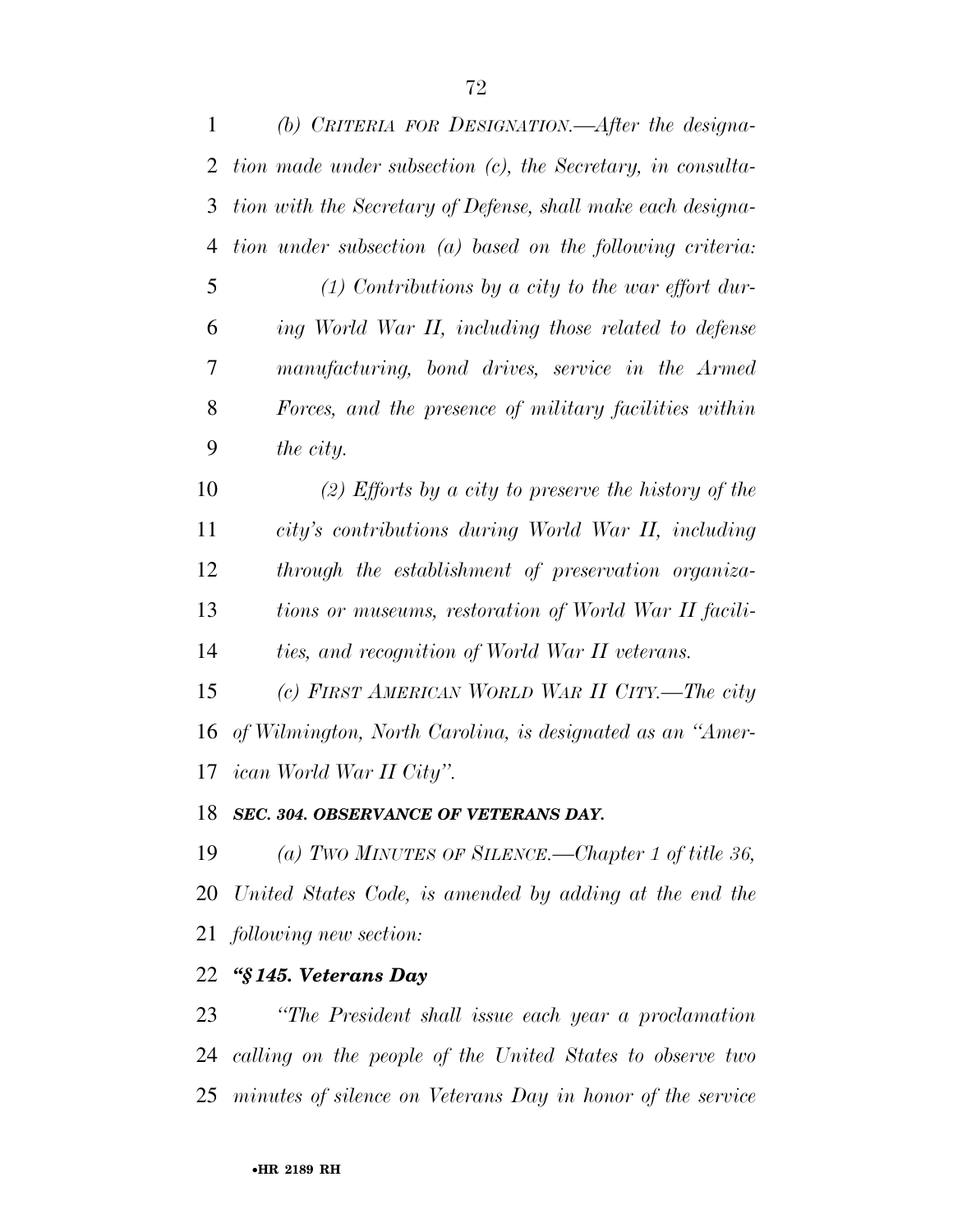| (b) CRITERIA FOR DESIGNATION.—After the designa-               |
|----------------------------------------------------------------|
| tion made under subsection $(c)$ , the Secretary, in consulta- |
| tion with the Secretary of Defense, shall make each designa-   |
| tion under subsection (a) based on the following criteria:     |
| $(1)$ Contributions by a city to the war effort dur-           |
| ing World War II, including those related to defense           |
| manufacturing, bond drives, service in the Armed               |
| Forces, and the presence of military facilities within         |
| the city.                                                      |
| (2) Efforts by a city to preserve the history of the           |
| city's contributions during World War II, including            |
| through the establishment of preservation organiza-            |
| tions or museums, restoration of World War II facili-          |
| ties, and recognition of World War II veterans.                |
| (c) FIRST AMERICAN WORLD WAR II CITY.—The city                 |
| of Wilmington, North Carolina, is designated as an "Amer-      |
| 17 ican World War II City".                                    |
|                                                                |

## *SEC. 304. OBSERVANCE OF VETERANS DAY.*

 *(a) TWO MINUTES OF SILENCE.—Chapter 1 of title 36, United States Code, is amended by adding at the end the following new section:* 

## *''§ 145. Veterans Day*

 *''The President shall issue each year a proclamation calling on the people of the United States to observe two minutes of silence on Veterans Day in honor of the service*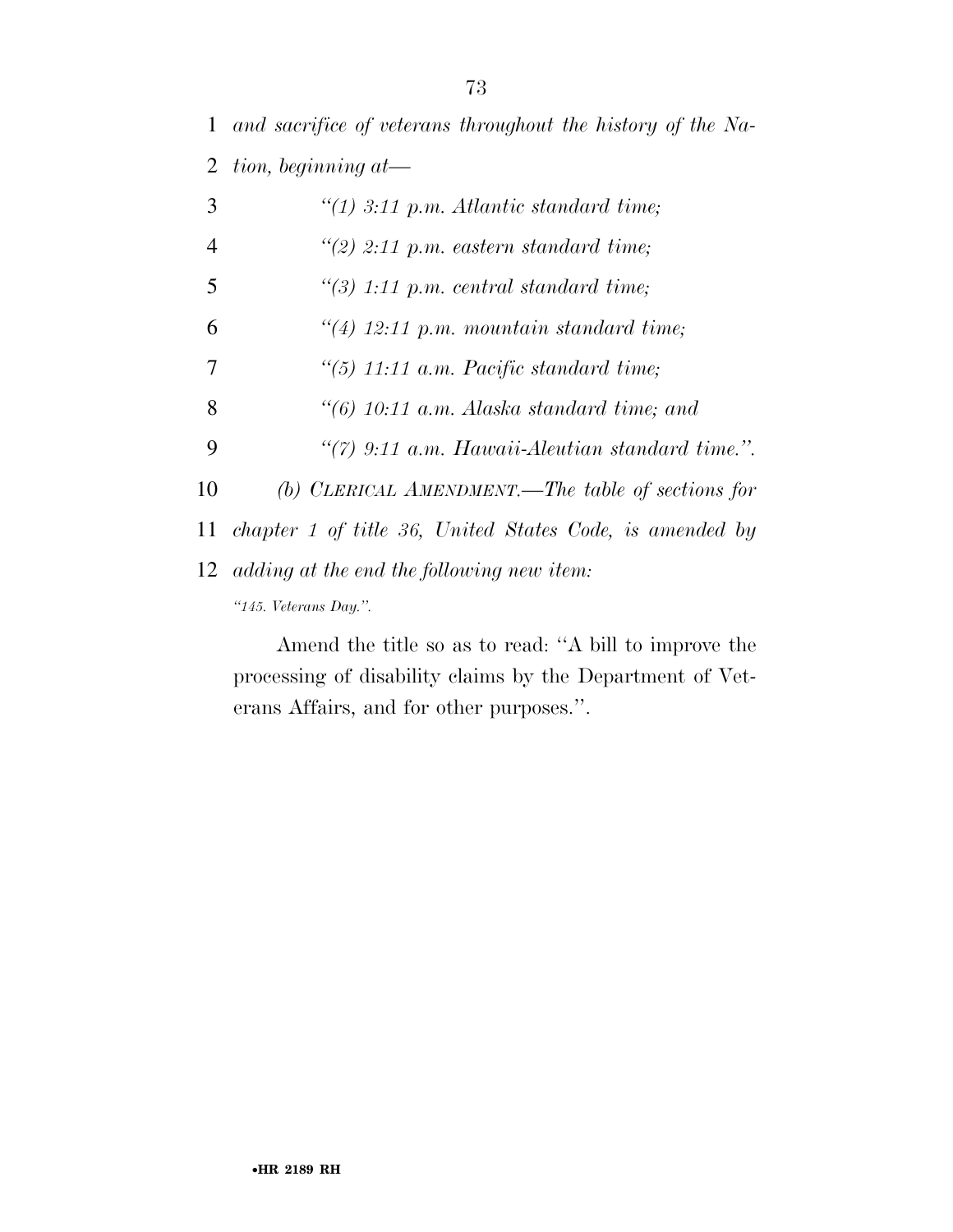*and sacrifice of veterans throughout the history of the Na-tion, beginning at—* 

 *''(1) 3:11 p.m. Atlantic standard time; ''(2) 2:11 p.m. eastern standard time; ''(3) 1:11 p.m. central standard time; ''(4) 12:11 p.m. mountain standard time; ''(5) 11:11 a.m. Pacific standard time; ''(6) 10:11 a.m. Alaska standard time; and ''(7) 9:11 a.m. Hawaii-Aleutian standard time.''. (b) CLERICAL AMENDMENT.—The table of sections for chapter 1 of title 36, United States Code, is amended by adding at the end the following new item: ''145. Veterans Day.''.* 

Amend the title so as to read: ''A bill to improve the processing of disability claims by the Department of Veterans Affairs, and for other purposes.''.